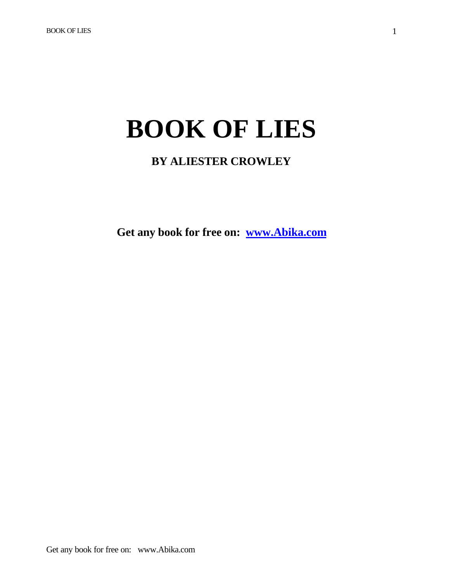# **BOOK OF LIES**

# **BY ALIESTER CROWLEY**

**Get any book for free on: www.Abika.com**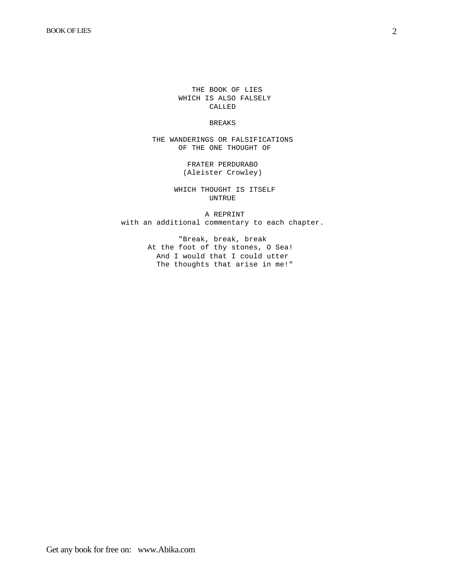THE BOOK OF LIES WHICH IS ALSO FALSELY CALLED

BREAKS

 THE WANDERINGS OR FALSIFICATIONS OF THE ONE THOUGHT OF

> FRATER PERDURABO (Aleister Crowley)

 WHICH THOUGHT IS ITSELF UNTRUE

 A REPRINT with an additional commentary to each chapter.

> "Break, break, break At the foot of thy stones, O Sea! And I would that I could utter The thoughts that arise in me!"

Get any book for free on: www.Abika.com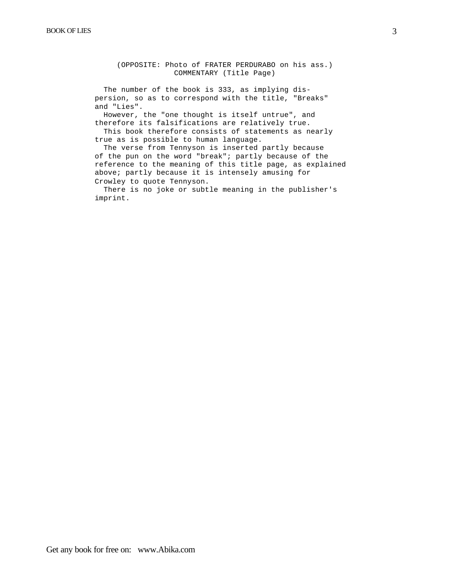(OPPOSITE: Photo of FRATER PERDURABO on his ass.) COMMENTARY (Title Page)

 The number of the book is 333, as implying dis persion, so as to correspond with the title, "Breaks" and "Lies".

 However, the "one thought is itself untrue", and therefore its falsifications are relatively true.

 This book therefore consists of statements as nearly true as is possible to human language.

 The verse from Tennyson is inserted partly because of the pun on the word "break"; partly because of the reference to the meaning of this title page, as explained above; partly because it is intensely amusing for Crowley to quote Tennyson.

 There is no joke or subtle meaning in the publisher's imprint.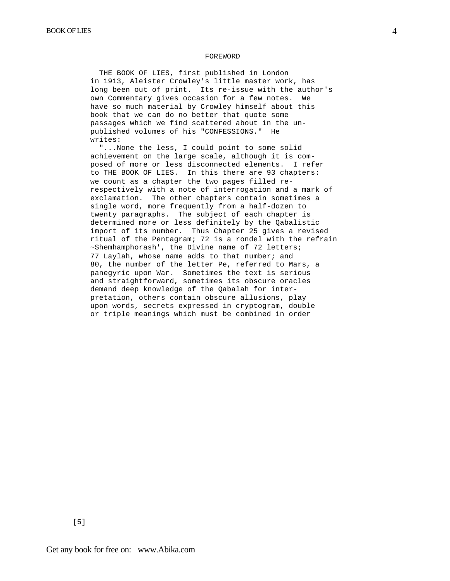#### FOREWORD

 THE BOOK OF LIES, first published in London in 1913, Aleister Crowley's little master work, has long been out of print. Its re-issue with the author's own Commentary gives occasion for a few notes. We have so much material by Crowley himself about this book that we can do no better that quote some passages which we find scattered about in the un published volumes of his "CONFESSIONS." He writes:

 "...None the less, I could point to some solid achievement on the large scale, although it is com posed of more or less disconnected elements. I refer to THE BOOK OF LIES. In this there are 93 chapters: we count as a chapter the two pages filled re respectively with a note of interrogation and a mark of exclamation. The other chapters contain sometimes a single word, more frequently from a half-dozen to twenty paragraphs. The subject of each chapter is determined more or less definitely by the Qabalistic import of its number. Thus Chapter 25 gives a revised ritual of the Pentagram; 72 is a rondel with the refrain ~Shemhamphorash', the Divine name of 72 letters; 77 Laylah, whose name adds to that number; and 80, the number of the letter Pe, referred to Mars, a panegyric upon War. Sometimes the text is serious and straightforward, sometimes its obscure oracles demand deep knowledge of the Qabalah for inter pretation, others contain obscure allusions, play upon words, secrets expressed in cryptogram, double or triple meanings which must be combined in order

4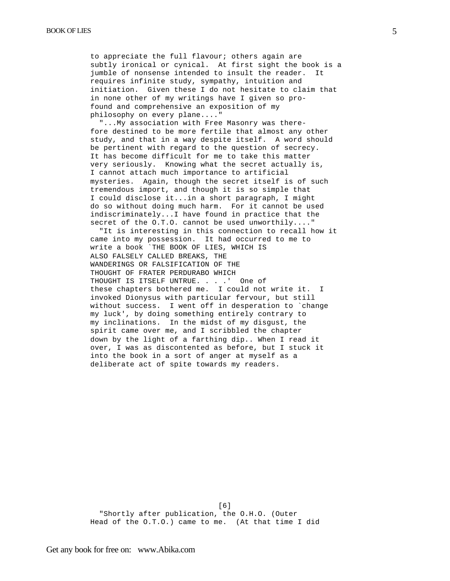to appreciate the full flavour; others again are subtly ironical or cynical. At first sight the book is a jumble of nonsense intended to insult the reader. It requires infinite study, sympathy, intuition and initiation. Given these I do not hesitate to claim that in none other of my writings have I given so pro found and comprehensive an exposition of my philosophy on every plane...."

 "...My association with Free Masonry was there fore destined to be more fertile that almost any other study, and that in a way despite itself. A word should be pertinent with regard to the question of secrecy. It has become difficult for me to take this matter very seriously. Knowing what the secret actually is, I cannot attach much importance to artificial mysteries. Again, though the secret itself is of such tremendous import, and though it is so simple that I could disclose it...in a short paragraph, I might do so without doing much harm. For it cannot be used indiscriminately...I have found in practice that the secret of the O.T.O. cannot be used unworthily...."

 "It is interesting in this connection to recall how it came into my possession. It had occurred to me to write a book `THE BOOK OF LIES, WHICH IS ALSO FALSELY CALLED BREAKS, THE WANDERINGS OR FALSIFICATION OF THE THOUGHT OF FRATER PERDURABO WHICH THOUGHT IS ITSELF UNTRUE. . . .' One of these chapters bothered me. I could not write it. I invoked Dionysus with particular fervour, but still without success. I went off in desperation to `change my luck', by doing something entirely contrary to my inclinations. In the midst of my disgust, the spirit came over me, and I scribbled the chapter down by the light of a farthing dip.. When I read it over, I was as discontented as before, but I stuck it into the book in a sort of anger at myself as a deliberate act of spite towards my readers.

 [6] "Shortly after publication, the O.H.O. (Outer Head of the O.T.O.) came to me. (At that time I did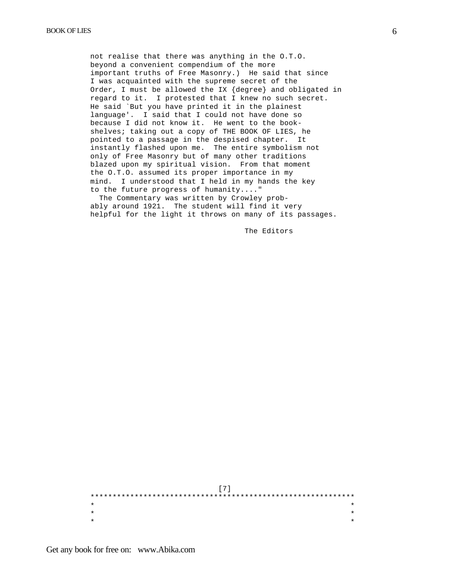not realise that there was anything in the O.T.O. beyond a convenient compendium of the more important truths of Free Masonry.) He said that since I was acquainted with the supreme secret of the Order, I must be allowed the IX {degree} and obligated in regard to it. I protested that I knew no such secret. He said `But you have printed it in the plainest language'. I said that I could not have done so because I did not know it. He went to the book shelves; taking out a copy of THE BOOK OF LIES, he pointed to a passage in the despised chapter. It instantly flashed upon me. The entire symbolism not only of Free Masonry but of many other traditions blazed upon my spiritual vision. From that moment the O.T.O. assumed its proper importance in my mind. I understood that I held in my hands the key to the future progress of humanity...."

 The Commentary was written by Crowley prob ably around 1921. The student will find it very helpful for the light it throws on many of its passages.

The Editors

 [7] \*\*\*\*\*\*\*\*\*\*\*\*\*\*\*\*\*\*\*\*\*\*\*\*\*\*\*\*\*\*\*\*\*\*\*\*\*\*\*\*\*\*\*\*\*\*\*\*\*\*\*\*\*\*\*\*\*\*\*\*  $\star$  \*  $\star$  \*  $\star$  \*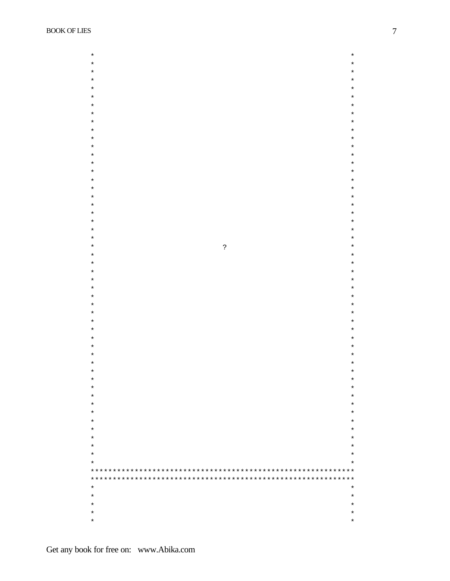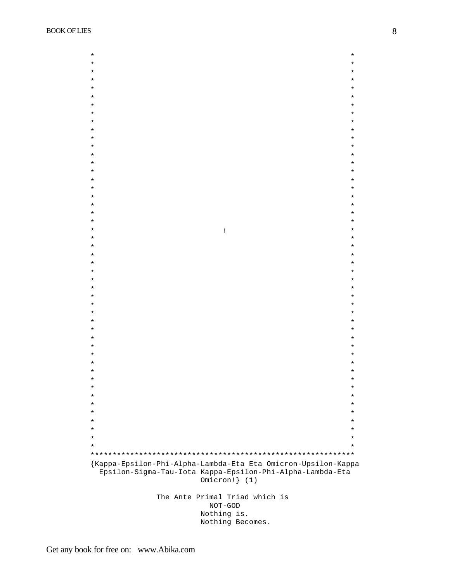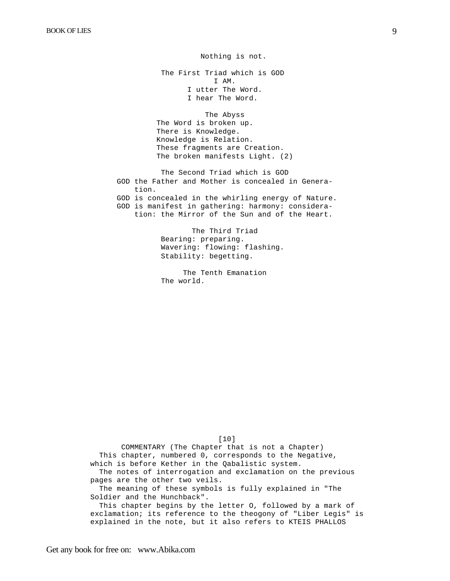Nothing is not.

 The First Triad which is GOD I AM. I utter The Word. I hear The Word.

 The Abyss The Word is broken up. There is Knowledge. Knowledge is Relation. These fragments are Creation. The broken manifests Light. (2)

 The Second Triad which is GOD GOD the Father and Mother is concealed in Genera tion. GOD is concealed in the whirling energy of Nature. GOD is manifest in gathering: harmony: considera tion: the Mirror of the Sun and of the Heart.

> The Third Triad Bearing: preparing. Wavering: flowing: flashing. Stability: begetting.

 The Tenth Emanation The world.

[10]

 COMMENTARY (The Chapter that is not a Chapter) This chapter, numbered 0, corresponds to the Negative, which is before Kether in the Qabalistic system. The notes of interrogation and exclamation on the previous pages are the other two veils. The meaning of these symbols is fully explained in "The Soldier and the Hunchback".

 This chapter begins by the letter O, followed by a mark of exclamation; its reference to the theogony of "Liber Legis" is explained in the note, but it also refers to KTEIS PHALLOS

Get any book for free on: www.Abika.com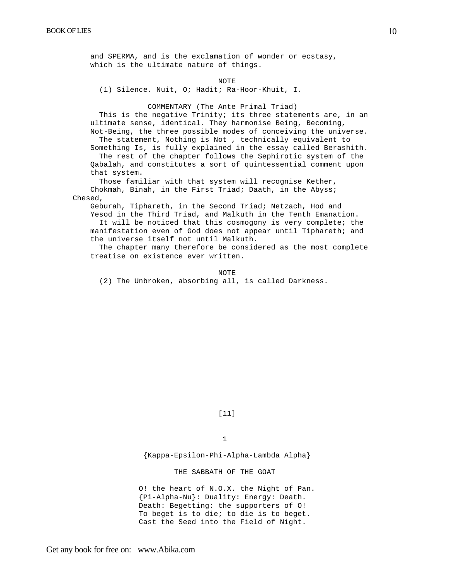and SPERMA, and is the exclamation of wonder or ecstasy, which is the ultimate nature of things.

NOTE

(1) Silence. Nuit, O; Hadit; Ra-Hoor-Khuit, I.

COMMENTARY (The Ante Primal Triad)

This is the negative Trinity; its three statements are, in an ultimate sense, identical. They harmonise Being, Becoming, Not-Being, the three possible modes of conceiving the universe.

 The statement, Nothing is Not , technically equivalent to Something Is, is fully explained in the essay called Berashith. The rest of the chapter follows the Sephirotic system of the Qabalah, and constitutes a sort of quintessential comment upon that system.

 Those familiar with that system will recognise Kether, Chokmah, Binah, in the First Triad; Daath, in the Abyss; Chesed,

 Geburah, Tiphareth, in the Second Triad; Netzach, Hod and Yesod in the Third Triad, and Malkuth in the Tenth Emanation. It will be noticed that this cosmogony is very complete; the manifestation even of God does not appear until Tiphareth; and the universe itself not until Malkuth.

 The chapter many therefore be considered as the most complete treatise on existence ever written.

NOTE (2) The Unbroken, absorbing all, is called Darkness.

 $[11]$ 

{Kappa-Epsilon-Phi-Alpha-Lambda Alpha}

#### THE SABBATH OF THE GOAT

 O! the heart of N.O.X. the Night of Pan. {Pi-Alpha-Nu}: Duality: Energy: Death. Death: Begetting: the supporters of O! To beget is to die; to die is to beget. Cast the Seed into the Field of Night.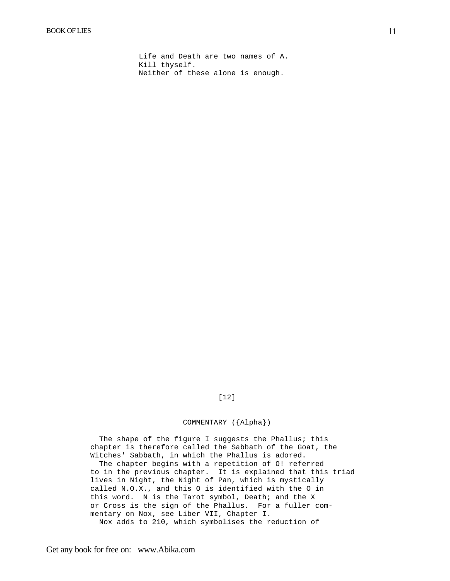Life and Death are two names of A. Kill thyself. Neither of these alone is enough.

# [12]

#### COMMENTARY ({Alpha})

The shape of the figure I suggests the Phallus; this chapter is therefore called the Sabbath of the Goat, the Witches' Sabbath, in which the Phallus is adored. The chapter begins with a repetition of O! referred to in the previous chapter. It is explained that this triad lives in Night, the Night of Pan, which is mystically called N.O.X., and this O is identified with the O in this word. N is the Tarot symbol, Death; and the X or Cross is the sign of the Phallus. For a fuller com mentary on Nox, see Liber VII, Chapter I. Nox adds to 210, which symbolises the reduction of

Get any book for free on: www.Abika.com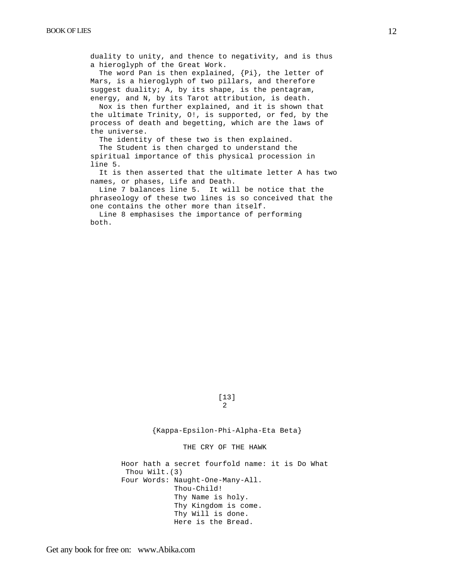duality to unity, and thence to negativity, and is thus a hieroglyph of the Great Work.

 The word Pan is then explained, {Pi}, the letter of Mars, is a hieroglyph of two pillars, and therefore suggest duality; A, by its shape, is the pentagram, energy, and N, by its Tarot attribution, is death.

 Nox is then further explained, and it is shown that the ultimate Trinity, O!, is supported, or fed, by the process of death and begetting, which are the laws of the universe.

The identity of these two is then explained.

 The Student is then charged to understand the spiritual importance of this physical procession in line 5.

 It is then asserted that the ultimate letter A has two names, or phases, Life and Death.

 Line 7 balances line 5. It will be notice that the phraseology of these two lines is so conceived that the one contains the other more than itself.

 Line 8 emphasises the importance of performing both.

 [13] 2

{Kappa-Epsilon-Phi-Alpha-Eta Beta}

THE CRY OF THE HAWK

 Hoor hath a secret fourfold name: it is Do What Thou Wilt.(3) Four Words: Naught-One-Many-All. Thou-Child! Thy Name is holy. Thy Kingdom is come. Thy Will is done. Here is the Bread.

12

Get any book for free on: www.Abika.com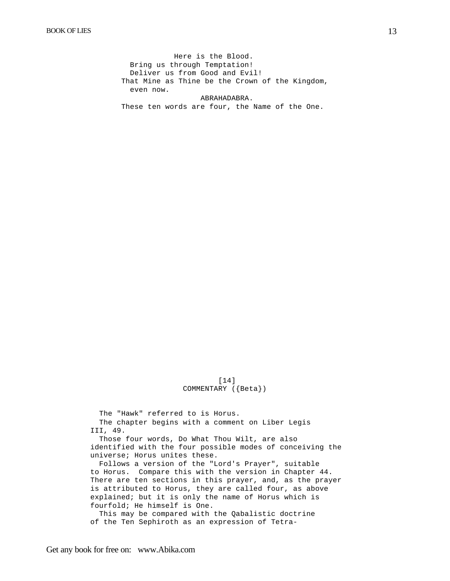Here is the Blood. Bring us through Temptation! Deliver us from Good and Evil! That Mine as Thine be the Crown of the Kingdom, even now. ABRAHADABRA.

These ten words are four, the Name of the One.

 [14] COMMENTARY ({Beta})

 The "Hawk" referred to is Horus. The chapter begins with a comment on Liber Legis III, 49. Those four words, Do What Thou Wilt, are also identified with the four possible modes of conceiving the universe; Horus unites these. Follows a version of the "Lord's Prayer", suitable to Horus. Compare this with the version in Chapter 44. There are ten sections in this prayer, and, as the prayer is attributed to Horus, they are called four, as above explained; but it is only the name of Horus which is fourfold; He himself is One. This may be compared with the Qabalistic doctrine of the Ten Sephiroth as an expression of Tetra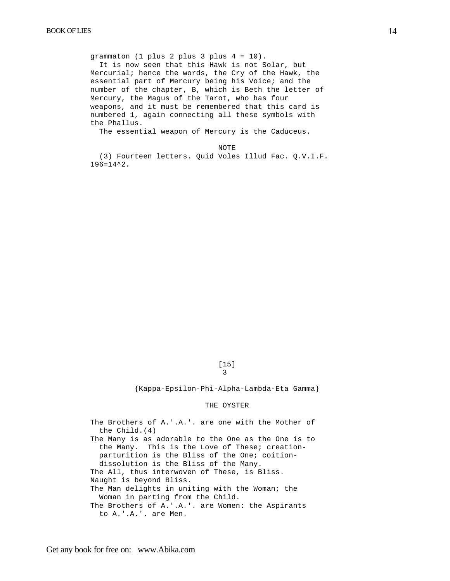grammaton (1 plus 2 plus 3 plus 4 = 10). It is now seen that this Hawk is not Solar, but Mercurial; hence the words, the Cry of the Hawk, the essential part of Mercury being his Voice; and the number of the chapter, B, which is Beth the letter of Mercury, the Magus of the Tarot, who has four weapons, and it must be remembered that this card is numbered 1, again connecting all these symbols with the Phallus. The essential weapon of Mercury is the Caduceus.

NOTE (3) Fourteen letters. Quid Voles Illud Fac. Q.V.I.F.  $196 = 14^2$ .

 $[15]$ 3

{Kappa-Epsilon-Phi-Alpha-Lambda-Eta Gamma}

#### THE OYSTER

 The Brothers of A.'.A.'. are one with the Mother of the Child.(4) The Many is as adorable to the One as the One is to the Many. This is the Love of These; creation parturition is the Bliss of the One; coition dissolution is the Bliss of the Many. The All, thus interwoven of These, is Bliss. Naught is beyond Bliss. The Man delights in uniting with the Woman; the Woman in parting from the Child. The Brothers of A.'.A.'. are Women: the Aspirants to A.'.A.'. are Men.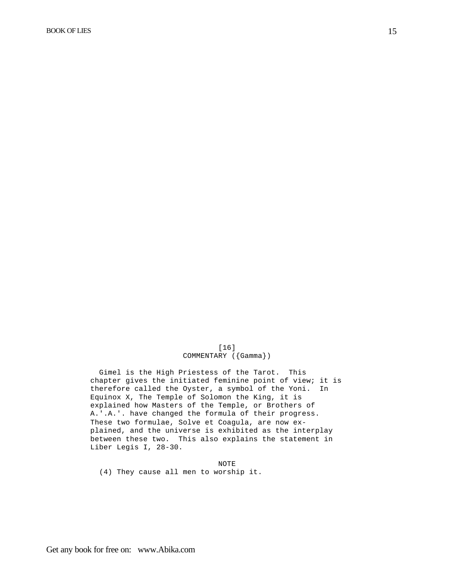[16] COMMENTARY ({Gamma})

 Gimel is the High Priestess of the Tarot. This chapter gives the initiated feminine point of view; it is therefore called the Oyster, a symbol of the Yoni. In Equinox X, The Temple of Solomon the King, it is explained how Masters of the Temple, or Brothers of A.'.A.'. have changed the formula of their progress. These two formulae, Solve et Coagula, are now ex plained, and the universe is exhibited as the interplay between these two. This also explains the statement in Liber Legis I, 28-30.

NOTE (4) They cause all men to worship it.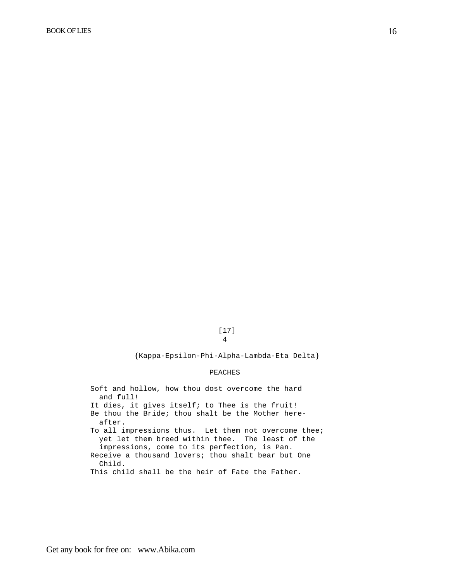[17]

#### 4

{Kappa-Epsilon-Phi-Alpha-Lambda-Eta Delta}

#### PEACHES

 Soft and hollow, how thou dost overcome the hard and full! It dies, it gives itself; to Thee is the fruit! Be thou the Bride; thou shalt be the Mother here after. To all impressions thus. Let them not overcome thee; yet let them breed within thee. The least of the impressions, come to its perfection, is Pan. Receive a thousand lovers; thou shalt bear but One Child. This child shall be the heir of Fate the Father.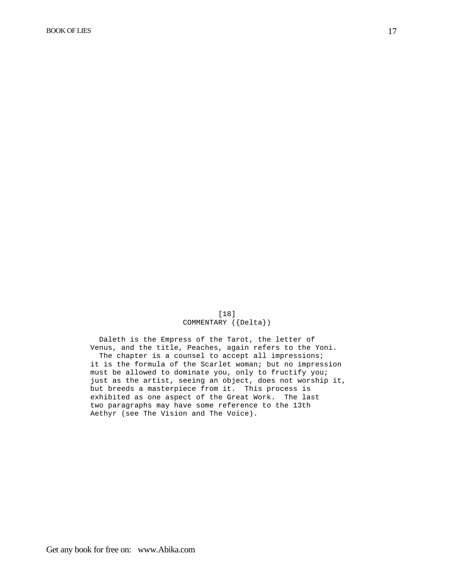#### [18] COMMENTARY ({Delta})

 Daleth is the Empress of the Tarot, the letter of Venus, and the title, Peaches, again refers to the Yoni. The chapter is a counsel to accept all impressions; it is the formula of the Scarlet woman; but no impression must be allowed to dominate you, only to fructify you; just as the artist, seeing an object, does not worship it, but breeds a masterpiece from it. This process is exhibited as one aspect of the Great Work. The last two paragraphs may have some reference to the 13th Aethyr (see The Vision and The Voice).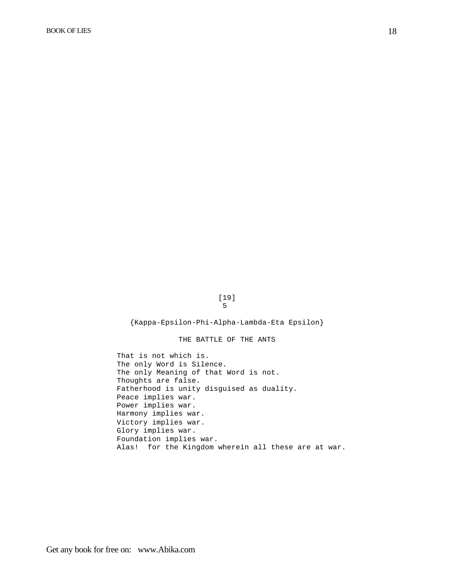[19]  $\sim$  5  $\sim$  5  $\sim$  5  $\sim$  5  $\sim$  5  $\sim$  5  $\sim$  5  $\sim$  5  $\sim$  5  $\sim$  5  $\sim$  5  $\sim$  5  $\sim$  5  $\sim$  5  $\sim$  5  $\sim$  5  $\sim$  5  $\sim$  5  $\sim$  5  $\sim$  5  $\sim$  5  $\sim$  5  $\sim$  5  $\sim$  5  $\sim$  5  $\sim$  5  $\sim$  5  $\sim$  5  $\sim$  5  $\sim$  5  $\sim$  5  $\sim$ 

{Kappa-Epsilon-Phi-Alpha-Lambda-Eta Epsilon}

THE BATTLE OF THE ANTS

 That is not which is. The only Word is Silence. The only Meaning of that Word is not. Thoughts are false. Fatherhood is unity disguised as duality. Peace implies war. Power implies war. Harmony implies war. Victory implies war. Glory implies war. Foundation implies war. Alas! for the Kingdom wherein all these are at war.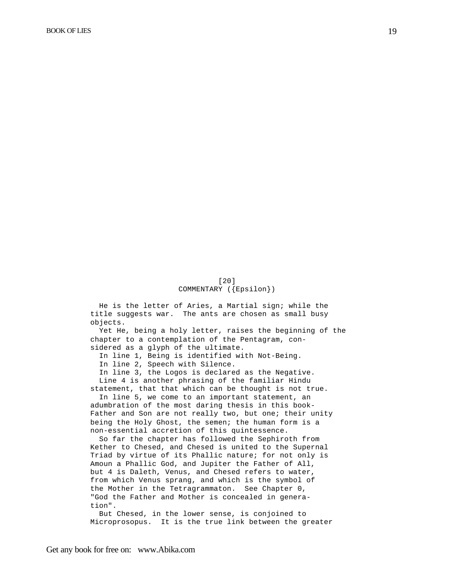[20] COMMENTARY ({Epsilon})

 He is the letter of Aries, a Martial sign; while the title suggests war. The ants are chosen as small busy objects.

 Yet He, being a holy letter, raises the beginning of the chapter to a contemplation of the Pentagram, con sidered as a glyph of the ultimate.

In line 1, Being is identified with Not-Being.

In line 2, Speech with Silence.

 In line 3, the Logos is declared as the Negative. Line 4 is another phrasing of the familiar Hindu statement, that that which can be thought is not true.

 In line 5, we come to an important statement, an adumbration of the most daring thesis in this book- Father and Son are not really two, but one; their unity being the Holy Ghost, the semen; the human form is a non-essential accretion of this quintessence.

 So far the chapter has followed the Sephiroth from Kether to Chesed, and Chesed is united to the Supernal Triad by virtue of its Phallic nature; for not only is Amoun a Phallic God, and Jupiter the Father of All, but 4 is Daleth, Venus, and Chesed refers to water, from which Venus sprang, and which is the symbol of the Mother in the Tetragrammaton. See Chapter 0, "God the Father and Mother is concealed in genera tion".

 But Chesed, in the lower sense, is conjoined to Microprosopus. It is the true link between the greater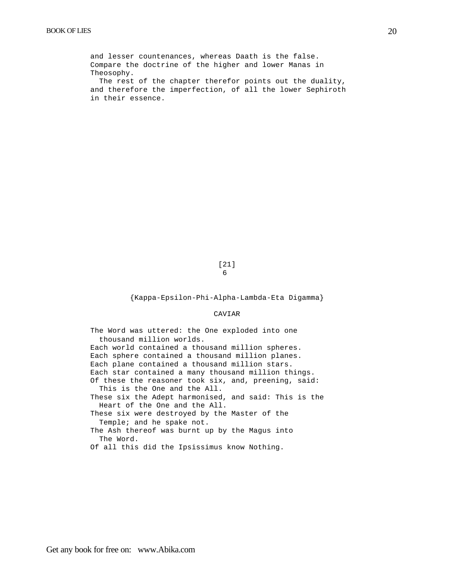and lesser countenances, whereas Daath is the false. Compare the doctrine of the higher and lower Manas in Theosophy. The rest of the chapter therefor points out the duality, and therefore the imperfection, of all the lower Sephiroth

in their essence.

 [21]  $\sim$  6

{Kappa-Epsilon-Phi-Alpha-Lambda-Eta Digamma}

# CAVIAR

 The Word was uttered: the One exploded into one thousand million worlds. Each world contained a thousand million spheres. Each sphere contained a thousand million planes. Each plane contained a thousand million stars. Each star contained a many thousand million things. Of these the reasoner took six, and, preening, said: This is the One and the All. These six the Adept harmonised, and said: This is the Heart of the One and the All. These six were destroyed by the Master of the Temple; and he spake not. The Ash thereof was burnt up by the Magus into The Word. Of all this did the Ipsissimus know Nothing.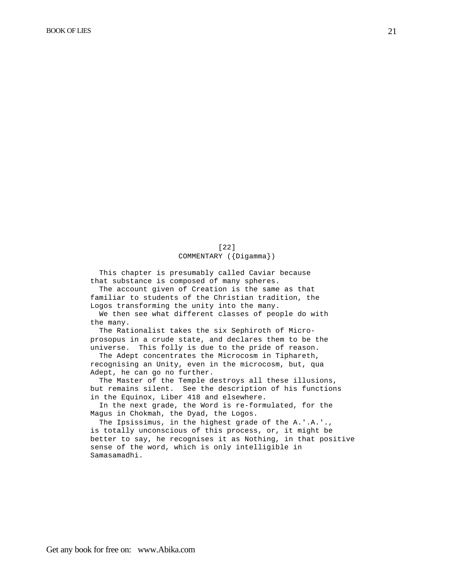[22] COMMENTARY ({Digamma})

 This chapter is presumably called Caviar because that substance is composed of many spheres.

 The account given of Creation is the same as that familiar to students of the Christian tradition, the Logos transforming the unity into the many.

 We then see what different classes of people do with the many.

 The Rationalist takes the six Sephiroth of Micro prosopus in a crude state, and declares them to be the universe. This folly is due to the pride of reason.

 The Adept concentrates the Microcosm in Tiphareth, recognising an Unity, even in the microcosm, but, qua Adept, he can go no further.

 The Master of the Temple destroys all these illusions, but remains silent. See the description of his functions in the Equinox, Liber 418 and elsewhere.

 In the next grade, the Word is re-formulated, for the Magus in Chokmah, the Dyad, the Logos.

 The Ipsissimus, in the highest grade of the A.'.A.'., is totally unconscious of this process, or, it might be better to say, he recognises it as Nothing, in that positive sense of the word, which is only intelligible in Samasamadhi.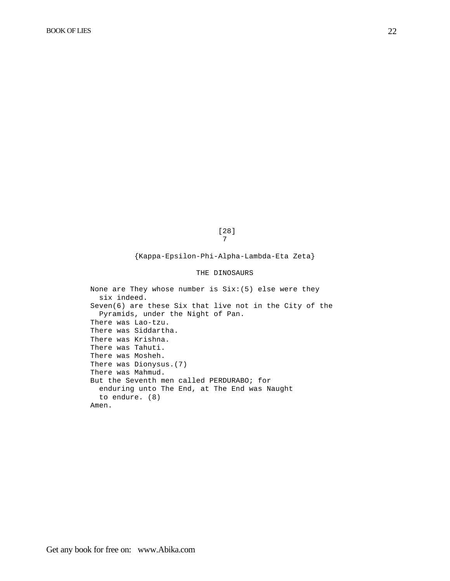[28] 7

{Kappa-Epsilon-Phi-Alpha-Lambda-Eta Zeta}

#### THE DINOSAURS

 None are They whose number is Six:(5) else were they six indeed. Seven(6) are these Six that live not in the City of the Pyramids, under the Night of Pan. There was Lao-tzu. There was Siddartha. There was Krishna. There was Tahuti. There was Mosheh. There was Dionysus.(7) There was Mahmud. But the Seventh men called PERDURABO; for enduring unto The End, at The End was Naught to endure. (8) Amen.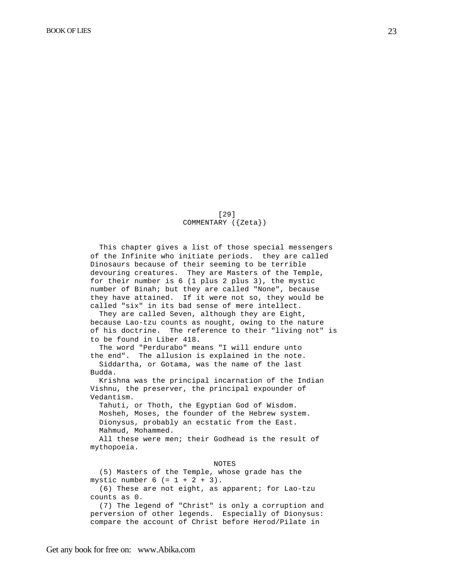[29] COMMENTARY ({Zeta})

 This chapter gives a list of those special messengers of the Infinite who initiate periods. they are called Dinosaurs because of their seeming to be terrible devouring creatures. They are Masters of the Temple, for their number is 6 (1 plus 2 plus 3), the mystic number of Binah; but they are called "None", because they have attained. If it were not so, they would be called "six" in its bad sense of mere intellect. They are called Seven, although they are Eight, because Lao-tzu counts as nought, owing to the nature of his doctrine. The reference to their "living not" is to be found in Liber 418. The word "Perdurabo" means "I will endure unto the end". The allusion is explained in the note. Siddartha, or Gotama, was the name of the last Budda. Krishna was the principal incarnation of the Indian Vishnu, the preserver, the principal expounder of Vedantism. Tahuti, or Thoth, the Egyptian God of Wisdom. Mosheh, Moses, the founder of the Hebrew system. Dionysus, probably an ecstatic from the East. Mahmud, Mohammed. All these were men; their Godhead is the result of

mythopoeia.

NOTES

 (5) Masters of the Temple, whose grade has the mystic number  $6 (= 1 + 2 + 3)$ . (6) These are not eight, as apparent; for Lao-tzu counts as 0. (7) The legend of "Christ" is only a corruption and perversion of other legends. Especially of Dionysus: compare the account of Christ before Herod/Pilate in

23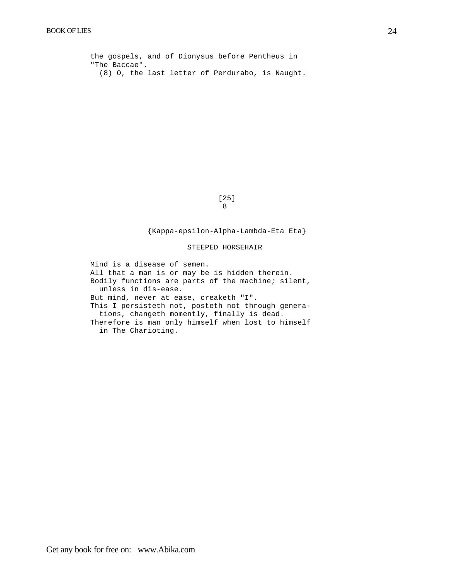the gospels, and of Dionysus before Pentheus in "The Baccae". (8) O, the last letter of Perdurabo, is Naught.

 $\begin{bmatrix} 25 \end{bmatrix}$ 8

{Kappa-epsilon-Alpha-Lambda-Eta Eta}

STEEPED HORSEHAIR

 Mind is a disease of semen. All that a man is or may be is hidden therein. Bodily functions are parts of the machine; silent, unless in dis-ease. But mind, never at ease, creaketh "I". This I persisteth not, posteth not through genera tions, changeth momently, finally is dead. Therefore is man only himself when lost to himself in The Charioting.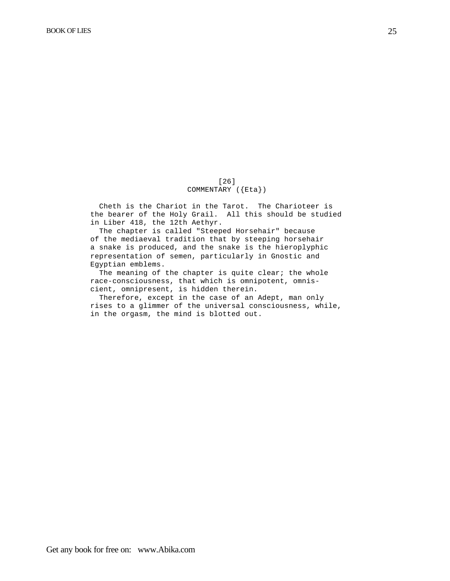#### [26] COMMENTARY ({Eta})

 Cheth is the Chariot in the Tarot. The Charioteer is the bearer of the Holy Grail. All this should be studied in Liber 418, the 12th Aethyr.

 The chapter is called "Steeped Horsehair" because of the mediaeval tradition that by steeping horsehair a snake is produced, and the snake is the hieroplyphic representation of semen, particularly in Gnostic and Egyptian emblems.

The meaning of the chapter is quite clear; the whole race-consciousness, that which is omnipotent, omnis cient, omnipresent, is hidden therein.

 Therefore, except in the case of an Adept, man only rises to a glimmer of the universal consciousness, while, in the orgasm, the mind is blotted out.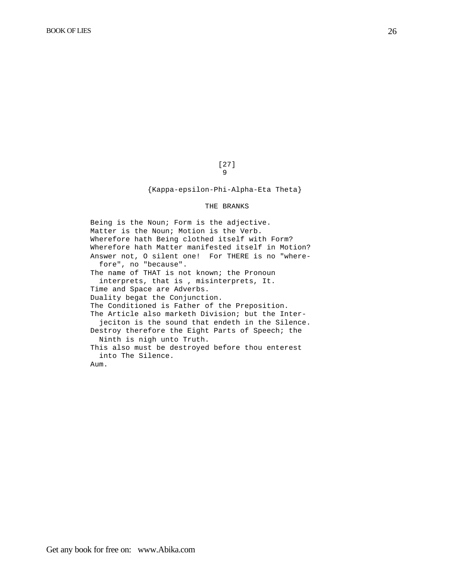[27] 9

#### {Kappa-epsilon-Phi-Alpha-Eta Theta}

#### THE BRANKS

 Being is the Noun; Form is the adjective. Matter is the Noun; Motion is the Verb. Wherefore hath Being clothed itself with Form? Wherefore hath Matter manifested itself in Motion? Answer not, O silent one! For THERE is no "where fore", no "because". The name of THAT is not known; the Pronoun interprets, that is , misinterprets, It. Time and Space are Adverbs. Duality begat the Conjunction. The Conditioned is Father of the Preposition. The Article also marketh Division; but the Inter jeciton is the sound that endeth in the Silence. Destroy therefore the Eight Parts of Speech; the Ninth is nigh unto Truth. This also must be destroyed before thou enterest into The Silence. Aum.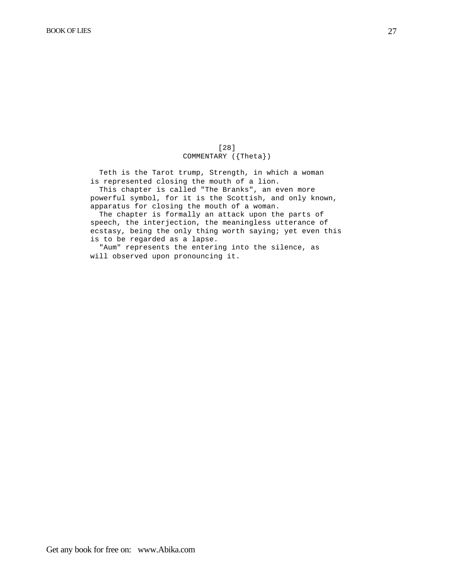# [28] COMMENTARY ({Theta})

 Teth is the Tarot trump, Strength, in which a woman is represented closing the mouth of a lion.

 This chapter is called "The Branks", an even more powerful symbol, for it is the Scottish, and only known, apparatus for closing the mouth of a woman.

 The chapter is formally an attack upon the parts of speech, the interjection, the meaningless utterance of ecstasy, being the only thing worth saying; yet even this is to be regarded as a lapse.

 "Aum" represents the entering into the silence, as will observed upon pronouncing it.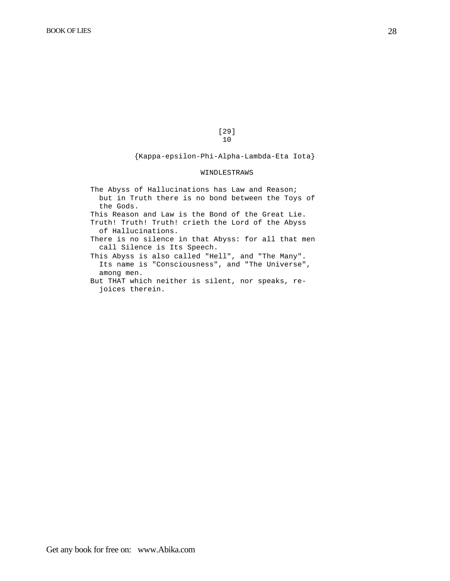[29] 10

{Kappa-epsilon-Phi-Alpha-Lambda-Eta Iota}

#### WINDLESTRAWS

 The Abyss of Hallucinations has Law and Reason; but in Truth there is no bond between the Toys of the Gods. This Reason and Law is the Bond of the Great Lie. Truth! Truth! Truth! crieth the Lord of the Abyss of Hallucinations. There is no silence in that Abyss: for all that men call Silence is Its Speech. This Abyss is also called "Hell", and "The Many". Its name is "Consciousness", and "The Universe", among men. But THAT which neither is silent, nor speaks, re-

joices therein.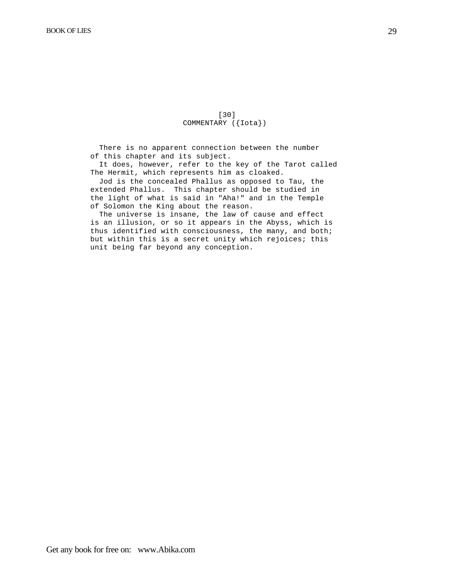# [30] COMMENTARY ({Iota})

 There is no apparent connection between the number of this chapter and its subject.

 It does, however, refer to the key of the Tarot called The Hermit, which represents him as cloaked.

 Jod is the concealed Phallus as opposed to Tau, the extended Phallus. This chapter should be studied in the light of what is said in "Aha!" and in the Temple of Solomon the King about the reason.

 The universe is insane, the law of cause and effect is an illusion, or so it appears in the Abyss, which is thus identified with consciousness, the many, and both; but within this is a secret unity which rejoices; this unit being far beyond any conception.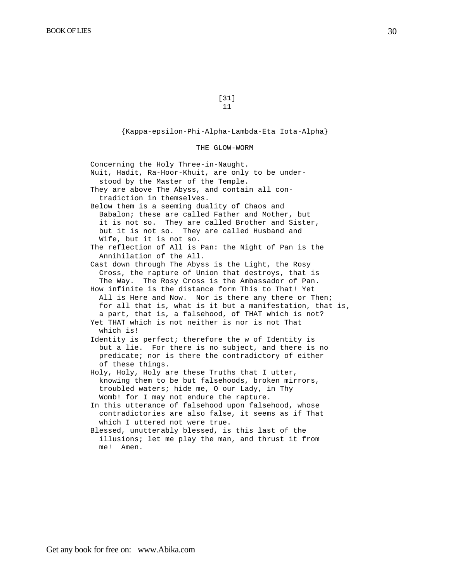[31]  $11$ 

#### {Kappa-epsilon-Phi-Alpha-Lambda-Eta Iota-Alpha}

THE GLOW-WORM

 Concerning the Holy Three-in-Naught. Nuit, Hadit, Ra-Hoor-Khuit, are only to be under stood by the Master of the Temple. They are above The Abyss, and contain all con tradiction in themselves. Below them is a seeming duality of Chaos and Babalon; these are called Father and Mother, but it is not so. They are called Brother and Sister, but it is not so. They are called Husband and Wife, but it is not so. The reflection of All is Pan: the Night of Pan is the Annihilation of the All. Cast down through The Abyss is the Light, the Rosy Cross, the rapture of Union that destroys, that is The Way. The Rosy Cross is the Ambassador of Pan. How infinite is the distance form This to That! Yet All is Here and Now. Nor is there any there or Then; for all that is, what is it but a manifestation, that is, a part, that is, a falsehood, of THAT which is not? Yet THAT which is not neither is nor is not That which is! Identity is perfect; therefore the w of Identity is but a lie. For there is no subject, and there is no predicate; nor is there the contradictory of either of these things. Holy, Holy, Holy are these Truths that I utter, knowing them to be but falsehoods, broken mirrors, troubled waters; hide me, O our Lady, in Thy Womb! for I may not endure the rapture. In this utterance of falsehood upon falsehood, whose contradictories are also false, it seems as if That which I uttered not were true. Blessed, unutterably blessed, is this last of the illusions; let me play the man, and thrust it from me! Amen.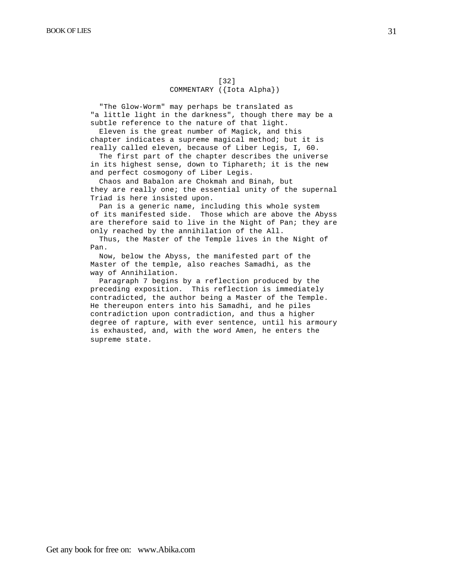#### [32] COMMENTARY ({Iota Alpha})

 "The Glow-Worm" may perhaps be translated as "a little light in the darkness", though there may be a subtle reference to the nature of that light.

 Eleven is the great number of Magick, and this chapter indicates a supreme magical method; but it is really called eleven, because of Liber Legis, I, 60.

 The first part of the chapter describes the universe in its highest sense, down to Tiphareth; it is the new and perfect cosmogony of Liber Legis.

 Chaos and Babalon are Chokmah and Binah, but they are really one; the essential unity of the supernal Triad is here insisted upon.

 Pan is a generic name, including this whole system of its manifested side. Those which are above the Abyss are therefore said to live in the Night of Pan; they are only reached by the annihilation of the All.

 Thus, the Master of the Temple lives in the Night of Pan.

 Now, below the Abyss, the manifested part of the Master of the temple, also reaches Samadhi, as the way of Annihilation.

 Paragraph 7 begins by a reflection produced by the preceding exposition. This reflection is immediately contradicted, the author being a Master of the Temple. He thereupon enters into his Samadhi, and he piles contradiction upon contradiction, and thus a higher degree of rapture, with ever sentence, until his armoury is exhausted, and, with the word Amen, he enters the supreme state.

Get any book for free on: www.Abika.com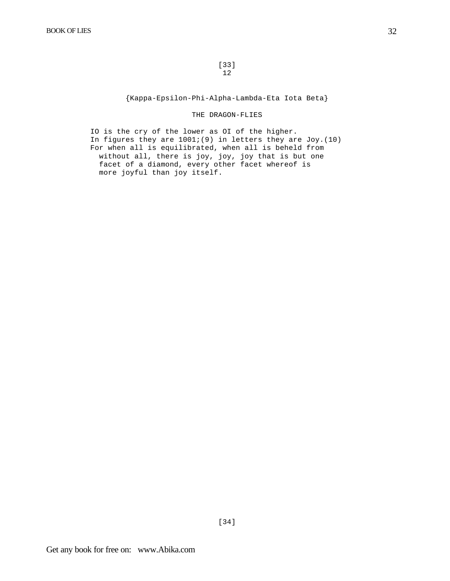[33] 12

{Kappa-Epsilon-Phi-Alpha-Lambda-Eta Iota Beta}

# THE DRAGON-FLIES

 IO is the cry of the lower as OI of the higher. In figures they are  $1001$ ; (9) in letters they are Joy.(10) For when all is equilibrated, when all is beheld from without all, there is joy, joy, joy that is but one facet of a diamond, every other facet whereof is more joyful than joy itself.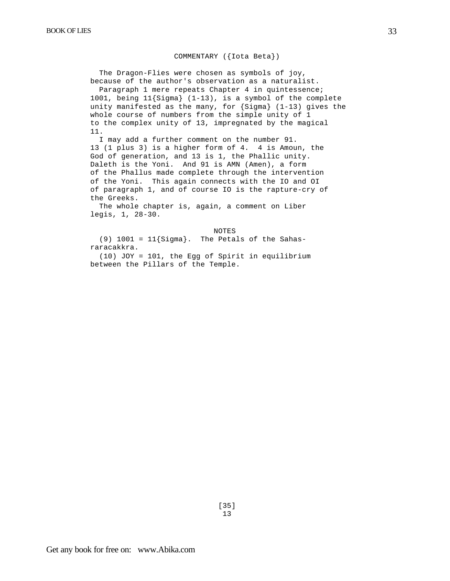# COMMENTARY ({Iota Beta})

 The Dragon-Flies were chosen as symbols of joy, because of the author's observation as a naturalist.

 Paragraph 1 mere repeats Chapter 4 in quintessence; 1001, being 11{Sigma} (1-13), is a symbol of the complete unity manifested as the many, for  $\{Sigma\}$  (1-13) gives the whole course of numbers from the simple unity of 1 to the complex unity of 13, impregnated by the magical 11.

 I may add a further comment on the number 91. 13 (1 plus 3) is a higher form of 4. 4 is Amoun, the God of generation, and 13 is 1, the Phallic unity. Daleth is the Yoni. And 91 is AMN (Amen), a form of the Phallus made complete through the intervention of the Yoni. This again connects with the IO and OI of paragraph 1, and of course IO is the rapture-cry of the Greeks.

 The whole chapter is, again, a comment on Liber legis, 1, 28-30.

 NOTES (9)  $1001 = 11$ {Sigma}. The Petals of the Sahasraracakkra.

 (10) JOY = 101, the Egg of Spirit in equilibrium between the Pillars of the Temple.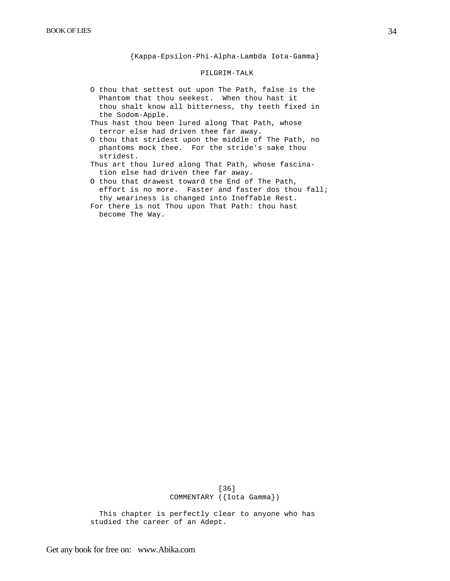{Kappa-Epsilon-Phi-Alpha-Lambda Iota-Gamma}

#### PILGRIM-TALK

- O thou that settest out upon The Path, false is the Phantom that thou seekest. When thou hast it thou shalt know all bitterness, thy teeth fixed in the Sodom-Apple.
- Thus hast thou been lured along That Path, whose terror else had driven thee far away.
- O thou that stridest upon the middle of The Path, no phantoms mock thee. For the stride's sake thou stridest.
- Thus art thou lured along That Path, whose fascina tion else had driven thee far away.
- O thou that drawest toward the End of The Path, effort is no more. Faster and faster dos thou fall; thy weariness is changed into Ineffable Rest.
- For there is not Thou upon That Path: thou hast become The Way.

 [36] COMMENTARY ({Iota Gamma})

 This chapter is perfectly clear to anyone who has studied the career of an Adept.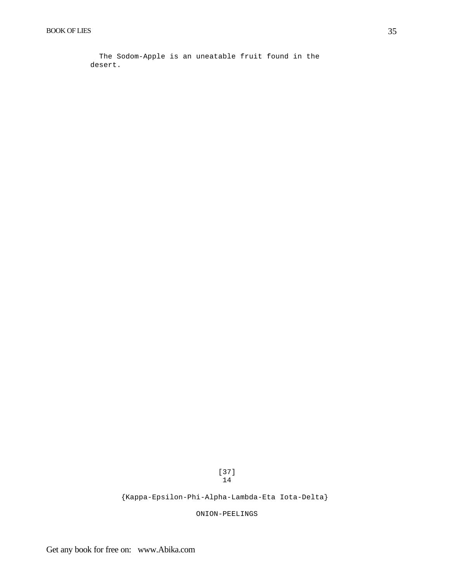The Sodom-Apple is an uneatable fruit found in the desert.

 [37] 14

{Kappa-Epsilon-Phi-Alpha-Lambda-Eta Iota-Delta}

ONION-PEELINGS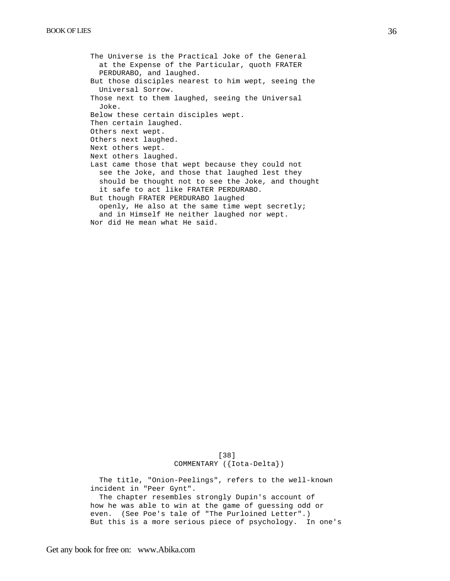The Universe is the Practical Joke of the General at the Expense of the Particular, quoth FRATER PERDURABO, and laughed. But those disciples nearest to him wept, seeing the Universal Sorrow. Those next to them laughed, seeing the Universal Joke. Below these certain disciples wept. Then certain laughed. Others next wept. Others next laughed. Next others wept. Next others laughed. Last came those that wept because they could not see the Joke, and those that laughed lest they should be thought not to see the Joke, and thought it safe to act like FRATER PERDURABO. But though FRATER PERDURABO laughed openly, He also at the same time wept secretly; and in Himself He neither laughed nor wept. Nor did He mean what He said.

 [38] COMMENTARY ({Iota-Delta})

 The title, "Onion-Peelings", refers to the well-known incident in "Peer Gynt". The chapter resembles strongly Dupin's account of how he was able to win at the game of guessing odd or even. (See Poe's tale of "The Purloined Letter".) But this is a more serious piece of psychology. In one's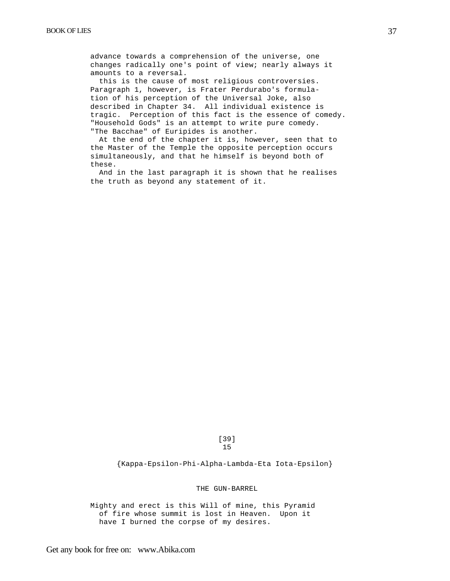advance towards a comprehension of the universe, one changes radically one's point of view; nearly always it amounts to a reversal.

 this is the cause of most religious controversies. Paragraph 1, however, is Frater Perdurabo's formula tion of his perception of the Universal Joke, also described in Chapter 34. All individual existence is tragic. Perception of this fact is the essence of comedy. "Household Gods" is an attempt to write pure comedy. "The Bacchae" of Euripides is another.

 At the end of the chapter it is, however, seen that to the Master of the Temple the opposite perception occurs simultaneously, and that he himself is beyond both of these.

 And in the last paragraph it is shown that he realises the truth as beyond any statement of it.

 [39] <u>15</u>

{Kappa-Epsilon-Phi-Alpha-Lambda-Eta Iota-Epsilon}

THE GUN-BARREL

 Mighty and erect is this Will of mine, this Pyramid of fire whose summit is lost in Heaven. Upon it have I burned the corpse of my desires.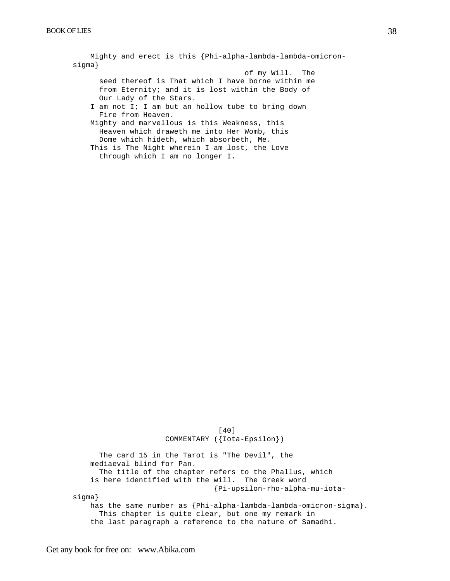Mighty and erect is this {Phi-alpha-lambda-lambda-omicronsigma} of my Will. The seed thereof is That which I have borne within me from Eternity; and it is lost within the Body of Our Lady of the Stars. I am not I; I am but an hollow tube to bring down Fire from Heaven. Mighty and marvellous is this Weakness, this Heaven which draweth me into Her Womb, this Dome which hideth, which absorbeth, Me. This is The Night wherein I am lost, the Love through which I am no longer I.

 [40] COMMENTARY ({Iota-Epsilon}) The card 15 in the Tarot is "The Devil", the mediaeval blind for Pan. The title of the chapter refers to the Phallus, which is here identified with the will. The Greek word {Pi-upsilon-rho-alpha-mu-iotasigma} has the same number as {Phi-alpha-lambda-lambda-omicron-sigma}. This chapter is quite clear, but one my remark in the last paragraph a reference to the nature of Samadhi.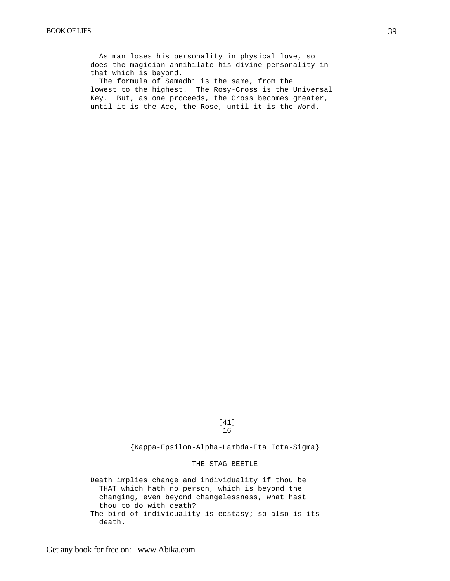As man loses his personality in physical love, so does the magician annihilate his divine personality in that which is beyond.

 The formula of Samadhi is the same, from the lowest to the highest. The Rosy-Cross is the Universal Key. But, as one proceeds, the Cross becomes greater, until it is the Ace, the Rose, until it is the Word.

 [41] 16

{Kappa-Epsilon-Alpha-Lambda-Eta Iota-Sigma}

# THE STAG-BEETLE

 Death implies change and individuality if thou be THAT which hath no person, which is beyond the changing, even beyond changelessness, what hast thou to do with death? The bird of individuality is ecstasy; so also is its death.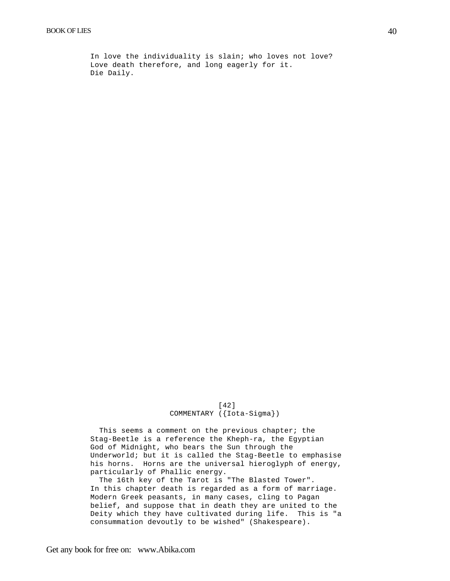In love the individuality is slain; who loves not love? Love death therefore, and long eagerly for it. Die Daily.

### [42] COMMENTARY ({Iota-Sigma})

This seems a comment on the previous chapter; the Stag-Beetle is a reference the Kheph-ra, the Egyptian God of Midnight, who bears the Sun through the Underworld; but it is called the Stag-Beetle to emphasise his horns. Horns are the universal hieroglyph of energy, particularly of Phallic energy.

 The 16th key of the Tarot is "The Blasted Tower". In this chapter death is regarded as a form of marriage. Modern Greek peasants, in many cases, cling to Pagan belief, and suppose that in death they are united to the Deity which they have cultivated during life. This is "a consummation devoutly to be wished" (Shakespeare).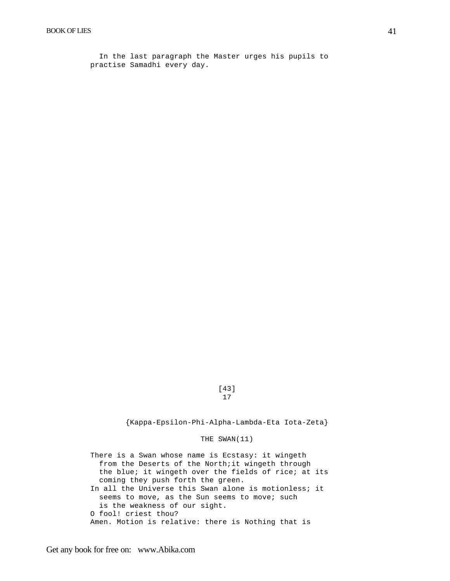In the last paragraph the Master urges his pupils to practise Samadhi every day.

### [43] 17

{Kappa-Epsilon-Phi-Alpha-Lambda-Eta Iota-Zeta}

#### THE SWAN(11)

 There is a Swan whose name is Ecstasy: it wingeth from the Deserts of the North;it wingeth through the blue; it wingeth over the fields of rice; at its coming they push forth the green. In all the Universe this Swan alone is motionless; it seems to move, as the Sun seems to move; such is the weakness of our sight. O fool! criest thou? Amen. Motion is relative: there is Nothing that is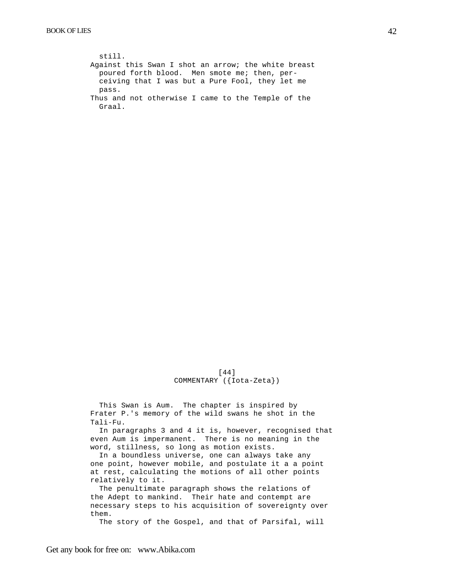still. Against this Swan I shot an arrow; the white breast poured forth blood. Men smote me; then, per ceiving that I was but a Pure Fool, they let me pass. Thus and not otherwise I came to the Temple of the Graal.

> [44] COMMENTARY ({Iota-Zeta})

 This Swan is Aum. The chapter is inspired by Frater P.'s memory of the wild swans he shot in the Tali-Fu.

 In paragraphs 3 and 4 it is, however, recognised that even Aum is impermanent. There is no meaning in the word, stillness, so long as motion exists.

 In a boundless universe, one can always take any one point, however mobile, and postulate it a a point at rest, calculating the motions of all other points relatively to it.

 The penultimate paragraph shows the relations of the Adept to mankind. Their hate and contempt are necessary steps to his acquisition of sovereignty over them.

The story of the Gospel, and that of Parsifal, will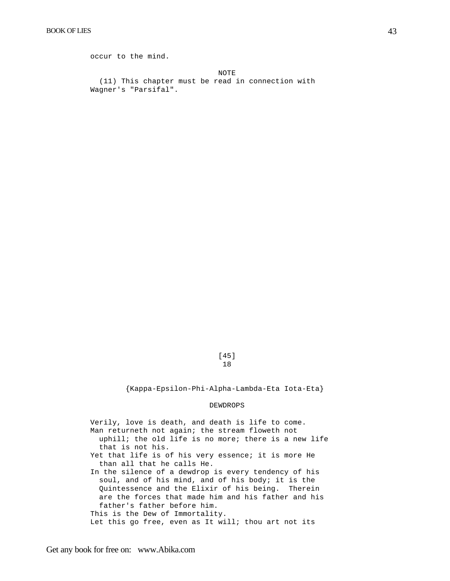occur to the mind. NOTE (11) This chapter must be read in connection with Wagner's "Parsifal".

 [45] 18

{Kappa-Epsilon-Phi-Alpha-Lambda-Eta Iota-Eta}

#### DEWDROPS

 Verily, love is death, and death is life to come. Man returneth not again; the stream floweth not uphill; the old life is no more; there is a new life that is not his. Yet that life is of his very essence; it is more He than all that he calls He. In the silence of a dewdrop is every tendency of his soul, and of his mind, and of his body; it is the Quintessence and the Elixir of his being. Therein are the forces that made him and his father and his father's father before him. This is the Dew of Immortality. Let this go free, even as It will; thou art not its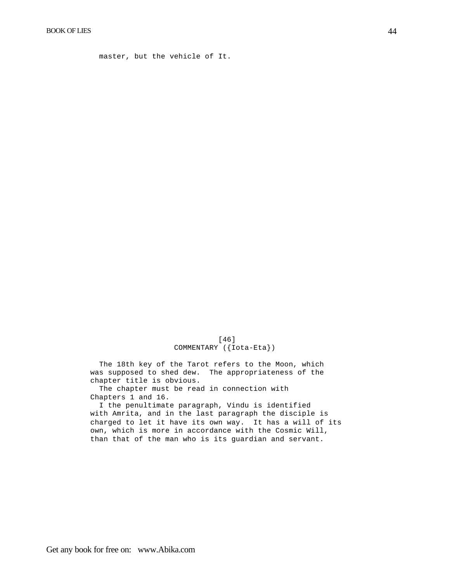master, but the vehicle of It.

# [46] COMMENTARY ({Iota-Eta})

 The 18th key of the Tarot refers to the Moon, which was supposed to shed dew. The appropriateness of the chapter title is obvious.

 The chapter must be read in connection with Chapters 1 and 16.

 I the penultimate paragraph, Vindu is identified with Amrita, and in the last paragraph the disciple is charged to let it have its own way. It has a will of its own, which is more in accordance with the Cosmic Will, than that of the man who is its guardian and servant.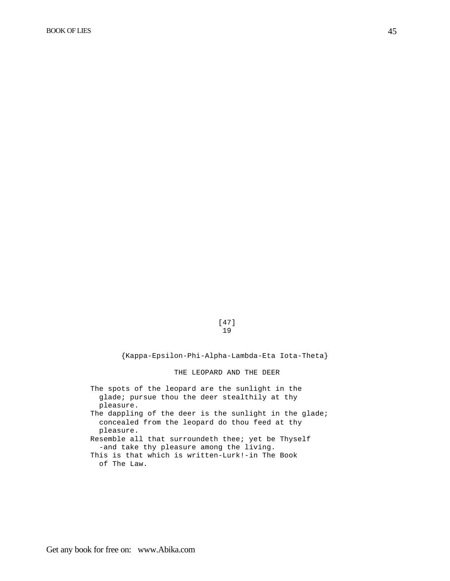[47] 19

{Kappa-Epsilon-Phi-Alpha-Lambda-Eta Iota-Theta}

THE LEOPARD AND THE DEER

 The spots of the leopard are the sunlight in the glade; pursue thou the deer stealthily at thy pleasure. The dappling of the deer is the sunlight in the glade; concealed from the leopard do thou feed at thy pleasure. Resemble all that surroundeth thee; yet be Thyself -and take thy pleasure among the living. This is that which is written-Lurk!-in The Book of The Law.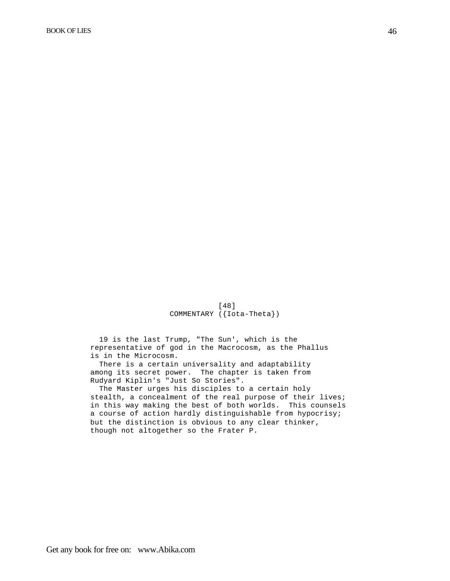[48] COMMENTARY ({Iota-Theta})

 19 is the last Trump, "The Sun', which is the representative of god in the Macrocosm, as the Phallus is in the Microcosm.

 There is a certain universality and adaptability among its secret power. The chapter is taken from Rudyard Kiplin's "Just So Stories".

 The Master urges his disciples to a certain holy stealth, a concealment of the real purpose of their lives; in this way making the best of both worlds. This counsels a course of action hardly distinguishable from hypocrisy; but the distinction is obvious to any clear thinker, though not altogether so the Frater P.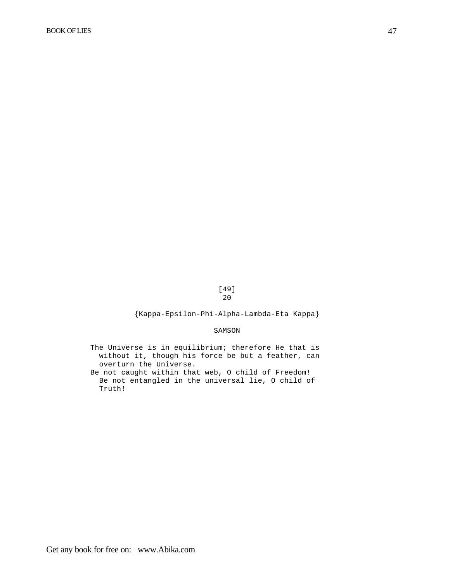[ 49 ]<br>20 20

{Kappa-Epsilon-Phi-Alpha-Lambda-Eta Kappa}

# SAMSON

 The Universe is in equilibrium; therefore He that is without it, though his force be but a feather, can overturn the Universe.

 Be not caught within that web, O child of Freedom! Be not entangled in the universal lie, O child of Truth!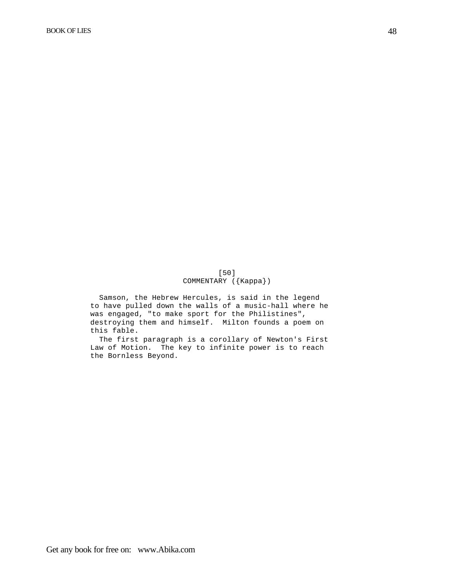# [50] COMMENTARY ({Kappa})

 Samson, the Hebrew Hercules, is said in the legend to have pulled down the walls of a music-hall where he was engaged, "to make sport for the Philistines", destroying them and himself. Milton founds a poem on this fable.

 The first paragraph is a corollary of Newton's First Law of Motion. The key to infinite power is to reach the Bornless Beyond.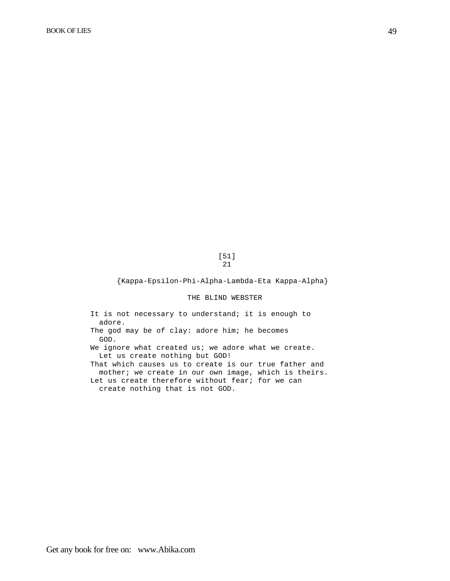[51]

21

{Kappa-Epsilon-Phi-Alpha-Lambda-Eta Kappa-Alpha}

# THE BLIND WEBSTER

It is not necessary to understand; it is enough to adore. The god may be of clay: adore him; he becomes GOD. We ignore what created us; we adore what we create. Let us create nothing but GOD! That which causes us to create is our true father and mother; we create in our own image, which is theirs. Let us create therefore without fear; for we can create nothing that is not GOD.

49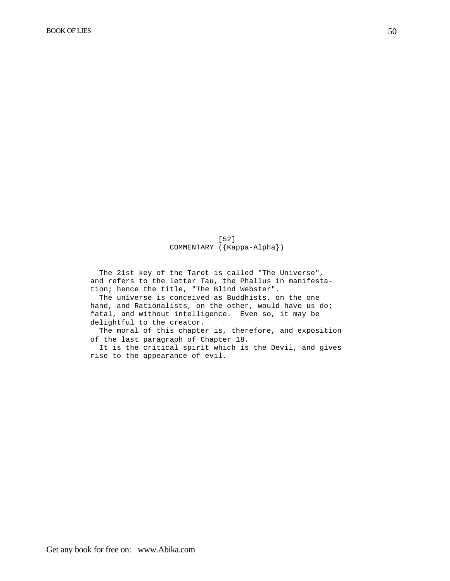[52] COMMENTARY ({Kappa-Alpha})

 The 21st key of the Tarot is called "The Universe", and refers to the letter Tau, the Phallus in manifesta tion; hence the title, "The Blind Webster".

 The universe is conceived as Buddhists, on the one hand, and Rationalists, on the other, would have us do; fatal, and without intelligence. Even so, it may be delightful to the creator.

 The moral of this chapter is, therefore, and exposition of the last paragraph of Chapter 18.

 It is the critical spirit which is the Devil, and gives rise to the appearance of evil.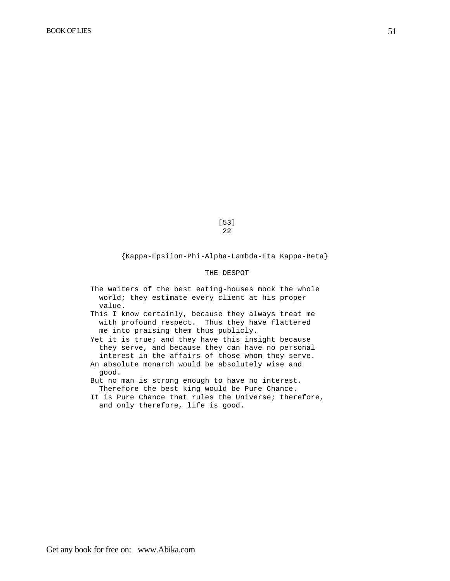[53]<br>22 22

{Kappa-Epsilon-Phi-Alpha-Lambda-Eta Kappa-Beta}

# THE DESPOT

| The waiters of the best eating-houses mock the whole |
|------------------------------------------------------|
| world; they estimate every client at his proper      |
| value.                                               |
| This I know certainly, because they always treat me  |
| with profound respect. Thus they have flattered      |
| me into praising them thus publicly.                 |
| Yet it is true; and they have this insight because   |
| they serve, and because they can have no personal    |
| interest in the affairs of those whom they serve.    |
| An absolute monarch would be absolutely wise and     |
| qood.                                                |
| But no man is strong enough to have no interest.     |
| Therefore the best king would be Pure Chance.        |

 It is Pure Chance that rules the Universe; therefore, and only therefore, life is good.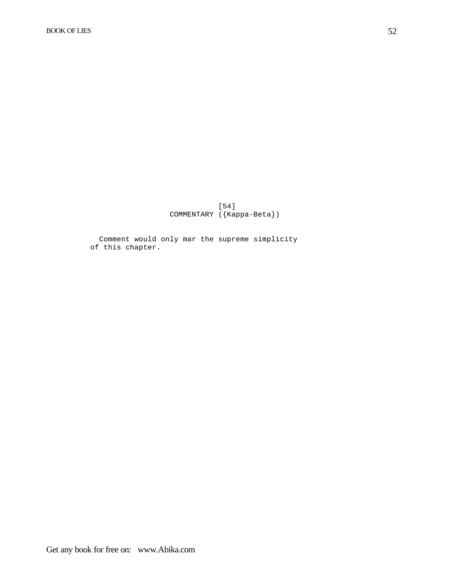[54] COMMENTARY ({Kappa-Beta})

 Comment would only mar the supreme simplicity of this chapter.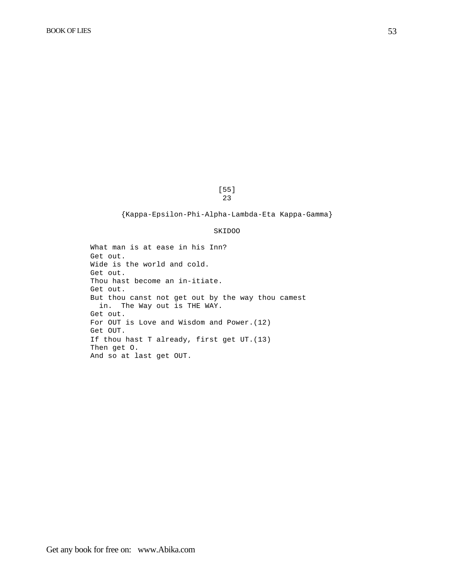$[55]$ 23

{Kappa-Epsilon-Phi-Alpha-Lambda-Eta Kappa-Gamma}

## SKIDOO

 What man is at ease in his Inn? Get out. Wide is the world and cold. Get out. Thou hast become an in-itiate. Get out. But thou canst not get out by the way thou camest in. The Way out is THE WAY. Get out. For OUT is Love and Wisdom and Power.(12) Get OUT. If thou hast T already, first get UT.(13) Then get O. And so at last get OUT.

53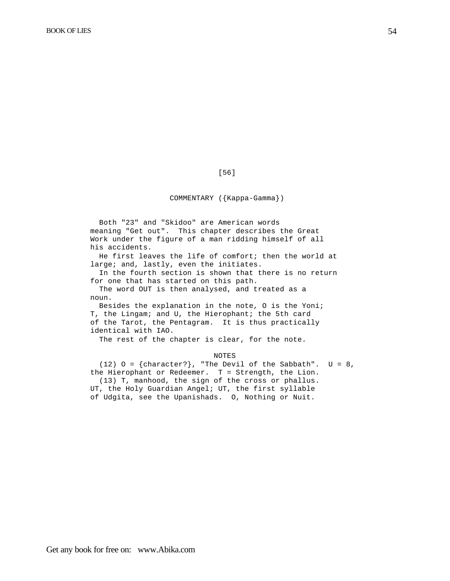[56]

COMMENTARY ({Kappa-Gamma})

 Both "23" and "Skidoo" are American words meaning "Get out". This chapter describes the Great Work under the figure of a man ridding himself of all his accidents.

 He first leaves the life of comfort; then the world at large; and, lastly, even the initiates.

 In the fourth section is shown that there is no return for one that has started on this path.

 The word OUT is then analysed, and treated as a noun.

 Besides the explanation in the note, O is the Yoni; T, the Lingam; and U, the Hierophant; the 5th card of the Tarot, the Pentagram. It is thus practically identical with IAO.

The rest of the chapter is clear, for the note.

NOTES

(12)  $0 = \{character? \}$ , "The Devil of the Sabbath".  $U = 8$ , the Hierophant or Redeemer. T = Strength, the Lion. (13) T, manhood, the sign of the cross or phallus. UT, the Holy Guardian Angel; UT, the first syllable of Udgita, see the Upanishads. O, Nothing or Nuit.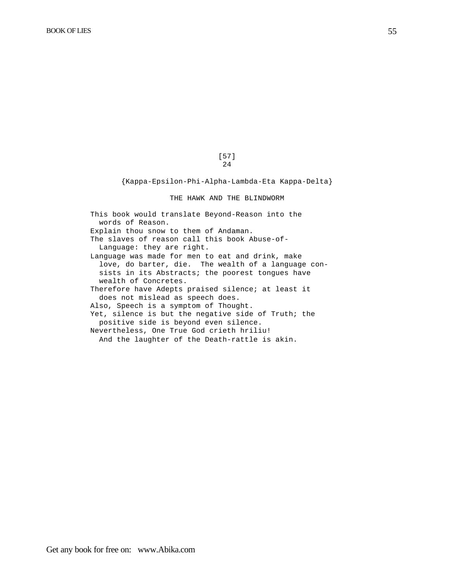[57] 24

{Kappa-Epsilon-Phi-Alpha-Lambda-Eta Kappa-Delta}

# THE HAWK AND THE BLINDWORM

 This book would translate Beyond-Reason into the words of Reason. Explain thou snow to them of Andaman. The slaves of reason call this book Abuse-of- Language: they are right. Language was made for men to eat and drink, make love, do barter, die. The wealth of a language con sists in its Abstracts; the poorest tongues have wealth of Concretes. Therefore have Adepts praised silence; at least it does not mislead as speech does. Also, Speech is a symptom of Thought. Yet, silence is but the negative side of Truth; the positive side is beyond even silence. Nevertheless, One True God crieth hriliu! And the laughter of the Death-rattle is akin.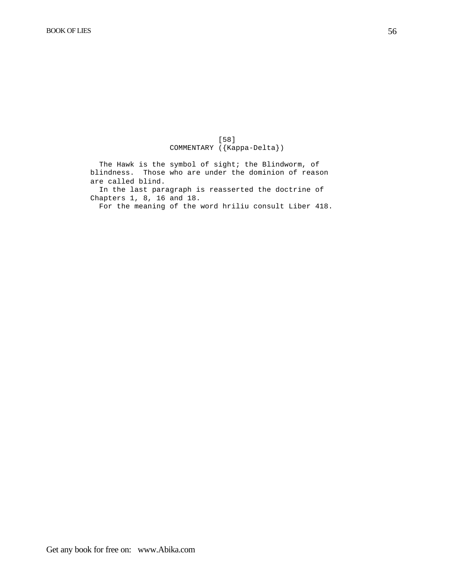[58] COMMENTARY ({Kappa-Delta})

 The Hawk is the symbol of sight; the Blindworm, of blindness. Those who are under the dominion of reason are called blind.

 In the last paragraph is reasserted the doctrine of Chapters 1, 8, 16 and 18.

For the meaning of the word hriliu consult Liber 418.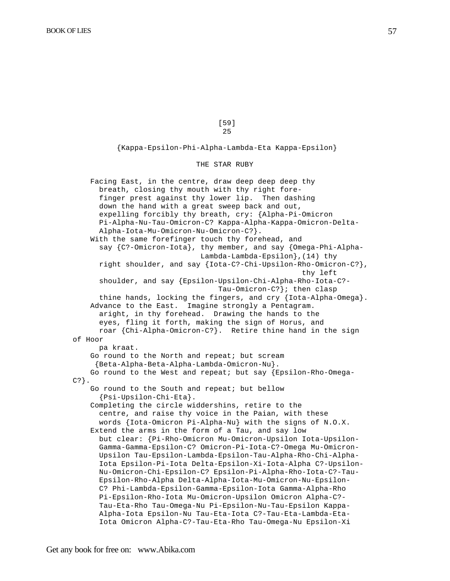[59] <u>25</u>

{Kappa-Epsilon-Phi-Alpha-Lambda-Eta Kappa-Epsilon}

THE STAR RUBY

 Facing East, in the centre, draw deep deep deep thy breath, closing thy mouth with thy right fore finger prest against thy lower lip. Then dashing down the hand with a great sweep back and out, expelling forcibly thy breath, cry: {Alpha-Pi-Omicron Pi-Alpha-Nu-Tau-Omicron-C? Kappa-Alpha-Kappa-Omicron-Delta- Alpha-Iota-Mu-Omicron-Nu-Omicron-C?}. With the same forefinger touch thy forehead, and say {C?-Omicron-Iota}, thy member, and say {Omega-Phi-Alpha- Lambda-Lambda-Epsilon},(14) thy right shoulder, and say {Iota-C?-Chi-Upsilon-Rho-Omicron-C?}, thy left shoulder, and say {Epsilon-Upsilon-Chi-Alpha-Rho-Iota-C?- Tau-Omicron-C?}; then clasp thine hands, locking the fingers, and cry {Iota-Alpha-Omega}. Advance to the East. Imagine strongly a Pentagram. aright, in thy forehead. Drawing the hands to the eyes, fling it forth, making the sign of Horus, and roar {Chi-Alpha-Omicron-C?}. Retire thine hand in the sign of Hoor pa kraat. Go round to the North and repeat; but scream {Beta-Alpha-Beta-Alpha-Lambda-Omicron-Nu}. Go round to the West and repeat; but say {Epsilon-Rho-Omega-C?}. Go round to the South and repeat; but bellow {Psi-Upsilon-Chi-Eta}. Completing the circle widdershins, retire to the centre, and raise thy voice in the Paian, with these words {Iota-Omicron Pi-Alpha-Nu} with the signs of N.O.X. Extend the arms in the form of a Tau, and say low but clear: {Pi-Rho-Omicron Mu-Omicron-Upsilon Iota-Upsilon- Gamma-Gamma-Epsilon-C? Omicron-Pi-Iota-C?-Omega Mu-Omicron- Upsilon Tau-Epsilon-Lambda-Epsilon-Tau-Alpha-Rho-Chi-Alpha- Iota Epsilon-Pi-Iota Delta-Epsilon-Xi-Iota-Alpha C?-Upsilon- Nu-Omicron-Chi-Epsilon-C? Epsilon-Pi-Alpha-Rho-Iota-C?-Tau- Epsilon-Rho-Alpha Delta-Alpha-Iota-Mu-Omicron-Nu-Epsilon- C? Phi-Lambda-Epsilon-Gamma-Epsilon-Iota Gamma-Alpha-Rho Pi-Epsilon-Rho-Iota Mu-Omicron-Upsilon Omicron Alpha-C?- Tau-Eta-Rho Tau-Omega-Nu Pi-Epsilon-Nu-Tau-Epsilon Kappa- Alpha-Iota Epsilon-Nu Tau-Eta-Iota C?-Tau-Eta-Lambda-Eta- Iota Omicron Alpha-C?-Tau-Eta-Rho Tau-Omega-Nu Epsilon-Xi

57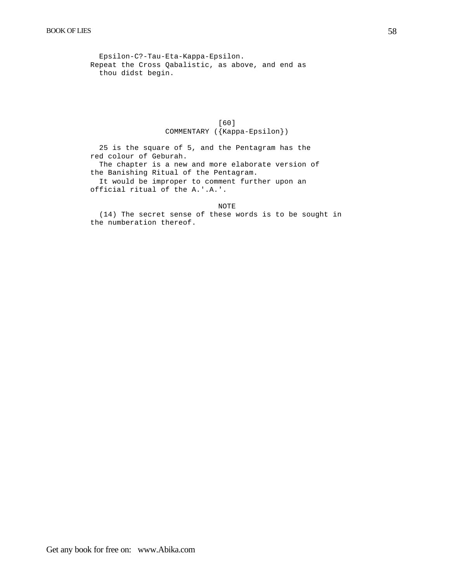Epsilon-C?-Tau-Eta-Kappa-Epsilon. Repeat the Cross Qabalistic, as above, and end as thou didst begin.

 [60] COMMENTARY ({Kappa-Epsilon})

 25 is the square of 5, and the Pentagram has the red colour of Geburah. The chapter is a new and more elaborate version of the Banishing Ritual of the Pentagram. It would be improper to comment further upon an official ritual of the A.'.A.'.

NOTE (14) The secret sense of these words is to be sought in the numberation thereof.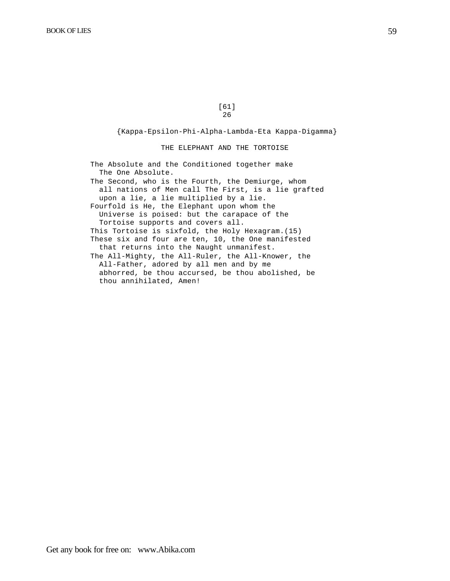[61] 26

{Kappa-Epsilon-Phi-Alpha-Lambda-Eta Kappa-Digamma}

THE ELEPHANT AND THE TORTOISE

 The Absolute and the Conditioned together make The One Absolute. The Second, who is the Fourth, the Demiurge, whom all nations of Men call The First, is a lie grafted upon a lie, a lie multiplied by a lie. Fourfold is He, the Elephant upon whom the Universe is poised: but the carapace of the Tortoise supports and covers all. This Tortoise is sixfold, the Holy Hexagram.(15) These six and four are ten, 10, the One manifested that returns into the Naught unmanifest. The All-Mighty, the All-Ruler, the All-Knower, the All-Father, adored by all men and by me abhorred, be thou accursed, be thou abolished, be thou annihilated, Amen!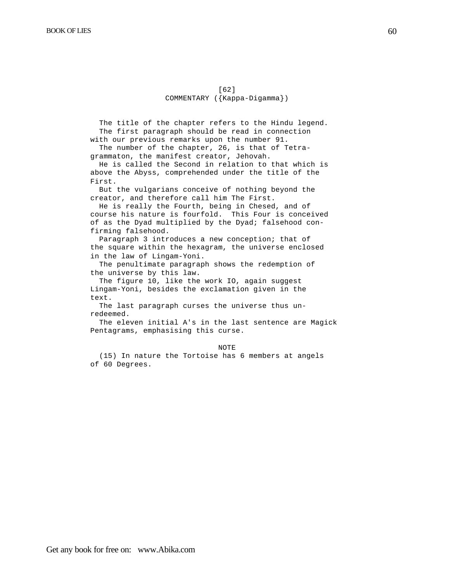The title of the chapter refers to the Hindu legend. The first paragraph should be read in connection with our previous remarks upon the number 91.

 The number of the chapter, 26, is that of Tetra grammaton, the manifest creator, Jehovah.

 He is called the Second in relation to that which is above the Abyss, comprehended under the title of the First.

 But the vulgarians conceive of nothing beyond the creator, and therefore call him The First.

 He is really the Fourth, being in Chesed, and of course his nature is fourfold. This Four is conceived of as the Dyad multiplied by the Dyad; falsehood con firming falsehood.

 Paragraph 3 introduces a new conception; that of the square within the hexagram, the universe enclosed in the law of Lingam-Yoni.

 The penultimate paragraph shows the redemption of the universe by this law.

 The figure 10, like the work IO, again suggest Lingam-Yoni, besides the exclamation given in the text.

 The last paragraph curses the universe thus un redeemed.

 The eleven initial A's in the last sentence are Magick Pentagrams, emphasising this curse.

NOTE

 (15) In nature the Tortoise has 6 members at angels of 60 Degrees.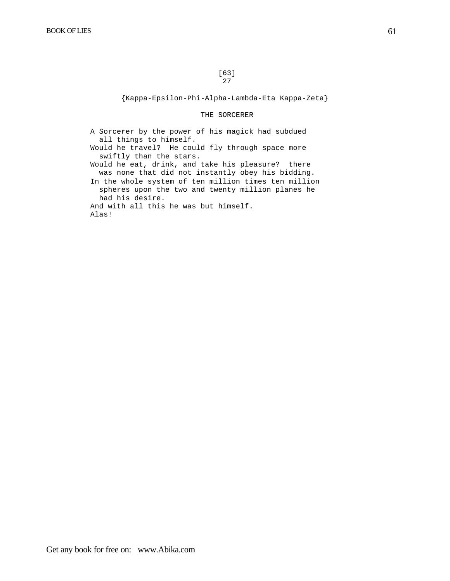# [63] 27

{Kappa-Epsilon-Phi-Alpha-Lambda-Eta Kappa-Zeta}

# THE SORCERER

 A Sorcerer by the power of his magick had subdued all things to himself. Would he travel? He could fly through space more swiftly than the stars. Would he eat, drink, and take his pleasure? there was none that did not instantly obey his bidding. In the whole system of ten million times ten million spheres upon the two and twenty million planes he had his desire. And with all this he was but himself. Alas!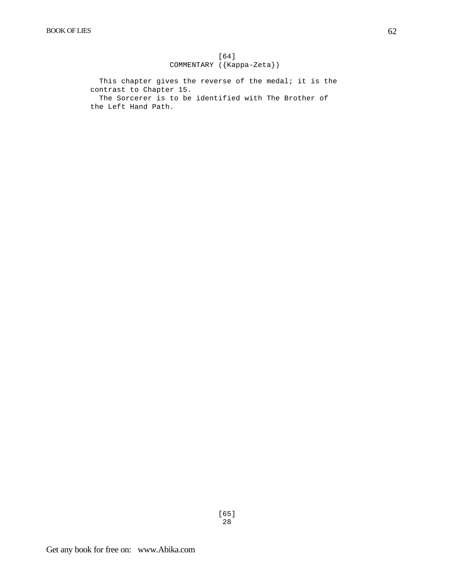[64] COMMENTARY ({Kappa-Zeta})

This chapter gives the reverse of the medal; it is the contrast to Chapter 15. The Sorcerer is to be identified with The Brother of the Left Hand Path.

[65]<br>28 28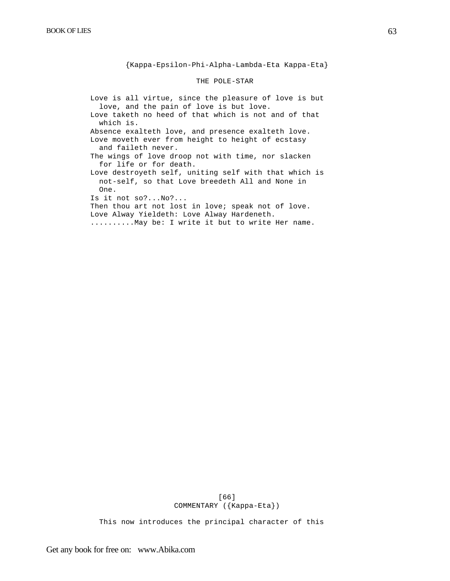{Kappa-Epsilon-Phi-Alpha-Lambda-Eta Kappa-Eta}

#### THE POLE-STAR

 Love is all virtue, since the pleasure of love is but love, and the pain of love is but love. Love taketh no heed of that which is not and of that which is. Absence exalteth love, and presence exalteth love. Love moveth ever from height to height of ecstasy and faileth never. The wings of love droop not with time, nor slacken for life or for death. Love destroyeth self, uniting self with that which is not-self, so that Love breedeth All and None in One. Is it not so?...No?... Then thou art not lost in love; speak not of love. Love Alway Yieldeth: Love Alway Hardeneth. ..........May be: I write it but to write Her name.

 [66] COMMENTARY ({Kappa-Eta})

This now introduces the principal character of this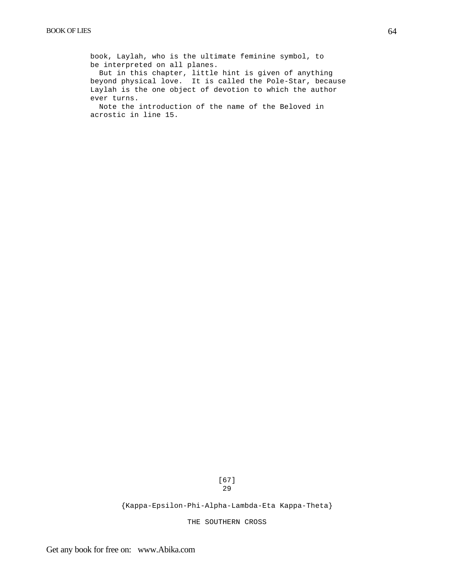book, Laylah, who is the ultimate feminine symbol, to be interpreted on all planes. But in this chapter, little hint is given of anything

 beyond physical love. It is called the Pole-Star, because Laylah is the one object of devotion to which the author ever turns.

 Note the introduction of the name of the Beloved in acrostic in line 15.

 [67] 29

{Kappa-Epsilon-Phi-Alpha-Lambda-Eta Kappa-Theta}

THE SOUTHERN CROSS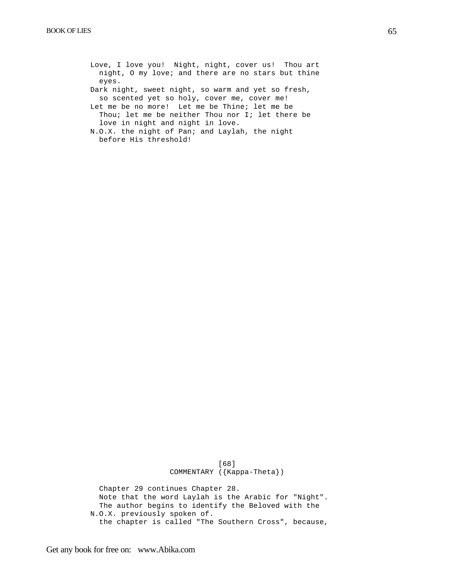Love, I love you! Night, night, cover us! Thou art night, O my love; and there are no stars but thine eyes. Dark night, sweet night, so warm and yet so fresh, so scented yet so holy, cover me, cover me! Let me be no more! Let me be Thine; let me be Thou; let me be neither Thou nor I; let there be love in night and night in love.

 N.O.X. the night of Pan; and Laylah, the night before His threshold!

 [68] COMMENTARY ({Kappa-Theta}) Chapter 29 continues Chapter 28. Note that the word Laylah is the Arabic for "Night".

 The author begins to identify the Beloved with the N.O.X. previously spoken of. the chapter is called "The Southern Cross", because,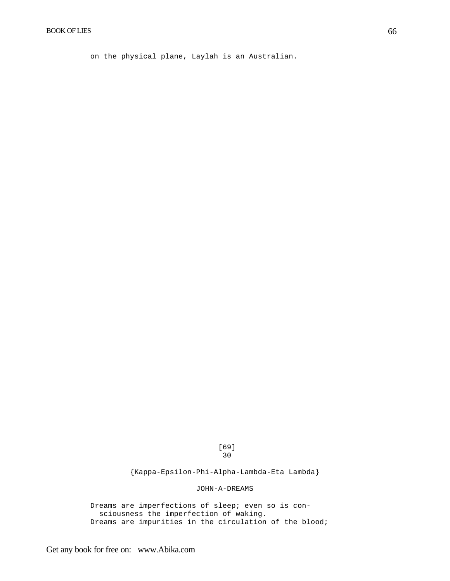on the physical plane, Laylah is an Australian.

 [69] 30

{Kappa-Epsilon-Phi-Alpha-Lambda-Eta Lambda}

JOHN-A-DREAMS

 Dreams are imperfections of sleep; even so is con sciousness the imperfection of waking. Dreams are impurities in the circulation of the blood;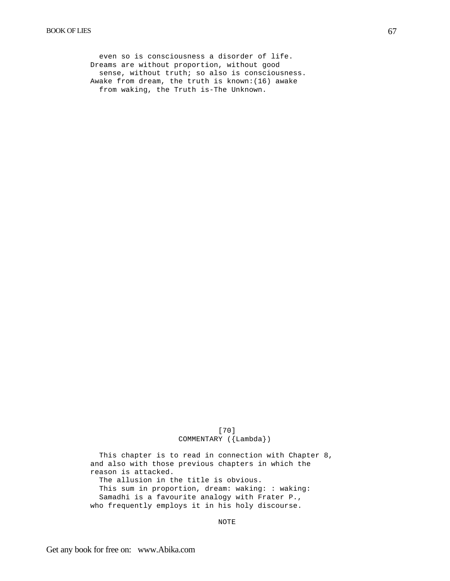even so is consciousness a disorder of life. Dreams are without proportion, without good sense, without truth; so also is consciousness. Awake from dream, the truth is known:(16) awake from waking, the Truth is-The Unknown.

# [70] COMMENTARY ({Lambda})

 This chapter is to read in connection with Chapter 8, and also with those previous chapters in which the reason is attacked. The allusion in the title is obvious. This sum in proportion, dream: waking: : waking: Samadhi is a favourite analogy with Frater P., who frequently employs it in his holy discourse.

NOTE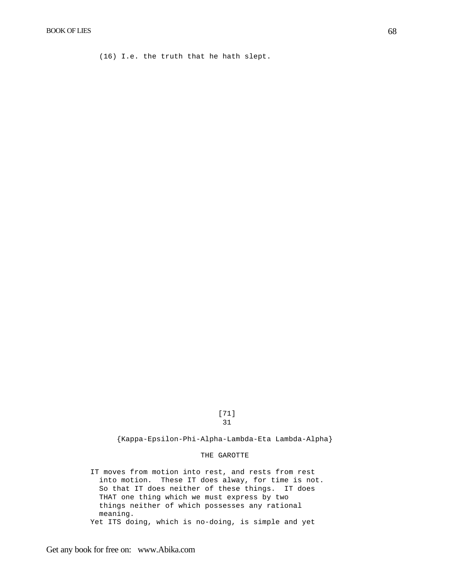(16) I.e. the truth that he hath slept.

 [71] 31

{Kappa-Epsilon-Phi-Alpha-Lambda-Eta Lambda-Alpha}

## THE GAROTTE

 IT moves from motion into rest, and rests from rest into motion. These IT does alway, for time is not. So that IT does neither of these things. IT does THAT one thing which we must express by two things neither of which possesses any rational meaning. Yet ITS doing, which is no-doing, is simple and yet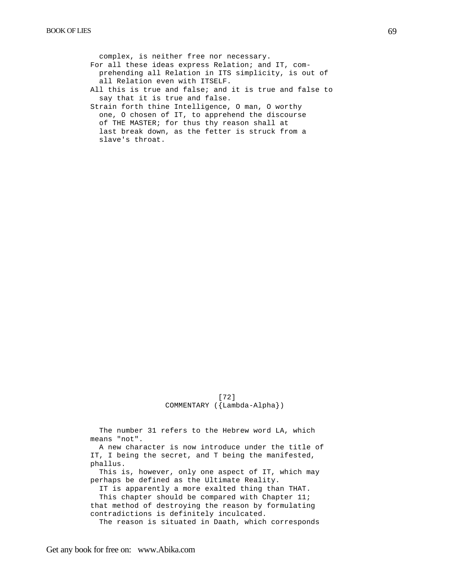complex, is neither free nor necessary. For all these ideas express Relation; and IT, com prehending all Relation in ITS simplicity, is out of all Relation even with ITSELF. All this is true and false; and it is true and false to say that it is true and false. Strain forth thine Intelligence, O man, O worthy

 one, O chosen of IT, to apprehend the discourse of THE MASTER; for thus thy reason shall at last break down, as the fetter is struck from a slave's throat.

 [72] COMMENTARY ({Lambda-Alpha})

 The number 31 refers to the Hebrew word LA, which means "not". A new character is now introduce under the title of IT, I being the secret, and T being the manifested, phallus. This is, however, only one aspect of IT, which may perhaps be defined as the Ultimate Reality. IT is apparently a more exalted thing than THAT. This chapter should be compared with Chapter 11; that method of destroying the reason by formulating contradictions is definitely inculcated. The reason is situated in Daath, which corresponds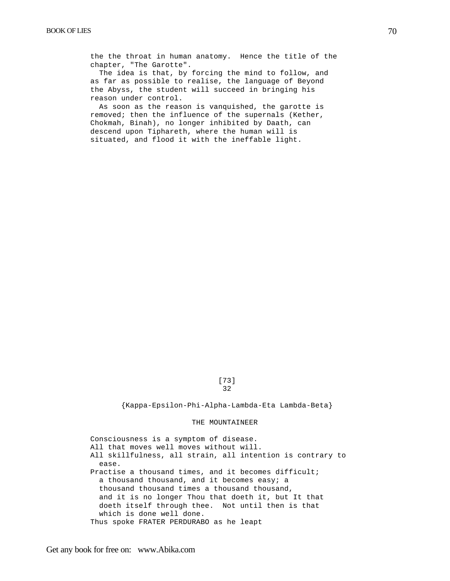the the throat in human anatomy. Hence the title of the chapter, "The Garotte".

 The idea is that, by forcing the mind to follow, and as far as possible to realise, the language of Beyond the Abyss, the student will succeed in bringing his reason under control.

 As soon as the reason is vanquished, the garotte is removed; then the influence of the supernals (Kether, Chokmah, Binah), no longer inhibited by Daath, can descend upon Tiphareth, where the human will is situated, and flood it with the ineffable light.

 [73] 32

{Kappa-Epsilon-Phi-Alpha-Lambda-Eta Lambda-Beta}

#### THE MOUNTAINEER

 Consciousness is a symptom of disease. All that moves well moves without will. All skillfulness, all strain, all intention is contrary to ease. Practise a thousand times, and it becomes difficult; a thousand thousand, and it becomes easy; a thousand thousand times a thousand thousand, and it is no longer Thou that doeth it, but It that doeth itself through thee. Not until then is that which is done well done. Thus spoke FRATER PERDURABO as he leapt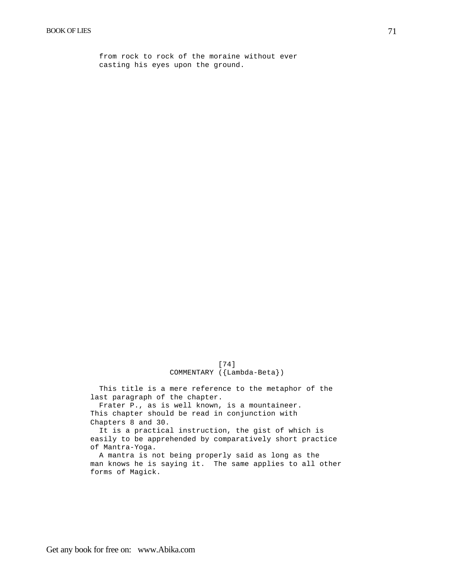from rock to rock of the moraine without ever casting his eyes upon the ground.

 [74] COMMENTARY ({Lambda-Beta})

 This title is a mere reference to the metaphor of the last paragraph of the chapter.

 Frater P., as is well known, is a mountaineer. This chapter should be read in conjunction with Chapters 8 and 30.

 It is a practical instruction, the gist of which is easily to be apprehended by comparatively short practice of Mantra-Yoga.

 A mantra is not being properly said as long as the man knows he is saying it. The same applies to all other forms of Magick.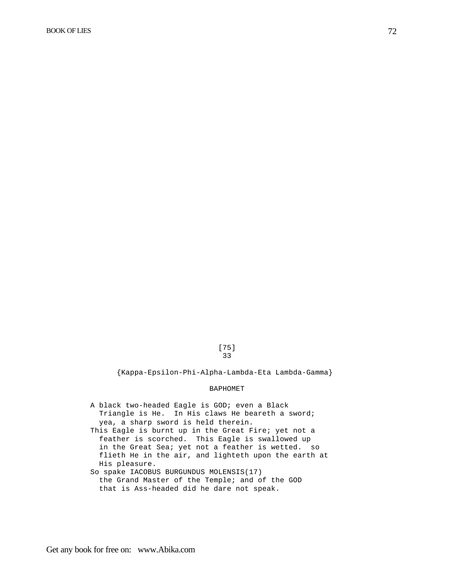[75] 33

{Kappa-Epsilon-Phi-Alpha-Lambda-Eta Lambda-Gamma}

### BAPHOMET

 A black two-headed Eagle is GOD; even a Black Triangle is He. In His claws He beareth a sword; yea, a sharp sword is held therein. This Eagle is burnt up in the Great Fire; yet not a feather is scorched. This Eagle is swallowed up in the Great Sea; yet not a feather is wetted. so flieth He in the air, and lighteth upon the earth at His pleasure. So spake IACOBUS BURGUNDUS MOLENSIS(17) the Grand Master of the Temple; and of the GOD that is Ass-headed did he dare not speak.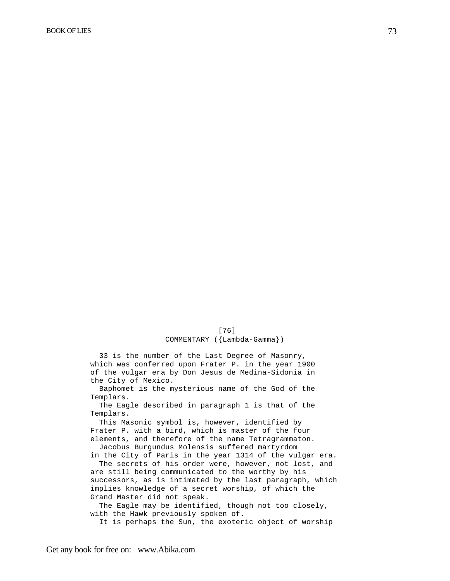# [76] COMMENTARY ({Lambda-Gamma})

 33 is the number of the Last Degree of Masonry, which was conferred upon Frater P. in the year 1900 of the vulgar era by Don Jesus de Medina-Sidonia in the City of Mexico.

 Baphomet is the mysterious name of the God of the Templars.

 The Eagle described in paragraph 1 is that of the Templars.

 This Masonic symbol is, however, identified by Frater P. with a bird, which is master of the four elements, and therefore of the name Tetragrammaton. Jacobus Burgundus Molensis suffered martyrdom

 in the City of Paris in the year 1314 of the vulgar era. The secrets of his order were, however, not lost, and are still being communicated to the worthy by his successors, as is intimated by the last paragraph, which implies knowledge of a secret worship, of which the

Grand Master did not speak.

 The Eagle may be identified, though not too closely, with the Hawk previously spoken of.

It is perhaps the Sun, the exoteric object of worship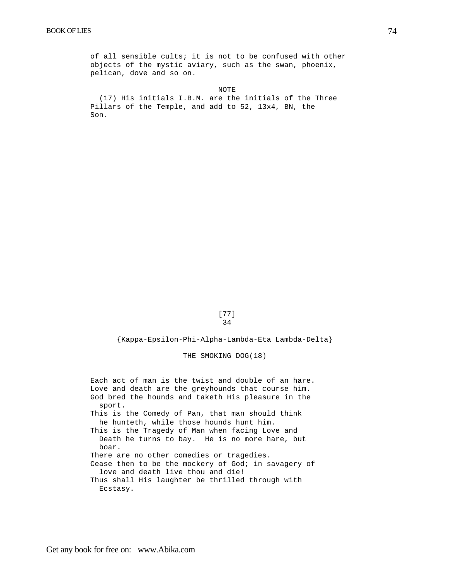of all sensible cults; it is not to be confused with other objects of the mystic aviary, such as the swan, phoenix, pelican, dove and so on.

NOTE

 (17) His initials I.B.M. are the initials of the Three Pillars of the Temple, and add to 52, 13x4, BN, the Son.

 [77] 34

{Kappa-Epsilon-Phi-Alpha-Lambda-Eta Lambda-Delta}

THE SMOKING DOG(18)

 Each act of man is the twist and double of an hare. Love and death are the greyhounds that course him. God bred the hounds and taketh His pleasure in the sport. This is the Comedy of Pan, that man should think he hunteth, while those hounds hunt him. This is the Tragedy of Man when facing Love and Death he turns to bay. He is no more hare, but boar. There are no other comedies or tragedies. Cease then to be the mockery of God; in savagery of love and death live thou and die! Thus shall His laughter be thrilled through with Ecstasy.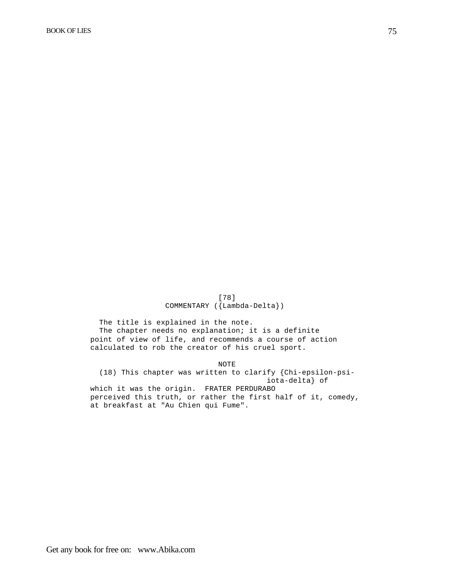[78] COMMENTARY ({Lambda-Delta})

 The title is explained in the note. The chapter needs no explanation; it is a definite point of view of life, and recommends a course of action calculated to rob the creator of his cruel sport.

NOTE

 (18) This chapter was written to clarify {Chi-epsilon-psi iota-delta} of which it was the origin. FRATER PERDURABO perceived this truth, or rather the first half of it, comedy, at breakfast at "Au Chien qui Fume".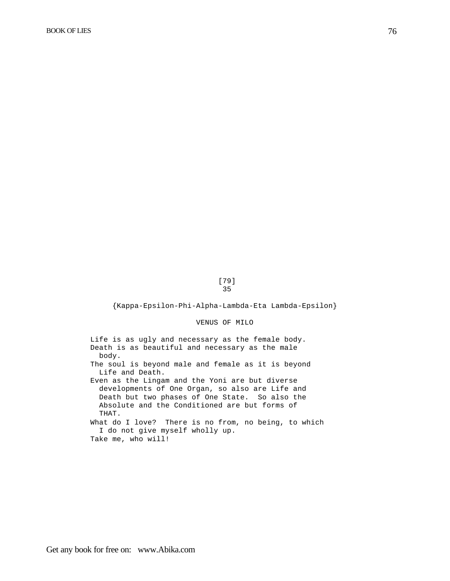[79] <u>35 and 2012 and 2013</u>

# {Kappa-Epsilon-Phi-Alpha-Lambda-Eta Lambda-Epsilon}

# VENUS OF MILO

 Life is as ugly and necessary as the female body. Death is as beautiful and necessary as the male body. The soul is beyond male and female as it is beyond Life and Death. Even as the Lingam and the Yoni are but diverse developments of One Organ, so also are Life and Death but two phases of One State. So also the Absolute and the Conditioned are but forms of THAT. What do I love? There is no from, no being, to which I do not give myself wholly up. Take me, who will!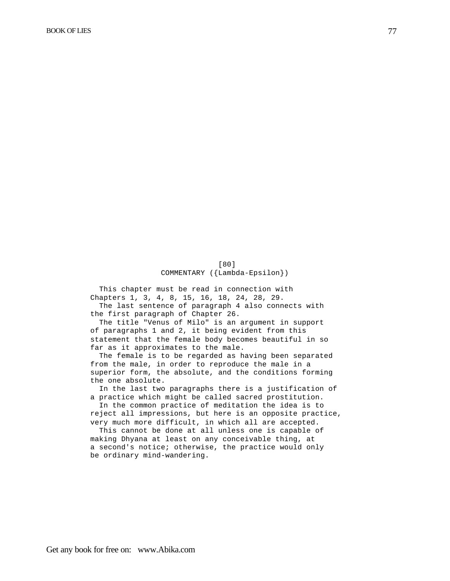[80] COMMENTARY ({Lambda-Epsilon})

 This chapter must be read in connection with Chapters 1, 3, 4, 8, 15, 16, 18, 24, 28, 29.

 The last sentence of paragraph 4 also connects with the first paragraph of Chapter 26.

 The title "Venus of Milo" is an argument in support of paragraphs 1 and 2, it being evident from this statement that the female body becomes beautiful in so far as it approximates to the male.

 The female is to be regarded as having been separated from the male, in order to reproduce the male in a superior form, the absolute, and the conditions forming the one absolute.

 In the last two paragraphs there is a justification of a practice which might be called sacred prostitution.

 In the common practice of meditation the idea is to reject all impressions, but here is an opposite practice, very much more difficult, in which all are accepted.

 This cannot be done at all unless one is capable of making Dhyana at least on any conceivable thing, at a second's notice; otherwise, the practice would only be ordinary mind-wandering.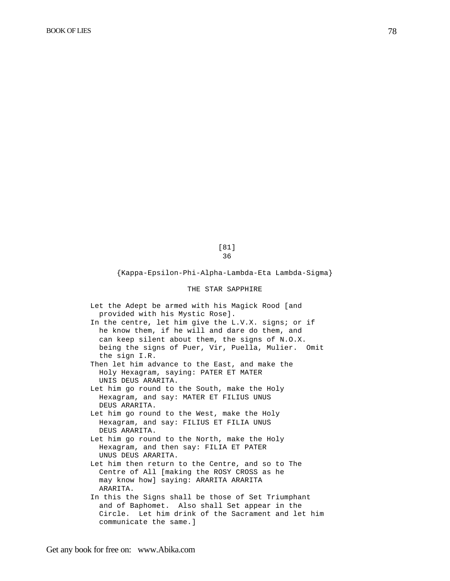[81] <u>36 and 36</u>

{Kappa-Epsilon-Phi-Alpha-Lambda-Eta Lambda-Sigma}

### THE STAR SAPPHIRE

 Let the Adept be armed with his Magick Rood [and provided with his Mystic Rose]. In the centre, let him give the L.V.X. signs; or if he know them, if he will and dare do them, and can keep silent about them, the signs of N.O.X. being the signs of Puer, Vir, Puella, Mulier. Omit the sign I.R. Then let him advance to the East, and make the Holy Hexagram, saying: PATER ET MATER UNIS DEUS ARARITA. Let him go round to the South, make the Holy Hexagram, and say: MATER ET FILIUS UNUS DEUS ARARITA. Let him go round to the West, make the Holy Hexagram, and say: FILIUS ET FILIA UNUS DEUS ARARITA. Let him go round to the North, make the Holy Hexagram, and then say: FILIA ET PATER UNUS DEUS ARARITA. Let him then return to the Centre, and so to The Centre of All [making the ROSY CROSS as he may know how] saying: ARARITA ARARITA ARARITA. In this the Signs shall be those of Set Triumphant and of Baphomet. Also shall Set appear in the Circle. Let him drink of the Sacrament and let him communicate the same.]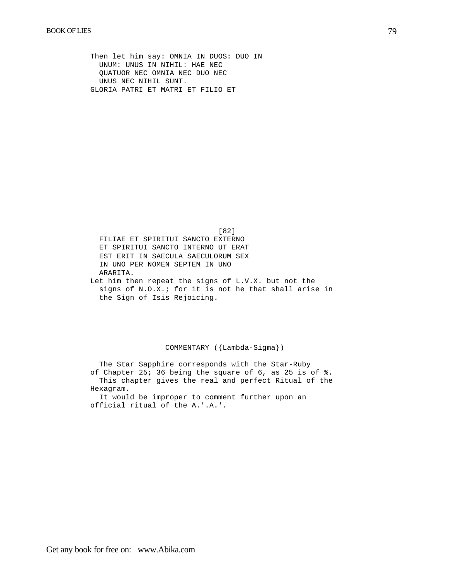Then let him say: OMNIA IN DUOS: DUO IN UNUM: UNUS IN NIHIL: HAE NEC QUATUOR NEC OMNIA NEC DUO NEC UNUS NEC NIHIL SUNT. GLORIA PATRI ET MATRI ET FILIO ET

 [82] FILIAE ET SPIRITUI SANCTO EXTERNO ET SPIRITUI SANCTO INTERNO UT ERAT EST ERIT IN SAECULA SAECULORUM SEX IN UNO PER NOMEN SEPTEM IN UNO ARARITA. Let him then repeat the signs of L.V.X. but not the signs of N.O.X.; for it is not he that shall arise in the Sign of Isis Rejoicing.

# COMMENTARY ({Lambda-Sigma})

 The Star Sapphire corresponds with the Star-Ruby of Chapter 25; 36 being the square of 6, as 25 is of %. This chapter gives the real and perfect Ritual of the Hexagram.

 It would be improper to comment further upon an official ritual of the A.'.A.'.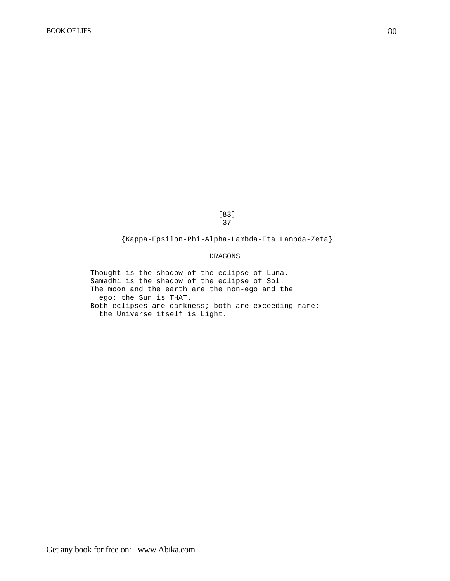[83] 37

{Kappa-Epsilon-Phi-Alpha-Lambda-Eta Lambda-Zeta}

# DRAGONS

 Thought is the shadow of the eclipse of Luna. Samadhi is the shadow of the eclipse of Sol. The moon and the earth are the non-ego and the ego: the Sun is THAT. Both eclipses are darkness; both are exceeding rare; the Universe itself is Light.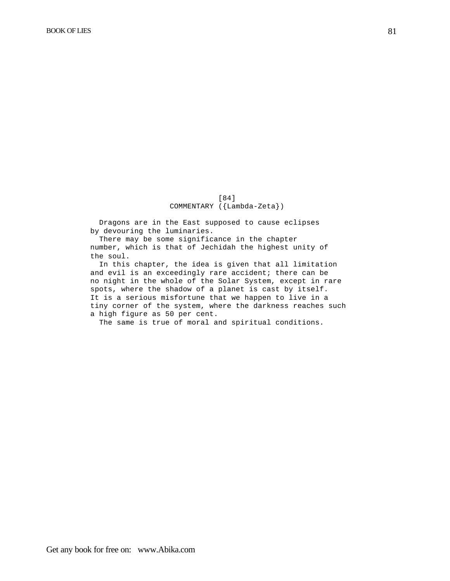# [84] COMMENTARY ({Lambda-Zeta})

 Dragons are in the East supposed to cause eclipses by devouring the luminaries.

 There may be some significance in the chapter number, which is that of Jechidah the highest unity of the soul.

 In this chapter, the idea is given that all limitation and evil is an exceedingly rare accident; there can be no night in the whole of the Solar System, except in rare spots, where the shadow of a planet is cast by itself. It is a serious misfortune that we happen to live in a tiny corner of the system, where the darkness reaches such a high figure as 50 per cent.

The same is true of moral and spiritual conditions.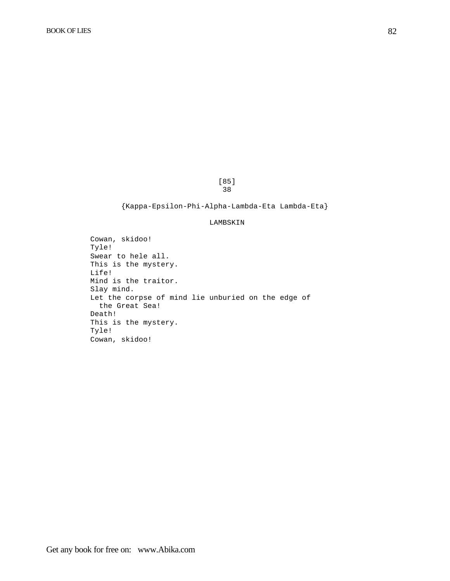[85] <u>38</u>

# {Kappa-Epsilon-Phi-Alpha-Lambda-Eta Lambda-Eta}

## LAMBSKIN

 Cowan, skidoo! Tyle! Swear to hele all. This is the mystery. Life! Mind is the traitor. Slay mind. Let the corpse of mind lie unburied on the edge of the Great Sea! Death! This is the mystery. Tyle! Cowan, skidoo!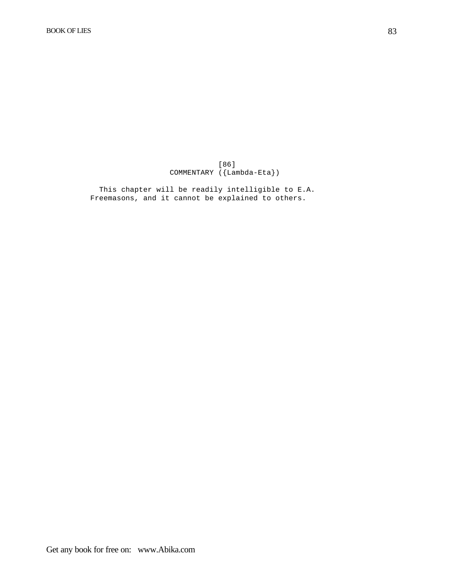[86] COMMENTARY ({Lambda-Eta})

 This chapter will be readily intelligible to E.A. Freemasons, and it cannot be explained to others.

83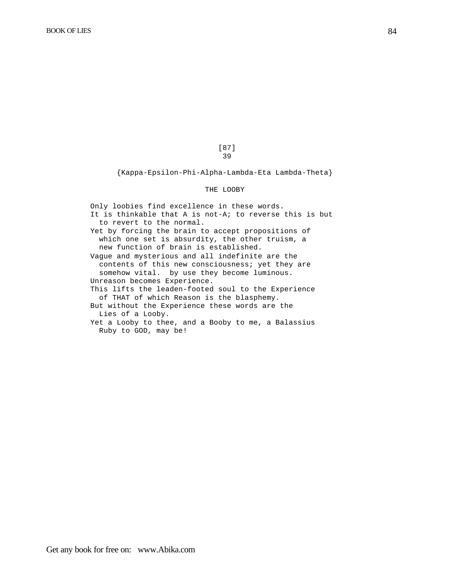[87] 39

{Kappa-Epsilon-Phi-Alpha-Lambda-Eta Lambda-Theta}

#### THE LOOBY

 Only loobies find excellence in these words. It is thinkable that A is not-A; to reverse this is but to revert to the normal. Yet by forcing the brain to accept propositions of which one set is absurdity, the other truism, a new function of brain is established. Vague and mysterious and all indefinite are the contents of this new consciousness; yet they are somehow vital. by use they become luminous. Unreason becomes Experience. This lifts the leaden-footed soul to the Experience of THAT of which Reason is the blasphemy. But without the Experience these words are the Lies of a Looby. Yet a Looby to thee, and a Booby to me, a Balassius Ruby to GOD, may be!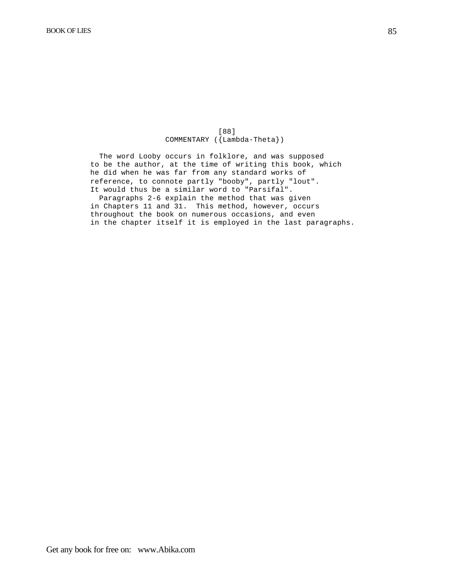[88] COMMENTARY ({Lambda-Theta})

 The word Looby occurs in folklore, and was supposed to be the author, at the time of writing this book, which he did when he was far from any standard works of reference, to connote partly "booby", partly "lout". It would thus be a similar word to "Parsifal".

 Paragraphs 2-6 explain the method that was given in Chapters 11 and 31. This method, however, occurs throughout the book on numerous occasions, and even in the chapter itself it is employed in the last paragraphs.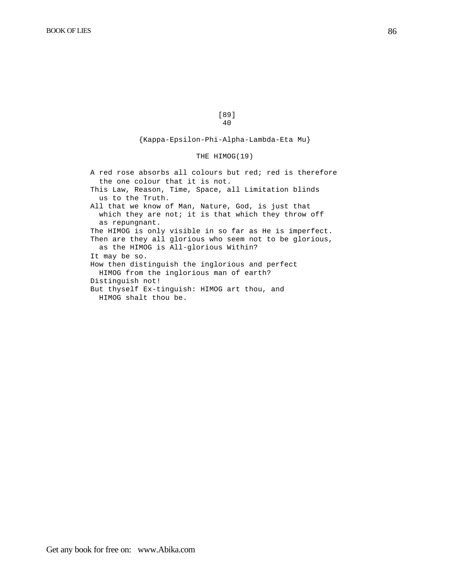[89] 40

## {Kappa-Epsilon-Phi-Alpha-Lambda-Eta Mu}

THE HIMOG(19)

 A red rose absorbs all colours but red; red is therefore the one colour that it is not. This Law, Reason, Time, Space, all Limitation blinds us to the Truth. All that we know of Man, Nature, God, is just that which they are not; it is that which they throw off as repungnant. The HIMOG is only visible in so far as He is imperfect. Then are they all glorious who seem not to be glorious, as the HIMOG is All-glorious Within? It may be so. How then distinguish the inglorious and perfect HIMOG from the inglorious man of earth? Distinguish not! But thyself Ex-tinguish: HIMOG art thou, and HIMOG shalt thou be.

86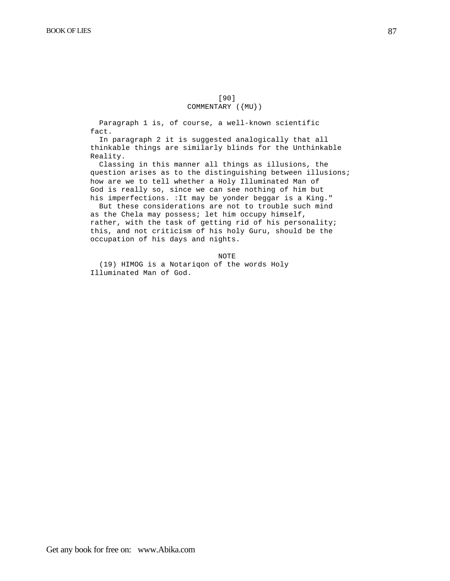#### [90] COMMENTARY ({MU})

 Paragraph 1 is, of course, a well-known scientific fact.

 In paragraph 2 it is suggested analogically that all thinkable things are similarly blinds for the Unthinkable Reality.

 Classing in this manner all things as illusions, the question arises as to the distinguishing between illusions; how are we to tell whether a Holy Illuminated Man of God is really so, since we can see nothing of him but his imperfections. :It may be yonder beggar is a King."

 But these considerations are not to trouble such mind as the Chela may possess; let him occupy himself, rather, with the task of getting rid of his personality; this, and not criticism of his holy Guru, should be the occupation of his days and nights.

NOTE (19) HIMOG is a Notariqon of the words Holy Illuminated Man of God.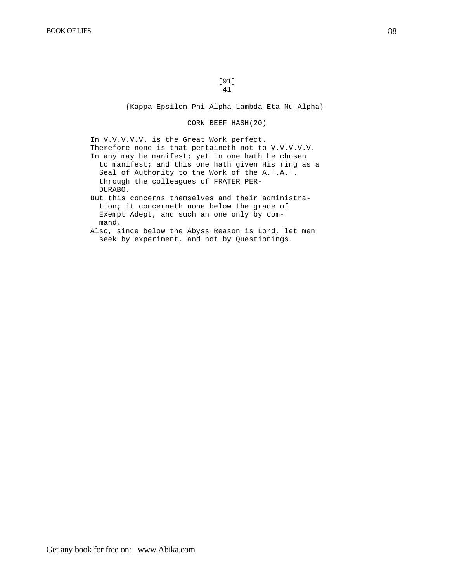## [91] 41

## {Kappa-Epsilon-Phi-Alpha-Lambda-Eta Mu-Alpha}

CORN BEEF HASH(20)

 In V.V.V.V.V. is the Great Work perfect. Therefore none is that pertaineth not to V.V.V.V.V. In any may he manifest; yet in one hath he chosen to manifest; and this one hath given His ring as a Seal of Authority to the Work of the A.'.A.'. through the colleagues of FRATER PER- DURABO. But this concerns themselves and their administra-

 tion; it concerneth none below the grade of Exempt Adept, and such an one only by com mand.

 Also, since below the Abyss Reason is Lord, let men seek by experiment, and not by Questionings.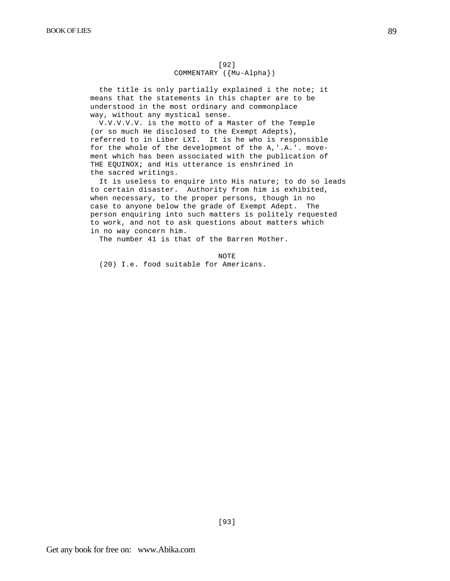# [92] COMMENTARY ({Mu-Alpha})

 the title is only partially explained i the note; it means that the statements in this chapter are to be understood in the most ordinary and commonplace way, without any mystical sense.

 V.V.V.V.V. is the motto of a Master of the Temple (or so much He disclosed to the Exempt Adepts), referred to in Liber LXI. It is he who is responsible for the whole of the development of the A,'.A.'. move ment which has been associated with the publication of THE EQUINOX; and His utterance is enshrined in the sacred writings.

It is useless to enquire into His nature; to do so leads to certain disaster. Authority from him is exhibited, when necessary, to the proper persons, though in no case to anyone below the grade of Exempt Adept. The person enquiring into such matters is politely requested to work, and not to ask questions about matters which in no way concern him.

The number 41 is that of the Barren Mother.

NOTE (20) I.e. food suitable for Americans.

89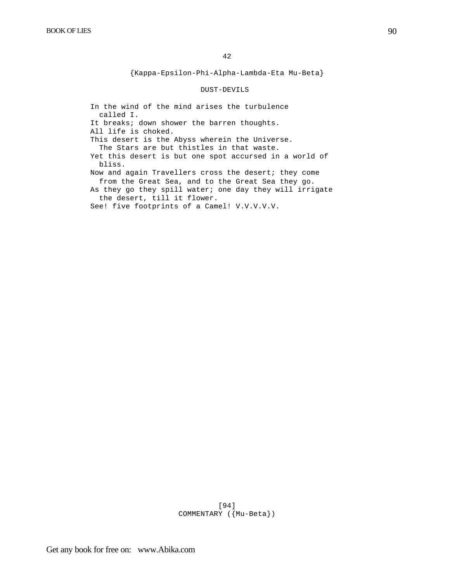{Kappa-Epsilon-Phi-Alpha-Lambda-Eta Mu-Beta}

# DUST-DEVILS

 In the wind of the mind arises the turbulence called I. It breaks; down shower the barren thoughts. All life is choked. This desert is the Abyss wherein the Universe. The Stars are but thistles in that waste. Yet this desert is but one spot accursed in a world of bliss. Now and again Travellers cross the desert; they come from the Great Sea, and to the Great Sea they go. As they go they spill water; one day they will irrigate the desert, till it flower. See! five footprints of a Camel! V.V.V.V.V.

 [94] COMMENTARY ({Mu-Beta})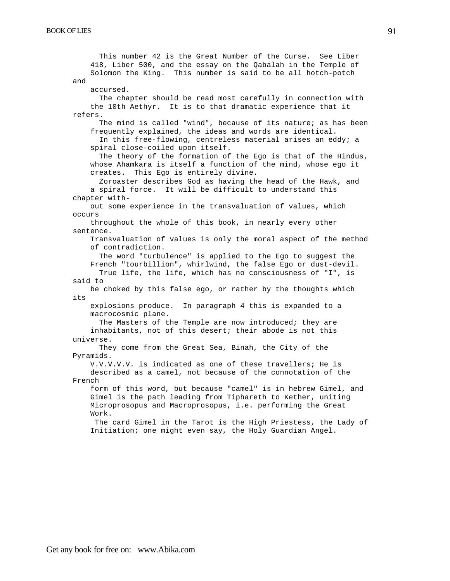This number 42 is the Great Number of the Curse. See Liber 418, Liber 500, and the essay on the Qabalah in the Temple of Solomon the King. This number is said to be all hotch-potch and accursed. The chapter should be read most carefully in connection with the 10th Aethyr. It is to that dramatic experience that it refers. The mind is called "wind", because of its nature; as has been frequently explained, the ideas and words are identical. In this free-flowing, centreless material arises an eddy; a spiral close-coiled upon itself. The theory of the formation of the Ego is that of the Hindus, whose Ahamkara is itself a function of the mind, whose ego it creates. This Ego is entirely divine. Zoroaster describes God as having the head of the Hawk, and a spiral force. It will be difficult to understand this chapter with out some experience in the transvaluation of values, which occurs throughout the whole of this book, in nearly every other sentence. Transvaluation of values is only the moral aspect of the method of contradiction. The word "turbulence" is applied to the Ego to suggest the French "tourbillion", whirlwind, the false Ego or dust-devil. True life, the life, which has no consciousness of "I", is said to be choked by this false ego, or rather by the thoughts which its explosions produce. In paragraph 4 this is expanded to a macrocosmic plane. The Masters of the Temple are now introduced; they are inhabitants, not of this desert; their abode is not this universe. They come from the Great Sea, Binah, the City of the Pyramids. V.V.V.V.V. is indicated as one of these travellers; He is described as a camel, not because of the connotation of the French form of this word, but because "camel" is in hebrew Gimel, and Gimel is the path leading from Tiphareth to Kether, uniting Microprosopus and Macroprosopus, i.e. performing the Great Work. The card Gimel in the Tarot is the High Priestess, the Lady of Initiation; one might even say, the Holy Guardian Angel.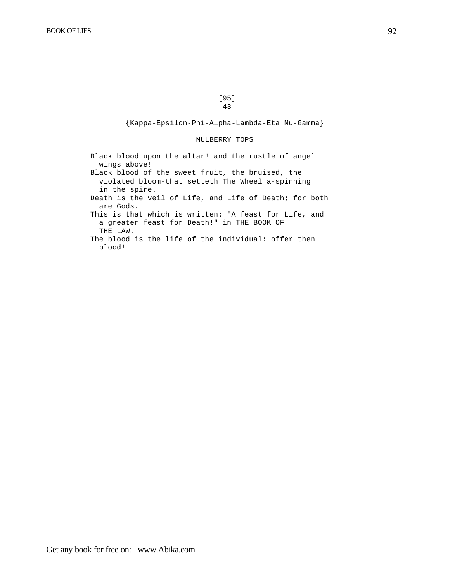## [95] 43

# {Kappa-Epsilon-Phi-Alpha-Lambda-Eta Mu-Gamma}

### MULBERRY TOPS

 Black blood upon the altar! and the rustle of angel wings above! Black blood of the sweet fruit, the bruised, the violated bloom-that setteth The Wheel a-spinning in the spire. Death is the veil of Life, and Life of Death; for both are Gods. This is that which is written: "A feast for Life, and a greater feast for Death!" in THE BOOK OF THE LAW. The blood is the life of the individual: offer then blood!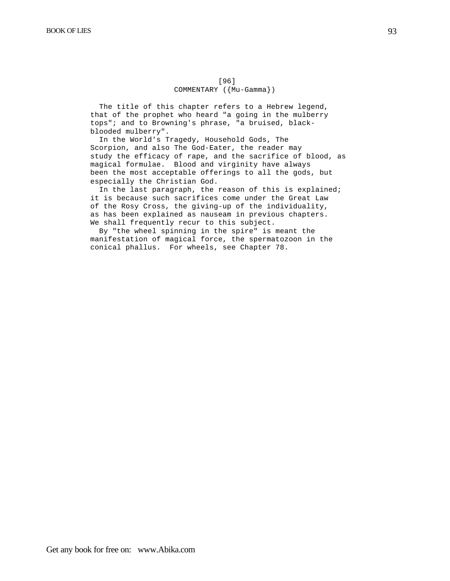#### [96] COMMENTARY ({Mu-Gamma})

 The title of this chapter refers to a Hebrew legend, that of the prophet who heard "a going in the mulberry tops"; and to Browning's phrase, "a bruised, black blooded mulberry".

 In the World's Tragedy, Household Gods, The Scorpion, and also The God-Eater, the reader may study the efficacy of rape, and the sacrifice of blood, as magical formulae. Blood and virginity have always been the most acceptable offerings to all the gods, but especially the Christian God.

In the last paragraph, the reason of this is explained; it is because such sacrifices come under the Great Law of the Rosy Cross, the giving-up of the individuality, as has been explained as nauseam in previous chapters. We shall frequently recur to this subject.

 By "the wheel spinning in the spire" is meant the manifestation of magical force, the spermatozoon in the conical phallus. For wheels, see Chapter 78.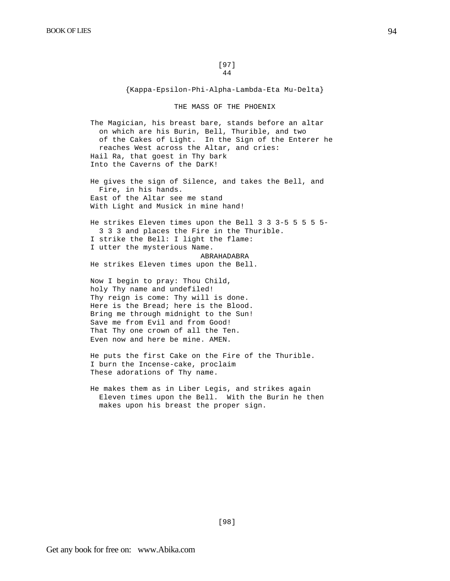[97]

44

 {Kappa-Epsilon-Phi-Alpha-Lambda-Eta Mu-Delta} THE MASS OF THE PHOENIX The Magician, his breast bare, stands before an altar on which are his Burin, Bell, Thurible, and two of the Cakes of Light. In the Sign of the Enterer he reaches West across the Altar, and cries: Hail Ra, that goest in Thy bark Into the Caverns of the DarK! He gives the sign of Silence, and takes the Bell, and Fire, in his hands. East of the Altar see me stand With Light and Musick in mine hand! He strikes Eleven times upon the Bell 3 3 3-5 5 5 5 5- 3 3 3 and places the Fire in the Thurible. I strike the Bell: I light the flame: I utter the mysterious Name. ABRAHADABRA He strikes Eleven times upon the Bell. Now I begin to pray: Thou Child, holy Thy name and undefiled! Thy reign is come: Thy will is done. Here is the Bread; here is the Blood. Bring me through midnight to the Sun! Save me from Evil and from Good! That Thy one crown of all the Ten. Even now and here be mine. AMEN.

 He puts the first Cake on the Fire of the Thurible. I burn the Incense-cake, proclaim These adorations of Thy name.

 He makes them as in Liber Legis, and strikes again Eleven times upon the Bell. With the Burin he then makes upon his breast the proper sign.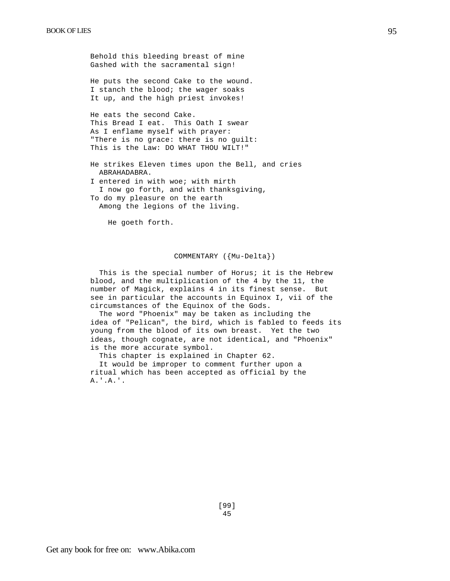Behold this bleeding breast of mine Gashed with the sacramental sign!

 He puts the second Cake to the wound. I stanch the blood; the wager soaks It up, and the high priest invokes!

 He eats the second Cake. This Bread I eat. This Oath I swear As I enflame myself with prayer: "There is no grace: there is no guilt: This is the Law: DO WHAT THOU WILT!"

 He strikes Eleven times upon the Bell, and cries ABRAHADABRA.

 I entered in with woe; with mirth I now go forth, and with thanksgiving, To do my pleasure on the earth Among the legions of the living.

He goeth forth.

#### COMMENTARY ({Mu-Delta})

 This is the special number of Horus; it is the Hebrew blood, and the multiplication of the 4 by the 11, the number of Magick, explains 4 in its finest sense. But see in particular the accounts in Equinox I, vii of the circumstances of the Equinox of the Gods.

 The word "Phoenix" may be taken as including the idea of "Pelican", the bird, which is fabled to feeds its young from the blood of its own breast. Yet the two ideas, though cognate, are not identical, and "Phoenix" is the more accurate symbol.

This chapter is explained in Chapter 62.

 It would be improper to comment further upon a ritual which has been accepted as official by the A.'.A.'.

 [99] 45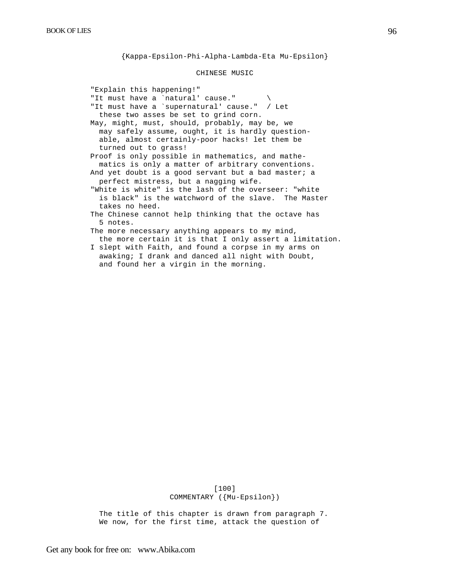## {Kappa-Epsilon-Phi-Alpha-Lambda-Eta Mu-Epsilon}

#### CHINESE MUSIC

 "Explain this happening!" "It must have a `natural' cause." \ "It must have a `supernatural' cause." / Let these two asses be set to grind corn. May, might, must, should, probably, may be, we may safely assume, ought, it is hardly question able, almost certainly-poor hacks! let them be turned out to grass! Proof is only possible in mathematics, and mathe matics is only a matter of arbitrary conventions. And yet doubt is a good servant but a bad master; a perfect mistress, but a nagging wife. "White is white" is the lash of the overseer: "white is black" is the watchword of the slave. The Master takes no heed. The Chinese cannot help thinking that the octave has 5 notes. The more necessary anything appears to my mind, the more certain it is that I only assert a limitation. I slept with Faith, and found a corpse in my arms on awaking; I drank and danced all night with Doubt,

and found her a virgin in the morning.

 [100] COMMENTARY ({Mu-Epsilon})

 The title of this chapter is drawn from paragraph 7. We now, for the first time, attack the question of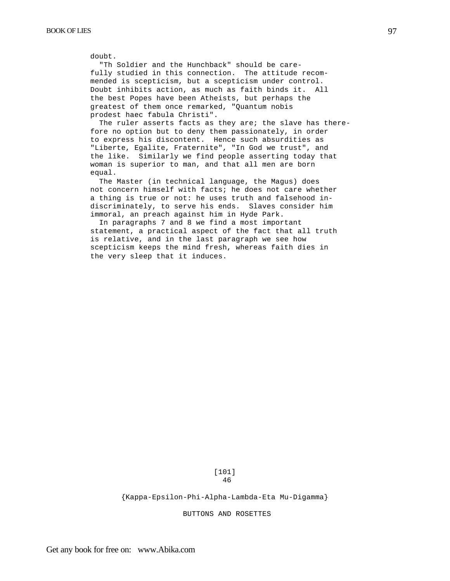doubt.

 "Th Soldier and the Hunchback" should be care fully studied in this connection. The attitude recom mended is scepticism, but a scepticism under control. Doubt inhibits action, as much as faith binds it. All the best Popes have been Atheists, but perhaps the greatest of them once remarked, "Quantum nobis prodest haec fabula Christi".

The ruler asserts facts as they are; the slave has there fore no option but to deny them passionately, in order to express his discontent. Hence such absurdities as "Liberte, Egalite, Fraternite", "In God we trust", and the like. Similarly we find people asserting today that woman is superior to man, and that all men are born equal.

 The Master (in technical language, the Magus) does not concern himself with facts; he does not care whether a thing is true or not: he uses truth and falsehood in discriminately, to serve his ends. Slaves consider him immoral, an preach against him in Hyde Park.

 In paragraphs 7 and 8 we find a most important statement, a practical aspect of the fact that all truth is relative, and in the last paragraph we see how scepticism keeps the mind fresh, whereas faith dies in the very sleep that it induces.

 [101] 46

{Kappa-Epsilon-Phi-Alpha-Lambda-Eta Mu-Digamma}

BUTTONS AND ROSETTES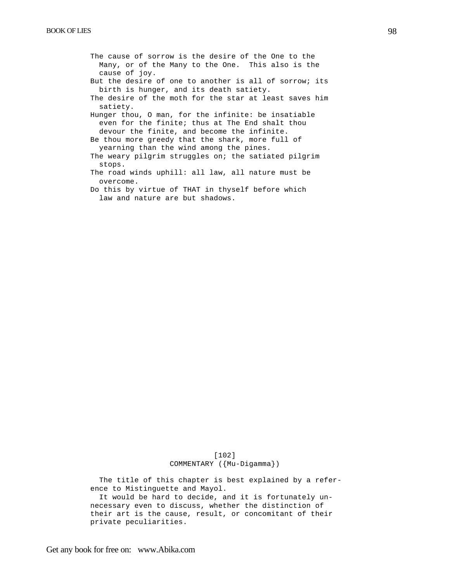The cause of sorrow is the desire of the One to the Many, or of the Many to the One. This also is the cause of joy. But the desire of one to another is all of sorrow; its birth is hunger, and its death satiety. The desire of the moth for the star at least saves him satiety. Hunger thou, O man, for the infinite: be insatiable even for the finite; thus at The End shalt thou devour the finite, and become the infinite. Be thou more greedy that the shark, more full of yearning than the wind among the pines. The weary pilgrim struggles on; the satiated pilgrim stops. The road winds uphill: all law, all nature must be overcome. Do this by virtue of THAT in thyself before which

law and nature are but shadows.

 [102] COMMENTARY ({Mu-Digamma})

 The title of this chapter is best explained by a refer ence to Mistinguette and Mayol. It would be hard to decide, and it is fortunately un necessary even to discuss, whether the distinction of their art is the cause, result, or concomitant of their private peculiarities.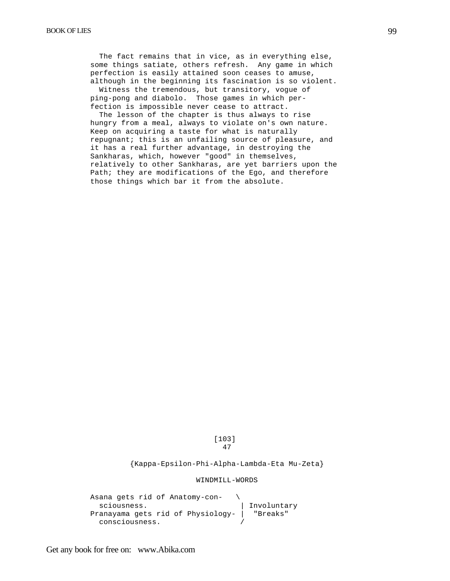The fact remains that in vice, as in everything else, some things satiate, others refresh. Any game in which perfection is easily attained soon ceases to amuse, although in the beginning its fascination is so violent.

 Witness the tremendous, but transitory, vogue of ping-pong and diabolo. Those games in which per fection is impossible never cease to attract.

 The lesson of the chapter is thus always to rise hungry from a meal, always to violate on's own nature. Keep on acquiring a taste for what is naturally repugnant; this is an unfailing source of pleasure, and it has a real further advantage, in destroying the Sankharas, which, however "good" in themselves, relatively to other Sankharas, are yet barriers upon the Path; they are modifications of the Ego, and therefore those things which bar it from the absolute.

 [103] 47

{Kappa-Epsilon-Phi-Alpha-Lambda-Eta Mu-Zeta}

WINDMILL-WORDS

 Asana gets rid of Anatomy-con- \ sciousness. | Involuntary Pranayama gets rid of Physiology- | "Breaks" consciousness. /

Get any book for free on: www.Abika.com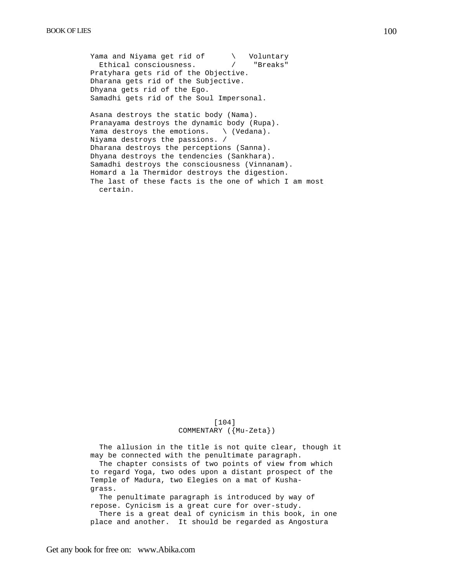Yama and Niyama get rid of  $\qquad \setminus \quad$  Voluntary Ethical consciousness. / "Breaks" Pratyhara gets rid of the Objective. Dharana gets rid of the Subjective. Dhyana gets rid of the Ego. Samadhi gets rid of the Soul Impersonal.

 Asana destroys the static body (Nama). Pranayama destroys the dynamic body (Rupa). Yama destroys the emotions.  $\setminus$  (Vedana). Niyama destroys the passions. / Dharana destroys the perceptions (Sanna). Dhyana destroys the tendencies (Sankhara). Samadhi destroys the consciousness (Vinnanam). Homard a la Thermidor destroys the digestion. The last of these facts is the one of which I am most certain.

## [104] COMMENTARY ({Mu-Zeta})

 The allusion in the title is not quite clear, though it may be connected with the penultimate paragraph. The chapter consists of two points of view from which to regard Yoga, two odes upon a distant prospect of the Temple of Madura, two Elegies on a mat of Kusha grass. The penultimate paragraph is introduced by way of repose. Cynicism is a great cure for over-study. There is a great deal of cynicism in this book, in one place and another. It should be regarded as Angostura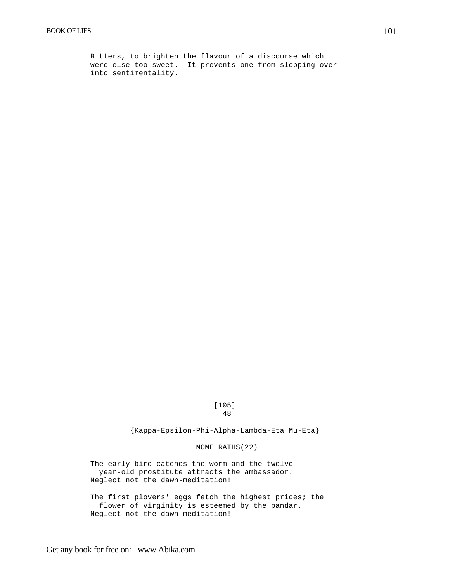Bitters, to brighten the flavour of a discourse which were else too sweet. It prevents one from slopping over into sentimentality.

# [105] 48

{Kappa-Epsilon-Phi-Alpha-Lambda-Eta Mu-Eta}

MOME RATHS(22)

 The early bird catches the worm and the twelve year-old prostitute attracts the ambassador. Neglect not the dawn-meditation!

 The first plovers' eggs fetch the highest prices; the flower of virginity is esteemed by the pandar. Neglect not the dawn-meditation!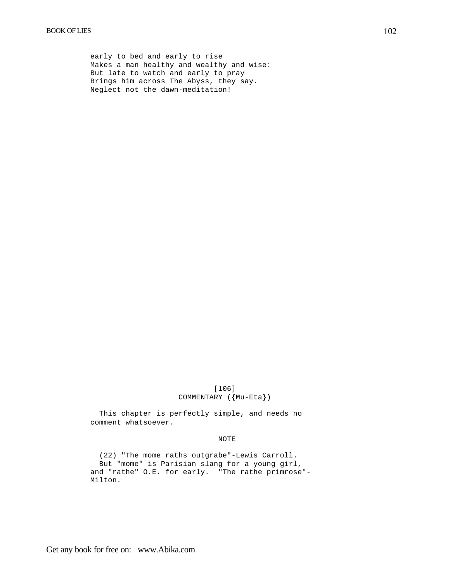early to bed and early to rise Makes a man healthy and wealthy and wise: But late to watch and early to pray Brings him across The Abyss, they say. Neglect not the dawn-meditation!

# [106] COMMENTARY ({Mu-Eta})

 This chapter is perfectly simple, and needs no comment whatsoever.

#### NOTE

 (22) "The mome raths outgrabe"-Lewis Carroll. But "mome" is Parisian slang for a young girl, and "rathe" O.E. for early. "The rathe primrose"- Milton.

Get any book for free on: www.Abika.com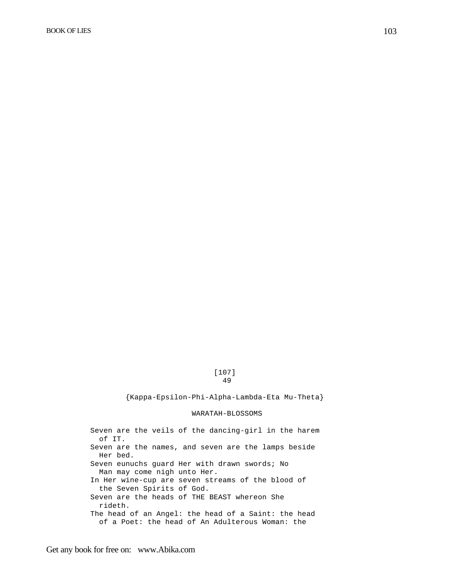# [107] 49

#### {Kappa-Epsilon-Phi-Alpha-Lambda-Eta Mu-Theta}

## WARATAH-BLOSSOMS

 Seven are the veils of the dancing-girl in the harem of IT. Seven are the names, and seven are the lamps beside Her bed. Seven eunuchs guard Her with drawn swords; No Man may come nigh unto Her. In Her wine-cup are seven streams of the blood of the Seven Spirits of God. Seven are the heads of THE BEAST whereon She rideth. The head of an Angel: the head of a Saint: the head of a Poet: the head of An Adulterous Woman: the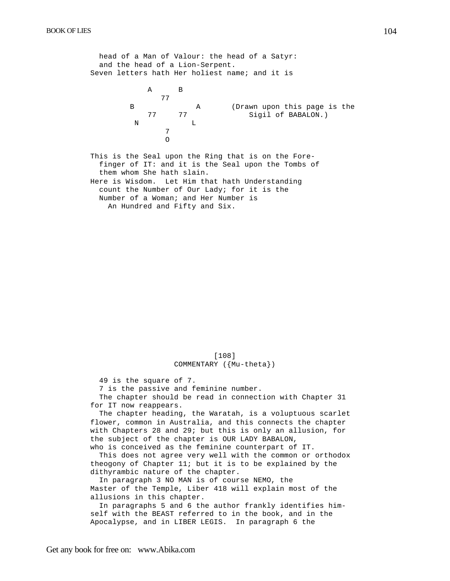head of a Man of Valour: the head of a Satyr: and the head of a Lion-Serpent. Seven letters hath Her holiest name; and it is A B 77 B A (Drawn upon this page is the 77 77 Sigil of BARALON.) 77 77 Sigil of BABALON.) N L 7 **Only the Contract of Contract of Contract of Contract of Contract of Contract of Contract of Contract of Contract of Contract of Contract of Contract of Contract of Contract of Contract of Contract of Contract of Contract**  This is the Seal upon the Ring that is on the Fore finger of IT: and it is the Seal upon the Tombs of them whom She hath slain. Here is Wisdom. Let Him that hath Understanding count the Number of Our Lady; for it is the

 Number of a Woman; and Her Number is An Hundred and Fifty and Six.

### [108] COMMENTARY ({Mu-theta})

49 is the square of 7.

7 is the passive and feminine number.

 The chapter should be read in connection with Chapter 31 for IT now reappears.

 The chapter heading, the Waratah, is a voluptuous scarlet flower, common in Australia, and this connects the chapter with Chapters 28 and 29; but this is only an allusion, for the subject of the chapter is OUR LADY BABALON, who is conceived as the feminine counterpart of IT.

 This does not agree very well with the common or orthodox theogony of Chapter 11; but it is to be explained by the dithyrambic nature of the chapter.

 In paragraph 3 NO MAN is of course NEMO, the Master of the Temple, Liber 418 will explain most of the allusions in this chapter.

 In paragraphs 5 and 6 the author frankly identifies him self with the BEAST referred to in the book, and in the Apocalypse, and in LIBER LEGIS. In paragraph 6 the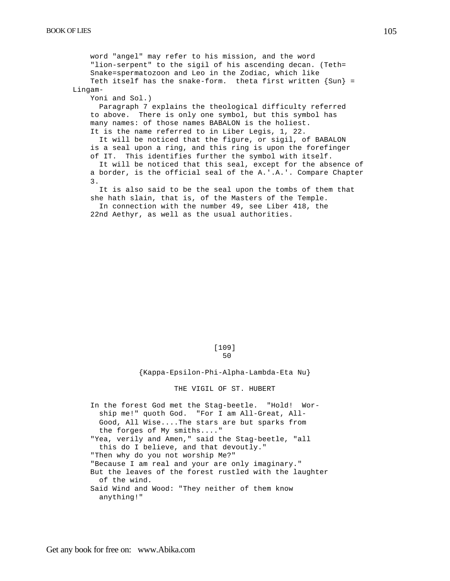word "angel" may refer to his mission, and the word "lion-serpent" to the sigil of his ascending decan. (Teth= Snake=spermatozoon and Leo in the Zodiac, which like Teth itself has the snake-form. theta first written  $\{Sun\}$  = Lingam- Yoni and Sol.) Paragraph 7 explains the theological difficulty referred to above. There is only one symbol, but this symbol has many names: of those names BABALON is the holiest. It is the name referred to in Liber Legis, 1, 22. It will be noticed that the figure, or sigil, of BABALON is a seal upon a ring, and this ring is upon the forefinger of IT. This identifies further the symbol with itself. It will be noticed that this seal, except for the absence of a border, is the official seal of the A.'.A.'. Compare Chapter 3. It is also said to be the seal upon the tombs of them that she hath slain, that is, of the Masters of the Temple. In connection with the number 49, see Liber 418, the 22nd Aethyr, as well as the usual authorities.

 [109]  $50$ 

{Kappa-Epsilon-Phi-Alpha-Lambda-Eta Nu}

#### THE VIGIL OF ST. HUBERT

 In the forest God met the Stag-beetle. "Hold! Wor ship me!" quoth God. "For I am All-Great, All- Good, All Wise....The stars are but sparks from the forges of My smiths...." "Yea, verily and Amen," said the Stag-beetle, "all this do I believe, and that devoutly." "Then why do you not worship Me?" "Because I am real and your are only imaginary." But the leaves of the forest rustled with the laughter of the wind. Said Wind and Wood: "They neither of them know anything!"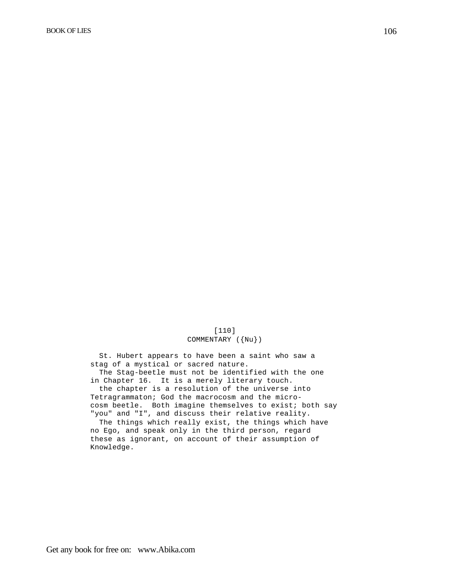# [110] COMMENTARY ({Nu})

 St. Hubert appears to have been a saint who saw a stag of a mystical or sacred nature.

 The Stag-beetle must not be identified with the one in Chapter 16. It is a merely literary touch.

 the chapter is a resolution of the universe into Tetragrammaton; God the macrocosm and the micro cosm beetle. Both imagine themselves to exist; both say "you" and "I", and discuss their relative reality.

 The things which really exist, the things which have no Ego, and speak only in the third person, regard these as ignorant, on account of their assumption of Knowledge.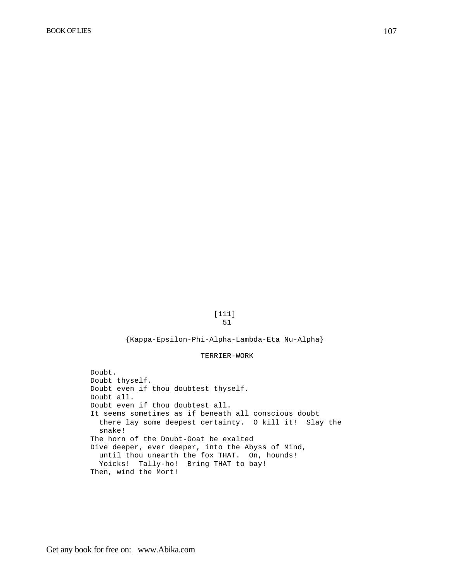$\begin{bmatrix} 1111 \\ 51 \end{bmatrix}$  $51$ 

{Kappa-Epsilon-Phi-Alpha-Lambda-Eta Nu-Alpha}

# TERRIER-WORK

 Doubt. Doubt thyself. Doubt even if thou doubtest thyself. Doubt all. Doubt even if thou doubtest all. It seems sometimes as if beneath all conscious doubt there lay some deepest certainty. O kill it! Slay the snake! The horn of the Doubt-Goat be exalted Dive deeper, ever deeper, into the Abyss of Mind, until thou unearth the fox THAT. On, hounds! Yoicks! Tally-ho! Bring THAT to bay! Then, wind the Mort!

107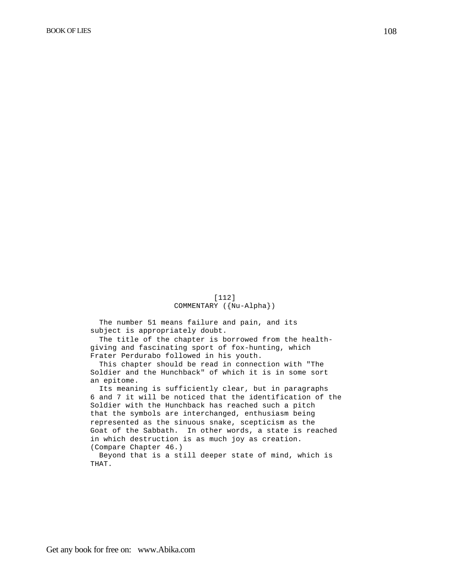# [112] COMMENTARY ({Nu-Alpha})

 The number 51 means failure and pain, and its subject is appropriately doubt.

 The title of the chapter is borrowed from the health giving and fascinating sport of fox-hunting, which Frater Perdurabo followed in his youth.

 This chapter should be read in connection with "The Soldier and the Hunchback" of which it is in some sort an epitome.

 Its meaning is sufficiently clear, but in paragraphs 6 and 7 it will be noticed that the identification of the Soldier with the Hunchback has reached such a pitch that the symbols are interchanged, enthusiasm being represented as the sinuous snake, scepticism as the Goat of the Sabbath. In other words, a state is reached in which destruction is as much joy as creation. (Compare Chapter 46.)

 Beyond that is a still deeper state of mind, which is THAT.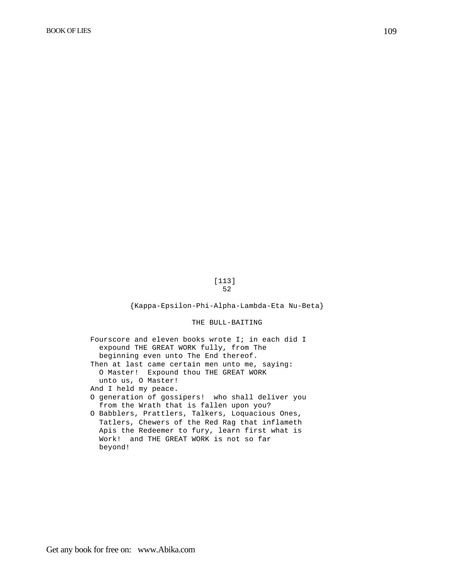[113]

#### $52$

{Kappa-Epsilon-Phi-Alpha-Lambda-Eta Nu-Beta}

THE BULL-BAITING

 Fourscore and eleven books wrote I; in each did I expound THE GREAT WORK fully, from The beginning even unto The End thereof. Then at last came certain men unto me, saying: O Master! Expound thou THE GREAT WORK unto us, O Master! And I held my peace. O generation of gossipers! who shall deliver you from the Wrath that is fallen upon you? O Babblers, Prattlers, Talkers, Loquacious Ones, Tatlers, Chewers of the Red Rag that inflameth Apis the Redeemer to fury, learn first what is Work! and THE GREAT WORK is not so far

beyond!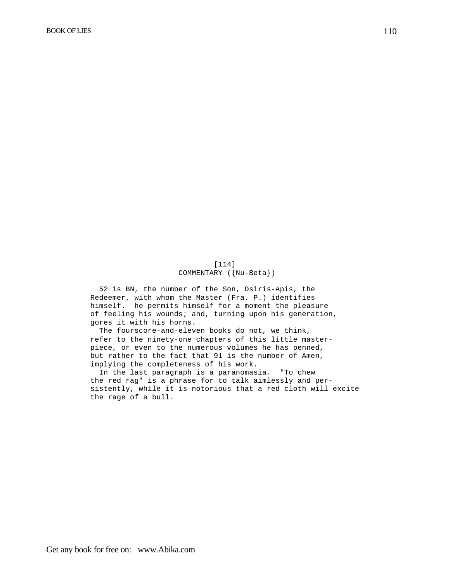[114] COMMENTARY ({Nu-Beta})

 52 is BN, the number of the Son, Osiris-Apis, the Redeemer, with whom the Master (Fra. P.) identifies himself. he permits himself for a moment the pleasure of feeling his wounds; and, turning upon his generation, gores it with his horns.

 The fourscore-and-eleven books do not, we think, refer to the ninety-one chapters of this little master piece, or even to the numerous volumes he has penned, but rather to the fact that 91 is the number of Amen, implying the completeness of his work.

 In the last paragraph is a paranomasia. "To chew the red rag" is a phrase for to talk aimlessly and per sistently, while it is notorious that a red cloth will excite the rage of a bull.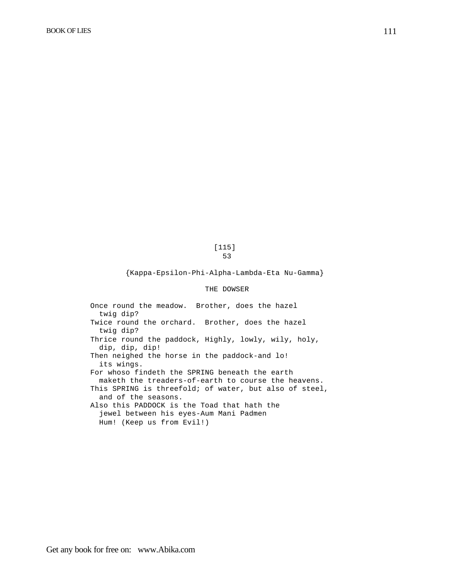[115]

#### $53$

{Kappa-Epsilon-Phi-Alpha-Lambda-Eta Nu-Gamma}

#### THE DOWSER

 Once round the meadow. Brother, does the hazel twig dip? Twice round the orchard. Brother, does the hazel twig dip? Thrice round the paddock, Highly, lowly, wily, holy, dip, dip, dip! Then neighed the horse in the paddock-and lo! its wings. For whoso findeth the SPRING beneath the earth maketh the treaders-of-earth to course the heavens. This SPRING is threefold; of water, but also of steel, and of the seasons. Also this PADDOCK is the Toad that hath the jewel between his eyes-Aum Mani Padmen Hum! (Keep us from Evil!)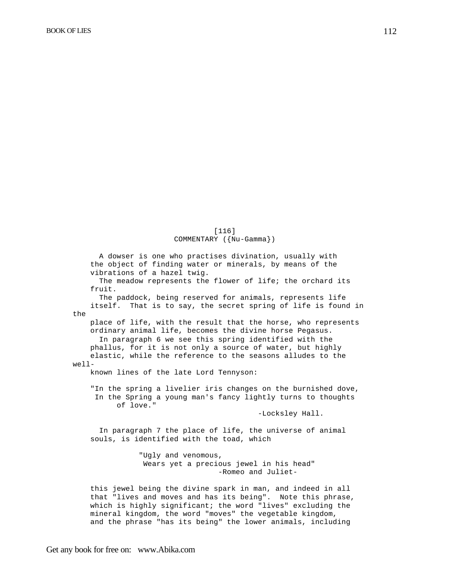# [116] COMMENTARY ({Nu-Gamma})

 A dowser is one who practises divination, usually with the object of finding water or minerals, by means of the vibrations of a hazel twig. The meadow represents the flower of life; the orchard its fruit. The paddock, being reserved for animals, represents life itself. That is to say, the secret spring of life is found in the place of life, with the result that the horse, who represents ordinary animal life, becomes the divine horse Pegasus. In paragraph 6 we see this spring identified with the phallus, for it is not only a source of water, but highly elastic, while the reference to the seasons alludes to the well known lines of the late Lord Tennyson: "In the spring a livelier iris changes on the burnished dove, In the Spring a young man's fancy lightly turns to thoughts of love." -Locksley Hall. In paragraph 7 the place of life, the universe of animal souls, is identified with the toad, which "Ugly and venomous, Wears yet a precious jewel in his head" -Romeo and Juliet-

 this jewel being the divine spark in man, and indeed in all that "lives and moves and has its being". Note this phrase, which is highly significant; the word "lives" excluding the mineral kingdom, the word "moves" the vegetable kingdom, and the phrase "has its being" the lower animals, including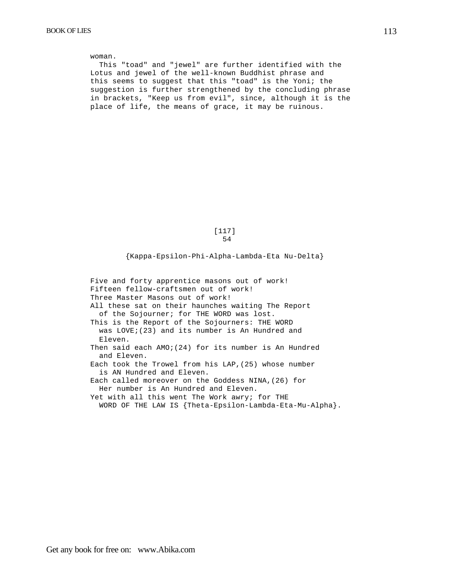woman.

 This "toad" and "jewel" are further identified with the Lotus and jewel of the well-known Buddhist phrase and this seems to suggest that this "toad" is the Yoni; the suggestion is further strengthened by the concluding phrase in brackets, "Keep us from evil", since, although it is the place of life, the means of grace, it may be ruinous.

[117]  $54$ 

{Kappa-Epsilon-Phi-Alpha-Lambda-Eta Nu-Delta}

 Five and forty apprentice masons out of work! Fifteen fellow-craftsmen out of work! Three Master Masons out of work! All these sat on their haunches waiting The Report of the Sojourner; for THE WORD was lost. This is the Report of the Sojourners: THE WORD was LOVE;(23) and its number is An Hundred and Eleven. Then said each AMO; (24) for its number is An Hundred and Eleven. Each took the Trowel from his LAP,(25) whose number is AN Hundred and Eleven. Each called moreover on the Goddess NINA,(26) for Her number is An Hundred and Eleven. Yet with all this went The Work awry; for THE WORD OF THE LAW IS {Theta-Epsilon-Lambda-Eta-Mu-Alpha}.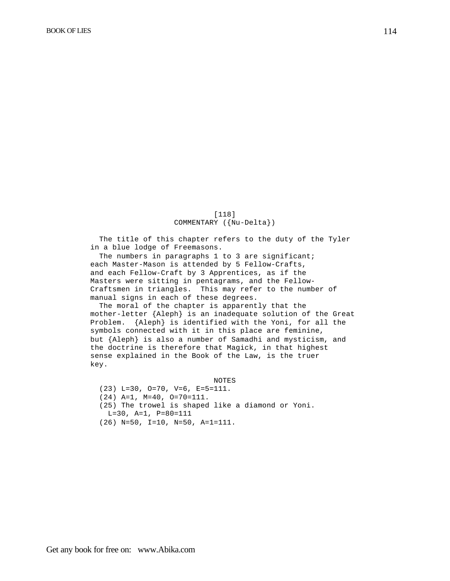## [118] COMMENTARY ({Nu-Delta})

 The title of this chapter refers to the duty of the Tyler in a blue lodge of Freemasons.

The numbers in paragraphs 1 to 3 are significant; each Master-Mason is attended by 5 Fellow-Crafts, and each Fellow-Craft by 3 Apprentices, as if the Masters were sitting in pentagrams, and the Fellow- Craftsmen in triangles. This may refer to the number of manual signs in each of these degrees.

 The moral of the chapter is apparently that the mother-letter {Aleph} is an inadequate solution of the Great Problem. {Aleph} is identified with the Yoni, for all the symbols connected with it in this place are feminine, but {Aleph} is also a number of Samadhi and mysticism, and the doctrine is therefore that Magick, in that highest sense explained in the Book of the Law, is the truer key.

NOTES

 (23) L=30, O=70, V=6, E=5=111. (24) A=1, M=40, O=70=111. (25) The trowel is shaped like a diamond or Yoni. L=30, A=1, P=80=111 (26) N=50, I=10, N=50, A=1=111.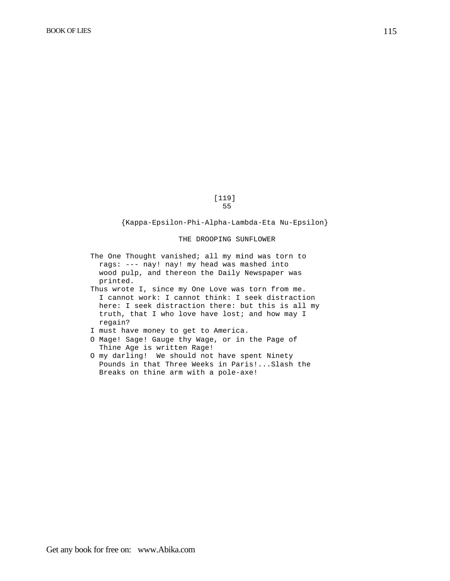# [119]  $55$

### {Kappa-Epsilon-Phi-Alpha-Lambda-Eta Nu-Epsilon}

## THE DROOPING SUNFLOWER

- The One Thought vanished; all my mind was torn to rags: --- nay! nay! my head was mashed into wood pulp, and thereon the Daily Newspaper was printed.
- Thus wrote I, since my One Love was torn from me. I cannot work: I cannot think: I seek distraction here: I seek distraction there: but this is all my truth, that I who love have lost; and how may I regain?
- I must have money to get to America.
- O Mage! Sage! Gauge thy Wage, or in the Page of Thine Age is written Rage!
- O my darling! We should not have spent Ninety Pounds in that Three Weeks in Paris!...Slash the Breaks on thine arm with a pole-axe!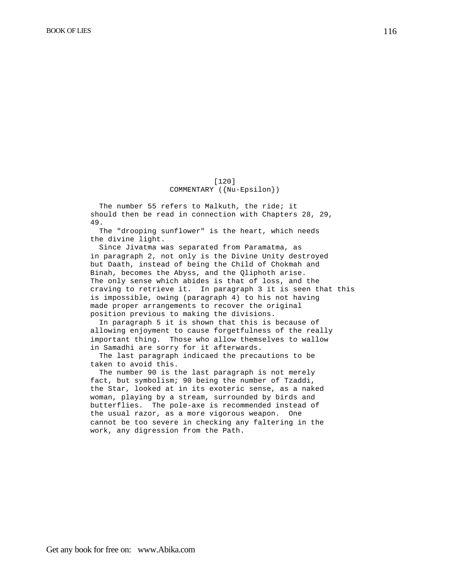## [120] COMMENTARY ({Nu-Epsilon})

The number 55 refers to Malkuth, the ride; it should then be read in connection with Chapters 28, 29, 49.

 The "drooping sunflower" is the heart, which needs the divine light.

 Since Jivatma was separated from Paramatma, as in paragraph 2, not only is the Divine Unity destroyed but Daath, instead of being the Child of Chokmah and Binah, becomes the Abyss, and the Qliphoth arise. The only sense which abides is that of loss, and the craving to retrieve it. In paragraph 3 it is seen that this is impossible, owing (paragraph 4) to his not having made proper arrangements to recover the original position previous to making the divisions.

 In paragraph 5 it is shown that this is because of allowing enjoyment to cause forgetfulness of the really important thing. Those who allow themselves to wallow in Samadhi are sorry for it afterwards.

 The last paragraph indicaed the precautions to be taken to avoid this.

 The number 90 is the last paragraph is not merely fact, but symbolism; 90 being the number of Tzaddi, the Star, looked at in its exoteric sense, as a naked woman, playing by a stream, surrounded by birds and butterflies. The pole-axe is recommended instead of the usual razor, as a more vigorous weapon. One cannot be too severe in checking any faltering in the work, any digression from the Path.

116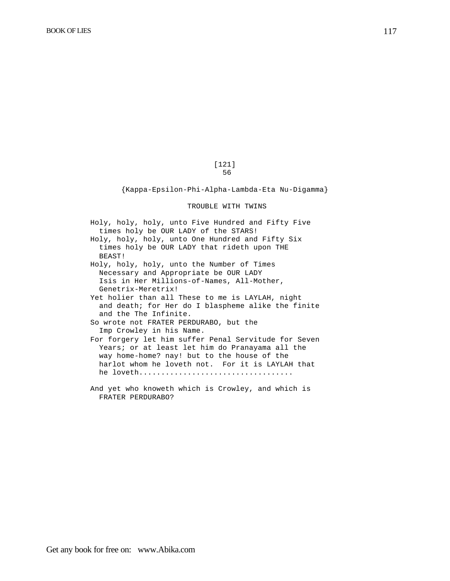[121]  $56$ 

{Kappa-Epsilon-Phi-Alpha-Lambda-Eta Nu-Digamma}

## TROUBLE WITH TWINS

 Holy, holy, holy, unto Five Hundred and Fifty Five times holy be OUR LADY of the STARS! Holy, holy, holy, unto One Hundred and Fifty Six times holy be OUR LADY that rideth upon THE BEAST! Holy, holy, holy, unto the Number of Times Necessary and Appropriate be OUR LADY Isis in Her Millions-of-Names, All-Mother, Genetrix-Meretrix! Yet holier than all These to me is LAYLAH, night and death; for Her do I blaspheme alike the finite and the The Infinite. So wrote not FRATER PERDURABO, but the Imp Crowley in his Name. For forgery let him suffer Penal Servitude for Seven Years; or at least let him do Pranayama all the way home-home? nay! but to the house of the harlot whom he loveth not. For it is LAYLAH that he loveth...................................

 And yet who knoweth which is Crowley, and which is FRATER PERDURABO?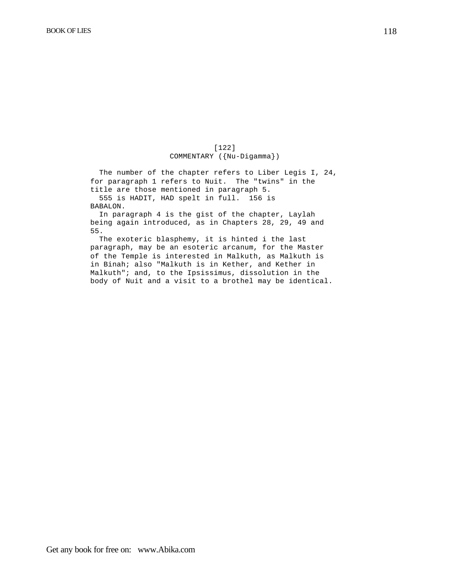[122] COMMENTARY ({Nu-Digamma})

 The number of the chapter refers to Liber Legis I, 24, for paragraph 1 refers to Nuit. The "twins" in the title are those mentioned in paragraph 5.

 555 is HADIT, HAD spelt in full. 156 is BABALON.

 In paragraph 4 is the gist of the chapter, Laylah being again introduced, as in Chapters 28, 29, 49 and 55.

 The exoteric blasphemy, it is hinted i the last paragraph, may be an esoteric arcanum, for the Master of the Temple is interested in Malkuth, as Malkuth is in Binah; also "Malkuth is in Kether, and Kether in Malkuth"; and, to the Ipsissimus, dissolution in the body of Nuit and a visit to a brothel may be identical.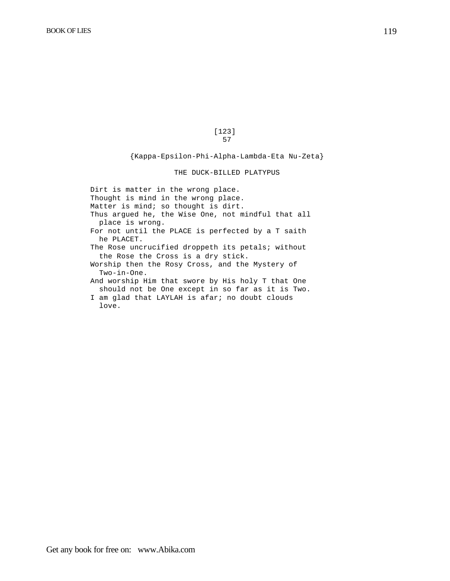[123] <u>57 and 2014 and 2014 and 2014 and 2014 and 2014 and 2014 and 2014 and 2014 and 2014 and 2014 and 2014 and 201</u>

{Kappa-Epsilon-Phi-Alpha-Lambda-Eta Nu-Zeta}

THE DUCK-BILLED PLATYPUS

 Dirt is matter in the wrong place. Thought is mind in the wrong place. Matter is mind; so thought is dirt. Thus argued he, the Wise One, not mindful that all place is wrong. For not until the PLACE is perfected by a T saith he PLACET. The Rose uncrucified droppeth its petals; without the Rose the Cross is a dry stick. Worship then the Rosy Cross, and the Mystery of Two-in-One. And worship Him that swore by His holy T that One should not be One except in so far as it is Two. I am glad that LAYLAH is afar; no doubt clouds love.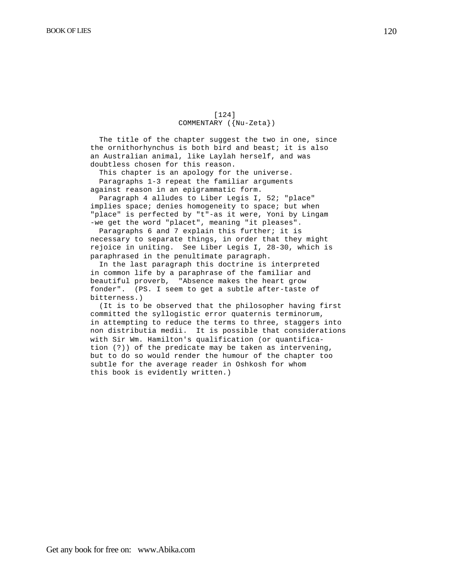## [124] COMMENTARY ({Nu-Zeta})

 The title of the chapter suggest the two in one, since the ornithorhynchus is both bird and beast; it is also an Australian animal, like Laylah herself, and was doubtless chosen for this reason.

 This chapter is an apology for the universe. Paragraphs 1-3 repeat the familiar arguments against reason in an epigrammatic form.

 Paragraph 4 alludes to Liber Legis I, 52; "place" implies space; denies homogeneity to space; but when "place" is perfected by "t"-as it were, Yoni by Lingam -we get the word "placet", meaning "it pleases".

 Paragraphs 6 and 7 explain this further; it is necessary to separate things, in order that they might rejoice in uniting. See Liber Legis I, 28-30, which is paraphrased in the penultimate paragraph.

 In the last paragraph this doctrine is interpreted in common life by a paraphrase of the familiar and beautiful proverb, "Absence makes the heart grow fonder". (PS. I seem to get a subtle after-taste of bitterness.)

 (It is to be observed that the philosopher having first committed the syllogistic error quaternis terminorum, in attempting to reduce the terms to three, staggers into non distributia medii. It is possible that considerations with Sir Wm. Hamilton's qualification (or quantifica tion (?)) of the predicate may be taken as intervening, but to do so would render the humour of the chapter too subtle for the average reader in Oshkosh for whom this book is evidently written.)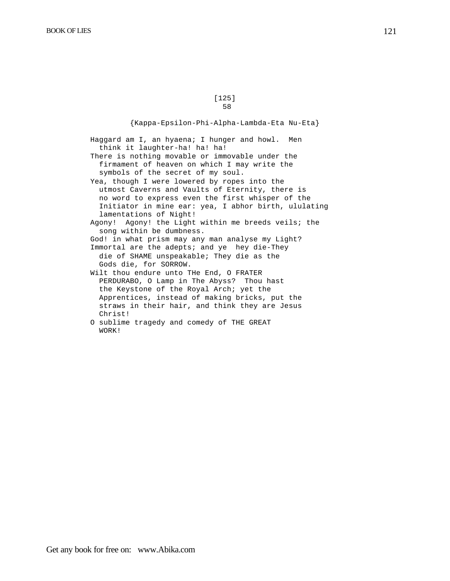## [125] <u>58 and the contract of the contract of the state of the state of the state of the state of the state of the sta</u>

 {Kappa-Epsilon-Phi-Alpha-Lambda-Eta Nu-Eta} Haggard am I, an hyaena; I hunger and howl. Men think it laughter-ha! ha! ha! There is nothing movable or immovable under the firmament of heaven on which I may write the symbols of the secret of my soul. Yea, though I were lowered by ropes into the utmost Caverns and Vaults of Eternity, there is no word to express even the first whisper of the Initiator in mine ear: yea, I abhor birth, ululating lamentations of Night! Agony! Agony! the Light within me breeds veils; the song within be dumbness. God! in what prism may any man analyse my Light? Immortal are the adepts; and ye hey die-They die of SHAME unspeakable; They die as the Gods die, for SORROW. Wilt thou endure unto THe End, O FRATER PERDURABO, O Lamp in The Abyss? Thou hast the Keystone of the Royal Arch; yet the Apprentices, instead of making bricks, put the straws in their hair, and think they are Jesus Christ! O sublime tragedy and comedy of THE GREAT WORK!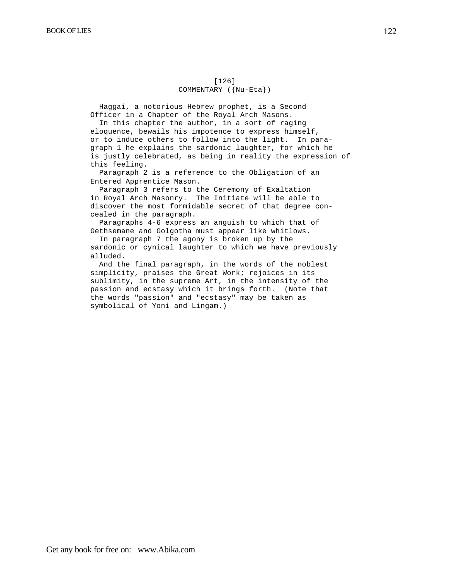## [126] COMMENTARY ({Nu-Eta})

 Haggai, a notorious Hebrew prophet, is a Second Officer in a Chapter of the Royal Arch Masons.

 In this chapter the author, in a sort of raging eloquence, bewails his impotence to express himself, or to induce others to follow into the light. In para graph 1 he explains the sardonic laughter, for which he is justly celebrated, as being in reality the expression of this feeling.

 Paragraph 2 is a reference to the Obligation of an Entered Apprentice Mason.

 Paragraph 3 refers to the Ceremony of Exaltation in Royal Arch Masonry. The Initiate will be able to discover the most formidable secret of that degree con cealed in the paragraph.

 Paragraphs 4-6 express an anguish to which that of Gethsemane and Golgotha must appear like whitlows.

 In paragraph 7 the agony is broken up by the sardonic or cynical laughter to which we have previously alluded.

 And the final paragraph, in the words of the noblest simplicity, praises the Great Work; rejoices in its sublimity, in the supreme Art, in the intensity of the passion and ecstasy which it brings forth. (Note that the words "passion" and "ecstasy" may be taken as symbolical of Yoni and Lingam.)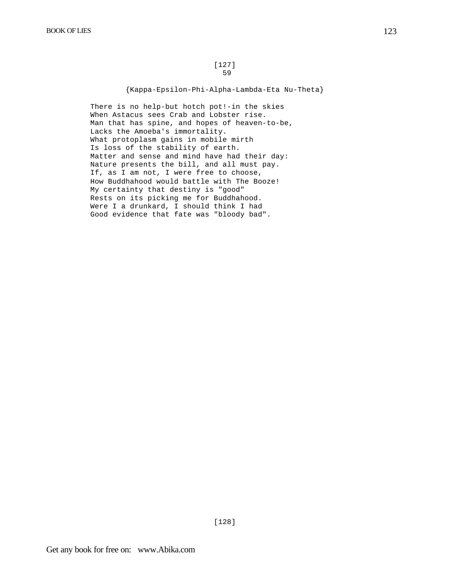```
 [127]
59
```
{Kappa-Epsilon-Phi-Alpha-Lambda-Eta Nu-Theta}

 There is no help-but hotch pot!-in the skies When Astacus sees Crab and Lobster rise. Man that has spine, and hopes of heaven-to-be, Lacks the Amoeba's immortality. What protoplasm gains in mobile mirth Is loss of the stability of earth. Matter and sense and mind have had their day: Nature presents the bill, and all must pay. If, as I am not, I were free to choose, How Buddhahood would battle with The Booze! My certainty that destiny is "good" Rests on its picking me for Buddhahood. Were I a drunkard, I should think I had Good evidence that fate was "bloody bad".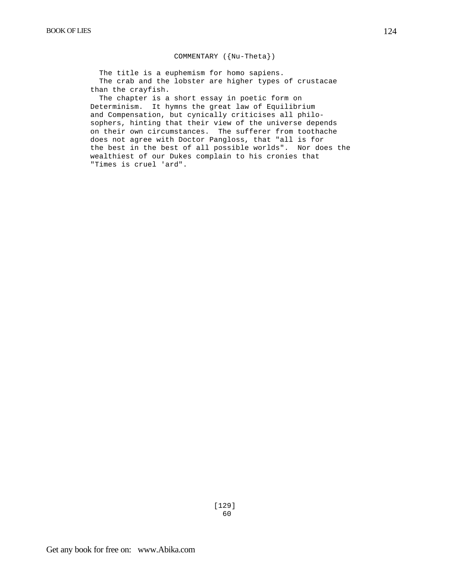# COMMENTARY ({Nu-Theta})

 The title is a euphemism for homo sapiens. The crab and the lobster are higher types of crustacae than the crayfish.

 The chapter is a short essay in poetic form on Determinism. It hymns the great law of Equilibrium and Compensation, but cynically criticises all philo sophers, hinting that their view of the universe depends on their own circumstances. The sufferer from toothache does not agree with Doctor Pangloss, that "all is for the best in the best of all possible worlds". Nor does the wealthiest of our Dukes complain to his cronies that "Times is cruel 'ard".

 [129]  $\sim$  60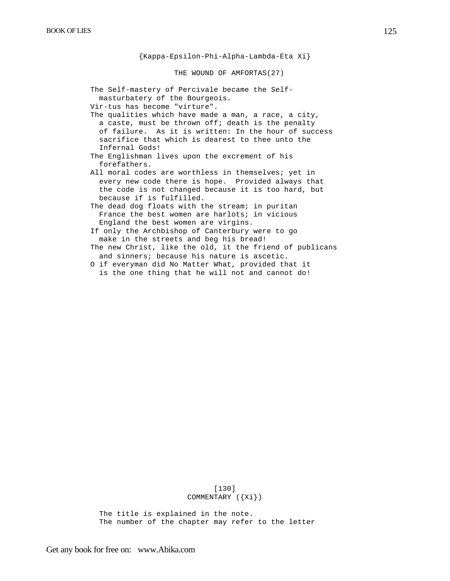{Kappa-Epsilon-Phi-Alpha-Lambda-Eta Xi}

THE WOUND OF AMFORTAS(27)

 The Self-mastery of Percivale became the Self masturbatery of the Bourgeois. Vir-tus has become "virture". The qualities which have made a man, a race, a city, a caste, must be thrown off; death is the penalty of failure. As it is written: In the hour of success sacrifice that which is dearest to thee unto the Infernal Gods! The Englishman lives upon the excrement of his forefathers. All moral codes are worthless in themselves; yet in every new code there is hope. Provided always that the code is not changed because it is too hard, but because if is fulfilled. The dead dog floats with the stream; in puritan France the best women are harlots; in vicious England the best women are virgins. If only the Archbishop of Canterbury were to go make in the streets and beg his bread! The new Christ, like the old, it the friend of publicans

- and sinners; because his nature is ascetic.
- O if everyman did No Matter What, provided that it is the one thing that he will not and cannot do!

 [130] COMMENTARY ({Xi})

 The title is explained in the note. The number of the chapter may refer to the letter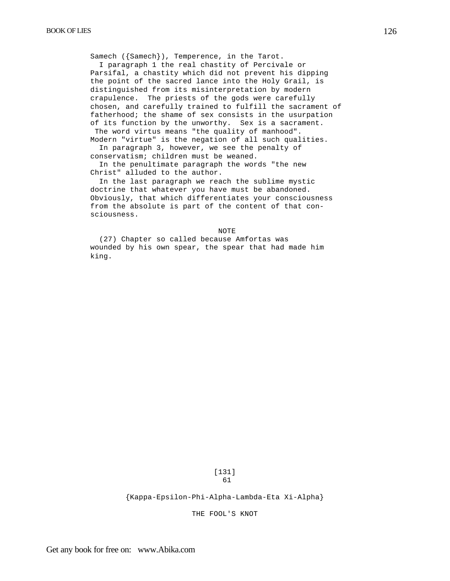Samech ({Samech}), Temperence, in the Tarot. I paragraph 1 the real chastity of Percivale or Parsifal, a chastity which did not prevent his dipping the point of the sacred lance into the Holy Grail, is distinguished from its misinterpretation by modern crapulence. The priests of the gods were carefully chosen, and carefully trained to fulfill the sacrament of fatherhood; the shame of sex consists in the usurpation of its function by the unworthy. Sex is a sacrament. The word virtus means "the quality of manhood". Modern "virtue" is the negation of all such qualities.

 In paragraph 3, however, we see the penalty of conservatism; children must be weaned.

 In the penultimate paragraph the words "the new Christ" alluded to the author.

 In the last paragraph we reach the sublime mystic doctrine that whatever you have must be abandoned. Obviously, that which differentiates your consciousness from the absolute is part of the content of that con sciousness.

NOTE

 (27) Chapter so called because Amfortas was wounded by his own spear, the spear that had made him king.

 [131] 61

{Kappa-Epsilon-Phi-Alpha-Lambda-Eta Xi-Alpha}

THE FOOL'S KNOT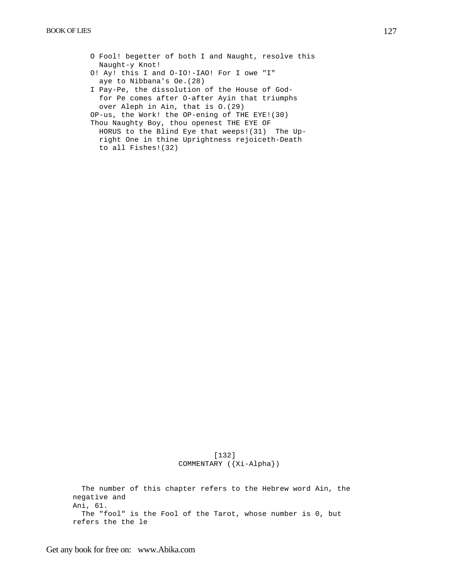- O Fool! begetter of both I and Naught, resolve this Naught-y Knot!
- O! Ay! this I and O-IO!-IAO! For I owe "I" aye to Nibbana's Oe.(28)
- I Pay-Pe, the dissolution of the House of God for Pe comes after O-after Ayin that triumphs over Aleph in Ain, that is O.(29)

 OP-us, the Work! the OP-ening of THE EYE!(30) Thou Naughty Boy, thou openest THE EYE OF

 HORUS to the Blind Eye that weeps!(31) The Up right One in thine Uprightness rejoiceth-Death to all Fishes!(32)

```
 [132]
 COMMENTARY ({Xi-Alpha})
```
 The number of this chapter refers to the Hebrew word Ain, the negative and Ani, 61. The "fool" is the Fool of the Tarot, whose number is 0, but refers the the le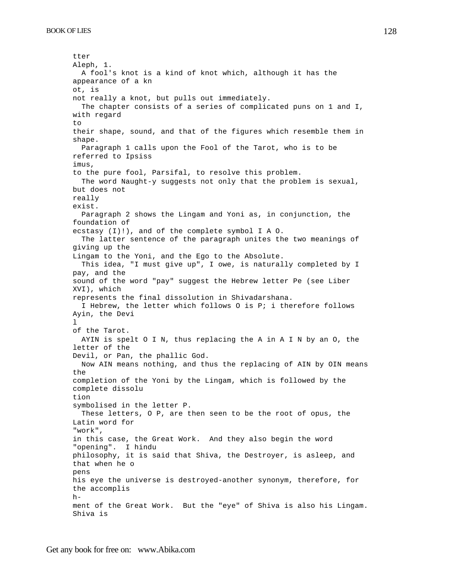tter Aleph, 1. A fool's knot is a kind of knot which, although it has the appearance of a kn ot, is not really a knot, but pulls out immediately. The chapter consists of a series of complicated puns on 1 and I, with regard to their shape, sound, and that of the figures which resemble them in shape. Paragraph 1 calls upon the Fool of the Tarot, who is to be referred to Ipsiss imus, to the pure fool, Parsifal, to resolve this problem. The word Naught-y suggests not only that the problem is sexual, but does not really exist. Paragraph 2 shows the Lingam and Yoni as, in conjunction, the foundation of ecstasy (I)!), and of the complete symbol I A O. The latter sentence of the paragraph unites the two meanings of giving up the Lingam to the Yoni, and the Ego to the Absolute. This idea, "I must give up", I owe, is naturally completed by I pay, and the sound of the word "pay" suggest the Hebrew letter Pe (see Liber XVI), which represents the final dissolution in Shivadarshana. I Hebrew, the letter which follows O is P; i therefore follows Ayin, the Devi  $\mathbf{1}$ of the Tarot. AYIN is spelt O I N, thus replacing the A in A I N by an O, the letter of the Devil, or Pan, the phallic God. Now AIN means nothing, and thus the replacing of AIN by OIN means the completion of the Yoni by the Lingam, which is followed by the complete dissolu tion symbolised in the letter P. These letters, O P, are then seen to be the root of opus, the Latin word for "work", in this case, the Great Work. And they also begin the word "opening". I hindu philosophy, it is said that Shiva, the Destroyer, is asleep, and that when he o pens his eye the universe is destroyed-another synonym, therefore, for the accomplis  $h$ ment of the Great Work. But the "eye" of Shiva is also his Lingam. Shiva is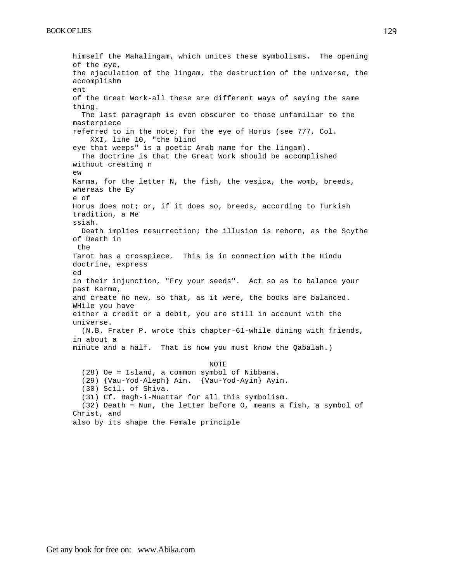himself the Mahalingam, which unites these symbolisms. The opening of the eye, the ejaculation of the lingam, the destruction of the universe, the accomplishm ent of the Great Work-all these are different ways of saying the same thing. The last paragraph is even obscurer to those unfamiliar to the masterpiece referred to in the note; for the eye of Horus (see 777, Col. XXI, line 10, "the blind eye that weeps" is a poetic Arab name for the lingam). The doctrine is that the Great Work should be accomplished without creating n ew Karma, for the letter N, the fish, the vesica, the womb, breeds, whereas the Ey e of Horus does not; or, if it does so, breeds, according to Turkish tradition, a Me ssiah. Death implies resurrection; the illusion is reborn, as the Scythe of Death in the Tarot has a crosspiece. This is in connection with the Hindu doctrine, express ed in their injunction, "Fry your seeds". Act so as to balance your past Karma, and create no new, so that, as it were, the books are balanced. WHile you have either a credit or a debit, you are still in account with the universe. (N.B. Frater P. wrote this chapter-61-while dining with friends, in about a minute and a half. That is how you must know the Qabalah.) NOTE (28) Oe = Island, a common symbol of Nibbana. (29) {Vau-Yod-Aleph} Ain. {Vau-Yod-Ayin} Ayin. (30) Scil. of Shiva. (31) Cf. Bagh-i-Muattar for all this symbolism. (32) Death = Nun, the letter before O, means a fish, a symbol of Christ, and

also by its shape the Female principle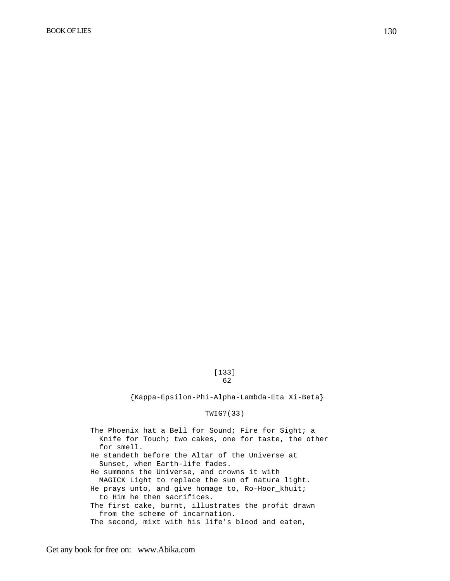# [133]  $\sim$  62

#### {Kappa-Epsilon-Phi-Alpha-Lambda-Eta Xi-Beta}

#### TWIG?(33)

The Phoenix hat a Bell for Sound; Fire for Sight; a Knife for Touch; two cakes, one for taste, the other for smell. He standeth before the Altar of the Universe at Sunset, when Earth-life fades. He summons the Universe, and crowns it with MAGICK Light to replace the sun of natura light. He prays unto, and give homage to, Ro-Hoor\_khuit; to Him he then sacrifices. The first cake, burnt, illustrates the profit drawn from the scheme of incarnation. The second, mixt with his life's blood and eaten,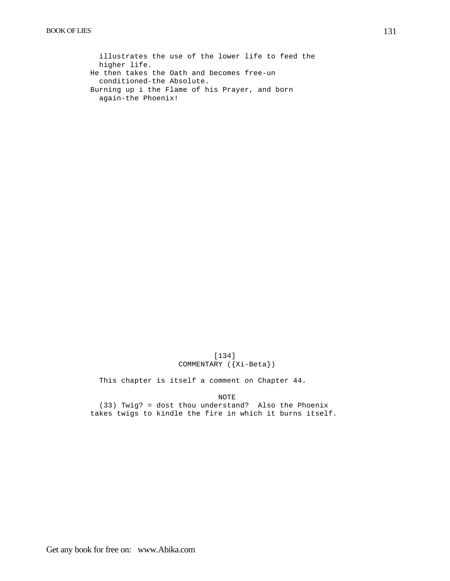illustrates the use of the lower life to feed the higher life. He then takes the Oath and becomes free-un conditioned-the Absolute. Burning up i the Flame of his Prayer, and born again-the Phoenix!

> [134] COMMENTARY ({Xi-Beta})

This chapter is itself a comment on Chapter 44.

NOTE

 (33) Twig? = dost thou understand? Also the Phoenix takes twigs to kindle the fire in which it burns itself.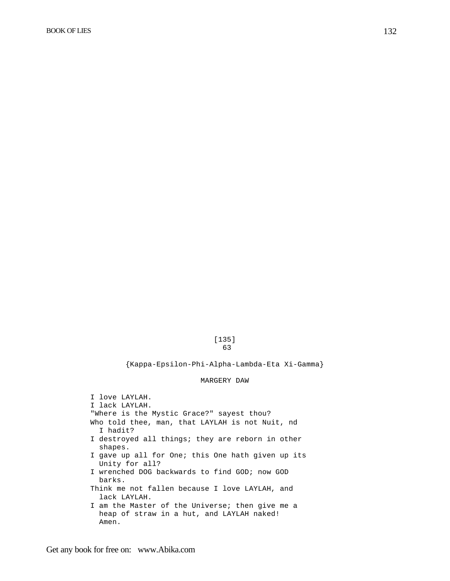[135]  $\sim$  63

{Kappa-Epsilon-Phi-Alpha-Lambda-Eta Xi-Gamma}

## MARGERY DAW

 I love LAYLAH. I lack LAYLAH. "Where is the Mystic Grace?" sayest thou? Who told thee, man, that LAYLAH is not Nuit, nd I hadit? I destroyed all things; they are reborn in other shapes. I gave up all for One; this One hath given up its Unity for all? I wrenched DOG backwards to find GOD; now GOD barks. Think me not fallen because I love LAYLAH, and lack LAYLAH. I am the Master of the Universe; then give me a heap of straw in a hut, and LAYLAH naked! Amen.

Get any book for free on: www.Abika.com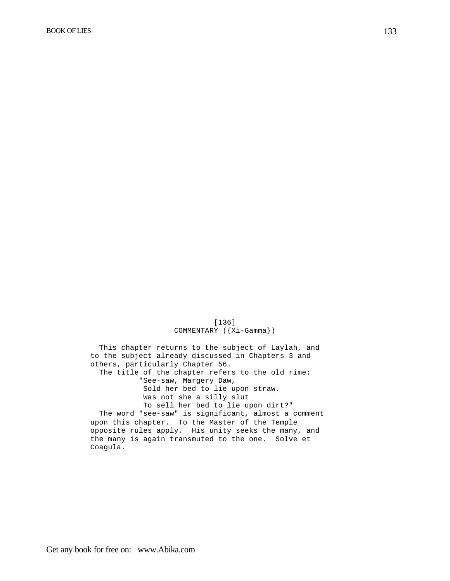[136] COMMENTARY ({Xi-Gamma})

 This chapter returns to the subject of Laylah, and to the subject already discussed in Chapters 3 and others, particularly Chapter 56. The title of the chapter refers to the old rime: "See-saw, Margery Daw, Sold her bed to lie upon straw. Was not she a silly slut To sell her bed to lie upon dirt?" The word "see-saw" is significant, almost a comment upon this chapter. To the Master of the Temple opposite rules apply. His unity seeks the many, and the many is again transmuted to the one. Solve et Coagula.

133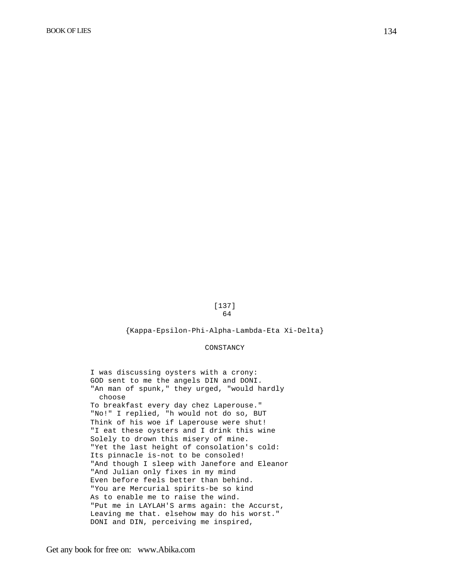$\begin{bmatrix} 137 \\ 64 \end{bmatrix}$ 

#### $\sim$  64

## {Kappa-Epsilon-Phi-Alpha-Lambda-Eta Xi-Delta}

### CONSTANCY

 I was discussing oysters with a crony: GOD sent to me the angels DIN and DONI. "An man of spunk," they urged, "would hardly choose To breakfast every day chez Laperouse." "No!" I replied, "h would not do so, BUT Think of his woe if Laperouse were shut! "I eat these oysters and I drink this wine Solely to drown this misery of mine. "Yet the last height of consolation's cold: Its pinnacle is-not to be consoled! "And though I sleep with Janefore and Eleanor "And Julian only fixes in my mind Even before feels better than behind. "You are Mercurial spirits-be so kind As to enable me to raise the wind. "Put me in LAYLAH'S arms again: the Accurst, Leaving me that. elsehow may do his worst." DONI and DIN, perceiving me inspired,

Get any book for free on: www.Abika.com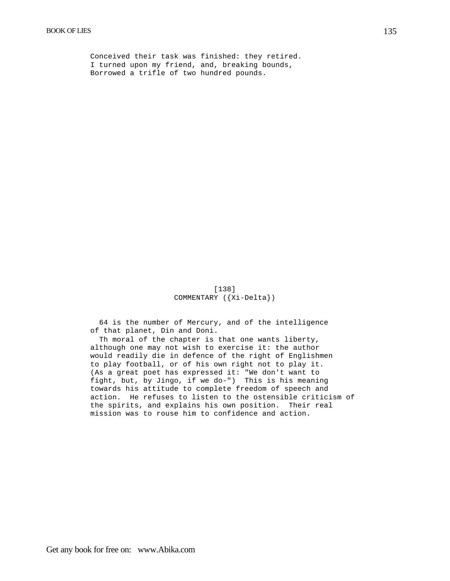Conceived their task was finished: they retired. I turned upon my friend, and, breaking bounds, Borrowed a trifle of two hundred pounds.

> [138] COMMENTARY ({Xi-Delta})

 64 is the number of Mercury, and of the intelligence of that planet, Din and Doni.

 Th moral of the chapter is that one wants liberty, although one may not wish to exercise it: the author would readily die in defence of the right of Englishmen to play football, or of his own right not to play it. (As a great poet has expressed it: "We don't want to fight, but, by Jingo, if we do-") This is his meaning towards his attitude to complete freedom of speech and action. He refuses to listen to the ostensible criticism of the spirits, and explains his own position. Their real mission was to rouse him to confidence and action.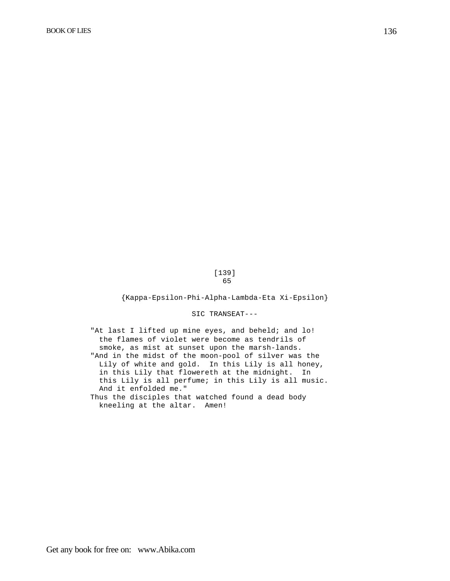[139]  $\sim$  65

{Kappa-Epsilon-Phi-Alpha-Lambda-Eta Xi-Epsilon}

# SIC TRANSEAT---

"At last I lifted up mine eyes, and beheld; and lo! the flames of violet were become as tendrils of smoke, as mist at sunset upon the marsh-lands. "And in the midst of the moon-pool of silver was the Lily of white and gold. In this Lily is all honey, in this Lily that flowereth at the midnight. In this Lily is all perfume; in this Lily is all music. And it enfolded me." Thus the disciples that watched found a dead body

kneeling at the altar. Amen!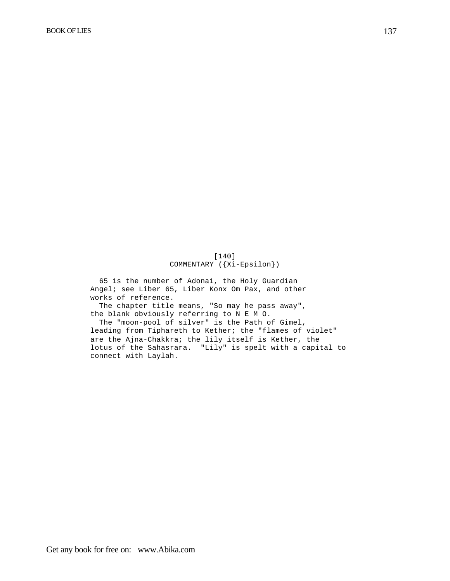[140] COMMENTARY ({Xi-Epsilon})

 65 is the number of Adonai, the Holy Guardian Angel; see Liber 65, Liber Konx Om Pax, and other works of reference.

 The chapter title means, "So may he pass away", the blank obviously referring to N E M O.

 The "moon-pool of silver" is the Path of Gimel, leading from Tiphareth to Kether; the "flames of violet" are the Ajna-Chakkra; the lily itself is Kether, the lotus of the Sahasrara. "Lily" is spelt with a capital to connect with Laylah.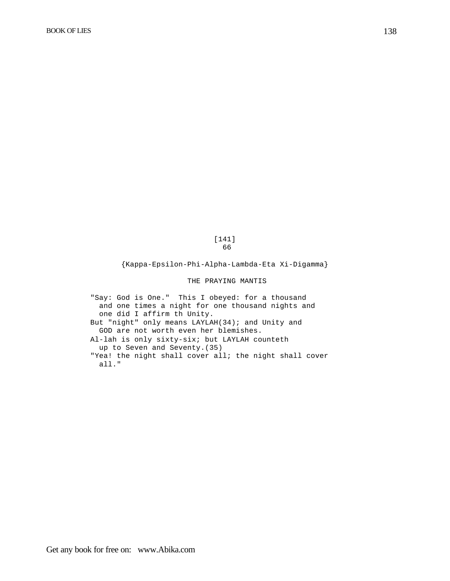[141]

 $\sim$  66

{Kappa-Epsilon-Phi-Alpha-Lambda-Eta Xi-Digamma}

#### THE PRAYING MANTIS

 "Say: God is One." This I obeyed: for a thousand and one times a night for one thousand nights and one did I affirm th Unity. But "night" only means LAYLAH(34); and Unity and GOD are not worth even her blemishes. Al-lah is only sixty-six; but LAYLAH counteth up to Seven and Seventy.(35) "Yea! the night shall cover all; the night shall cover all."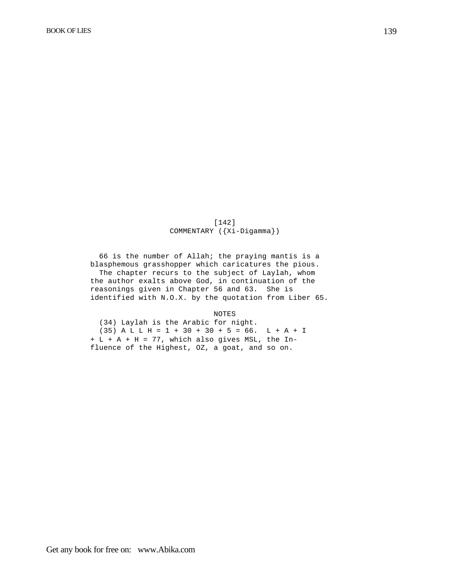## [142] COMMENTARY ({Xi-Digamma})

 66 is the number of Allah; the praying mantis is a blasphemous grasshopper which caricatures the pious. The chapter recurs to the subject of Laylah, whom the author exalts above God, in continuation of the reasonings given in Chapter 56 and 63. She is identified with N.O.X. by the quotation from Liber 65.

NOTES

 (34) Laylah is the Arabic for night. (35) A L L H =  $1 + 30 + 30 + 5 = 66$ . L + A + I  $+$  L + A + H = 77, which also gives MSL, the Influence of the Highest, OZ, a goat, and so on.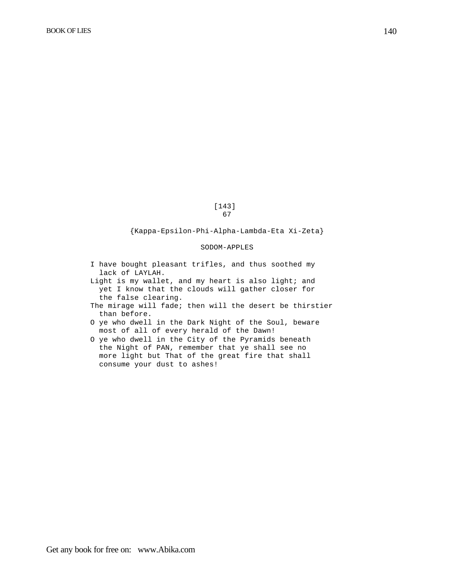[143]  $\sim$  67

{Kappa-Epsilon-Phi-Alpha-Lambda-Eta Xi-Zeta}

#### SODOM-APPLES

- I have bought pleasant trifles, and thus soothed my lack of LAYLAH.
- Light is my wallet, and my heart is also light; and yet I know that the clouds will gather closer for the false clearing.
- The mirage will fade; then will the desert be thirstier than before.
- O ye who dwell in the Dark Night of the Soul, beware most of all of every herald of the Dawn!
- O ye who dwell in the City of the Pyramids beneath the Night of PAN, remember that ye shall see no more light but That of the great fire that shall consume your dust to ashes!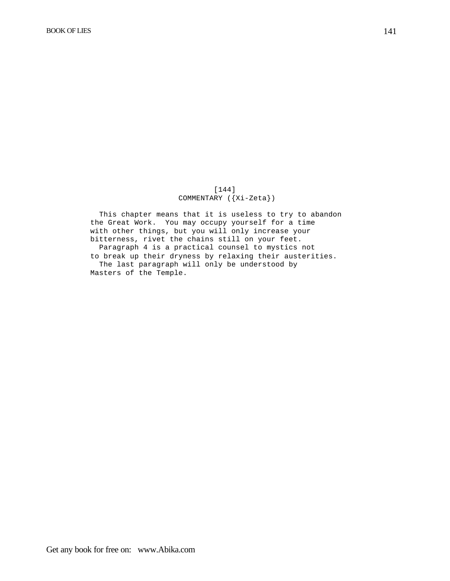# [144] COMMENTARY ({Xi-Zeta})

 This chapter means that it is useless to try to abandon the Great Work. You may occupy yourself for a time with other things, but you will only increase your bitterness, rivet the chains still on your feet. Paragraph 4 is a practical counsel to mystics not to break up their dryness by relaxing their austerities. The last paragraph will only be understood by Masters of the Temple.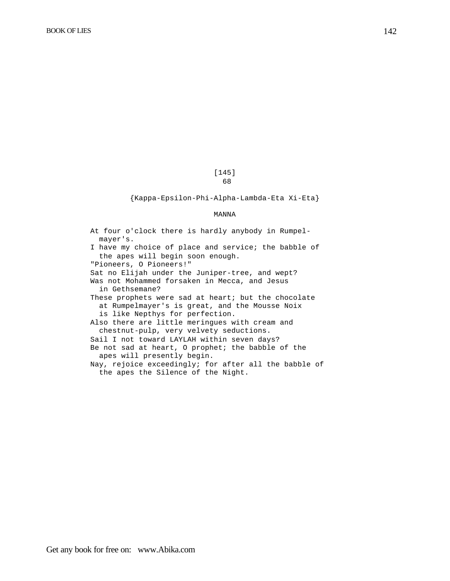# [145]  $\sim$  68

{Kappa-Epsilon-Phi-Alpha-Lambda-Eta Xi-Eta}

#### MANNA

 At four o'clock there is hardly anybody in Rumpel mayer's. I have my choice of place and service; the babble of the apes will begin soon enough. "Pioneers, O Pioneers!" Sat no Elijah under the Juniper-tree, and wept? Was not Mohammed forsaken in Mecca, and Jesus in Gethsemane? These prophets were sad at heart; but the chocolate at Rumpelmayer's is great, and the Mousse Noix is like Nepthys for perfection. Also there are little meringues with cream and chestnut-pulp, very velvety seductions. Sail I not toward LAYLAH within seven days? Be not sad at heart, O prophet; the babble of the apes will presently begin. Nay, rejoice exceedingly; for after all the babble of the apes the Silence of the Night.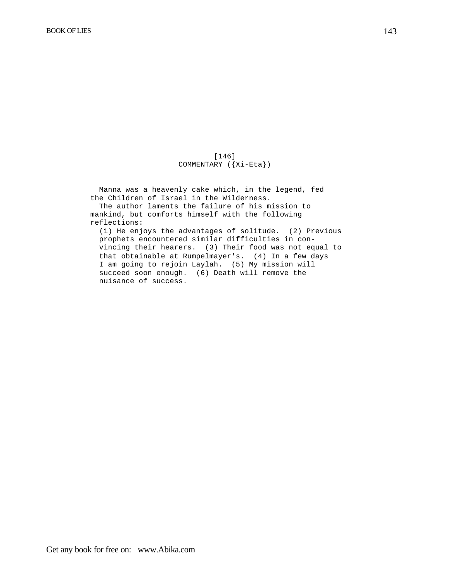[146] COMMENTARY ({Xi-Eta})

 Manna was a heavenly cake which, in the legend, fed the Children of Israel in the Wilderness.

 The author laments the failure of his mission to mankind, but comforts himself with the following reflections:

 (1) He enjoys the advantages of solitude. (2) Previous prophets encountered similar difficulties in con vincing their hearers. (3) Their food was not equal to that obtainable at Rumpelmayer's. (4) In a few days I am going to rejoin Laylah. (5) My mission will succeed soon enough. (6) Death will remove the nuisance of success.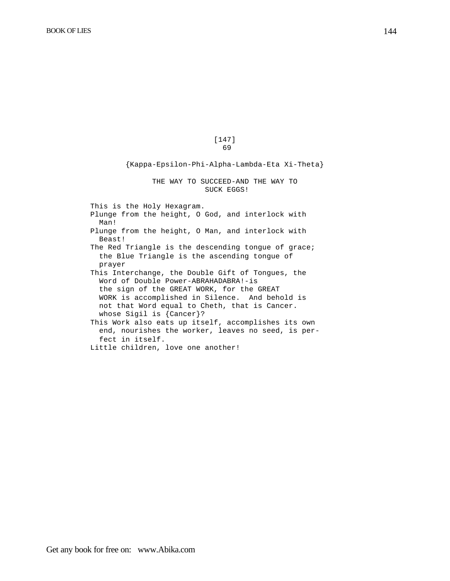$\sim$  69 {Kappa-Epsilon-Phi-Alpha-Lambda-Eta Xi-Theta} THE WAY TO SUCCEED-AND THE WAY TO SUCK EGGS! This is the Holy Hexagram. Plunge from the height, O God, and interlock with Man! Plunge from the height, O Man, and interlock with Beast! The Red Triangle is the descending tongue of grace; the Blue Triangle is the ascending tongue of prayer This Interchange, the Double Gift of Tongues, the Word of Double Power-ABRAHADABRA!-is the sign of the GREAT WORK, for the GREAT WORK is accomplished in Silence. And behold is not that Word equal to Cheth, that is Cancer. whose Sigil is {Cancer}? This Work also eats up itself, accomplishes its own end, nourishes the worker, leaves no seed, is per fect in itself. Little children, love one another!

[147]

144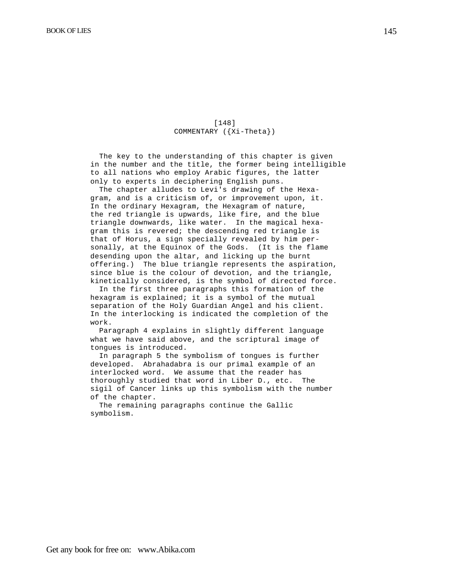[148] COMMENTARY ({Xi-Theta})

 The key to the understanding of this chapter is given in the number and the title, the former being intelligible to all nations who employ Arabic figures, the latter only to experts in deciphering English puns.

 The chapter alludes to Levi's drawing of the Hexa gram, and is a criticism of, or improvement upon, it. In the ordinary Hexagram, the Hexagram of nature, the red triangle is upwards, like fire, and the blue triangle downwards, like water. In the magical hexa gram this is revered; the descending red triangle is that of Horus, a sign specially revealed by him per sonally, at the Equinox of the Gods. (It is the flame desending upon the altar, and licking up the burnt offering.) The blue triangle represents the aspiration, since blue is the colour of devotion, and the triangle, kinetically considered, is the symbol of directed force.

 In the first three paragraphs this formation of the hexagram is explained; it is a symbol of the mutual separation of the Holy Guardian Angel and his client. In the interlocking is indicated the completion of the work.

 Paragraph 4 explains in slightly different language what we have said above, and the scriptural image of tongues is introduced.

 In paragraph 5 the symbolism of tongues is further developed. Abrahadabra is our primal example of an interlocked word. We assume that the reader has thoroughly studied that word in Liber D., etc. The sigil of Cancer links up this symbolism with the number of the chapter.

 The remaining paragraphs continue the Gallic symbolism.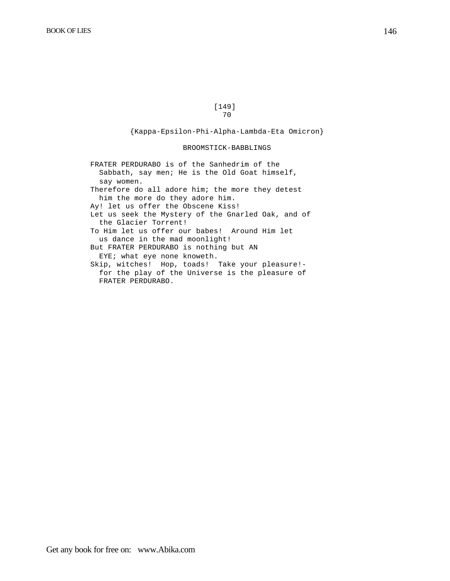[149] 70

{Kappa-Epsilon-Phi-Alpha-Lambda-Eta Omicron}

BROOMSTICK-BABBLINGS

 FRATER PERDURABO is of the Sanhedrim of the Sabbath, say men; He is the Old Goat himself, say women. Therefore do all adore him; the more they detest him the more do they adore him. Ay! let us offer the Obscene Kiss! Let us seek the Mystery of the Gnarled Oak, and of the Glacier Torrent! To Him let us offer our babes! Around Him let us dance in the mad moonlight! But FRATER PERDURABO is nothing but AN EYE; what eye none knoweth. Skip, witches! Hop, toads! Take your pleasure! for the play of the Universe is the pleasure of FRATER PERDURABO.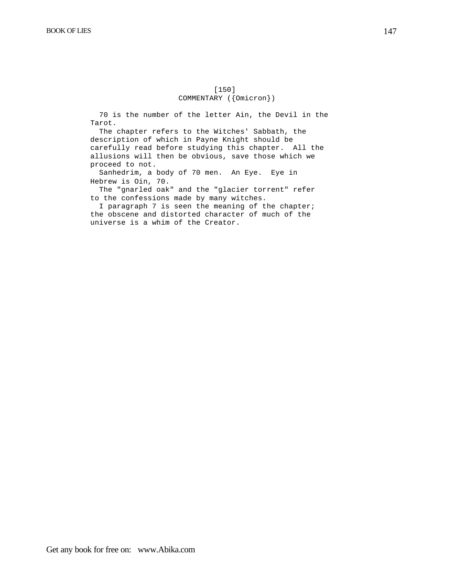# [150] COMMENTARY ({Omicron})

 70 is the number of the letter Ain, the Devil in the Tarot.

 The chapter refers to the Witches' Sabbath, the description of which in Payne Knight should be carefully read before studying this chapter. All the allusions will then be obvious, save those which we proceed to not.

 Sanhedrim, a body of 70 men. An Eye. Eye in Hebrew is Oin, 70.

 The "gnarled oak" and the "glacier torrent" refer to the confessions made by many witches.

 I paragraph 7 is seen the meaning of the chapter; the obscene and distorted character of much of the universe is a whim of the Creator.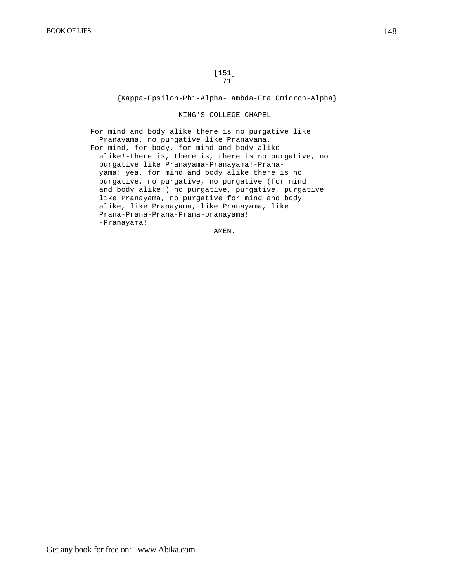## [151] 71

{Kappa-Epsilon-Phi-Alpha-Lambda-Eta Omicron-Alpha}

### KING'S COLLEGE CHAPEL

 For mind and body alike there is no purgative like Pranayama, no purgative like Pranayama. For mind, for body, for mind and body alike alike!-there is, there is, there is no purgative, no purgative like Pranayama-Pranayama!-Prana yama! yea, for mind and body alike there is no purgative, no purgative, no purgative (for mind and body alike!) no purgative, purgative, purgative like Pranayama, no purgative for mind and body alike, like Pranayama, like Pranayama, like Prana-Prana-Prana-Prana-pranayama! -Pranayama!

AMEN.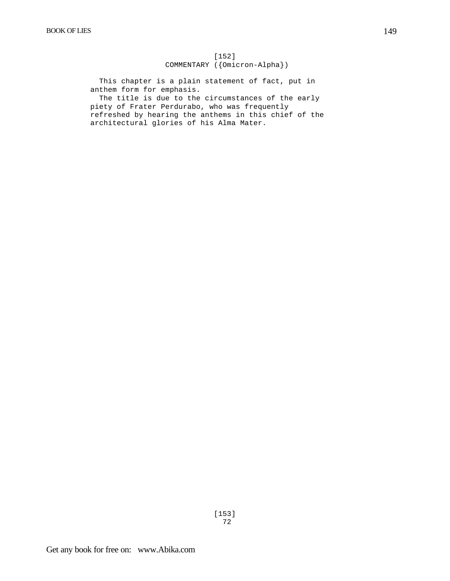## [152] COMMENTARY ({Omicron-Alpha})

 This chapter is a plain statement of fact, put in anthem form for emphasis.

 The title is due to the circumstances of the early piety of Frater Perdurabo, who was frequently refreshed by hearing the anthems in this chief of the architectural glories of his Alma Mater.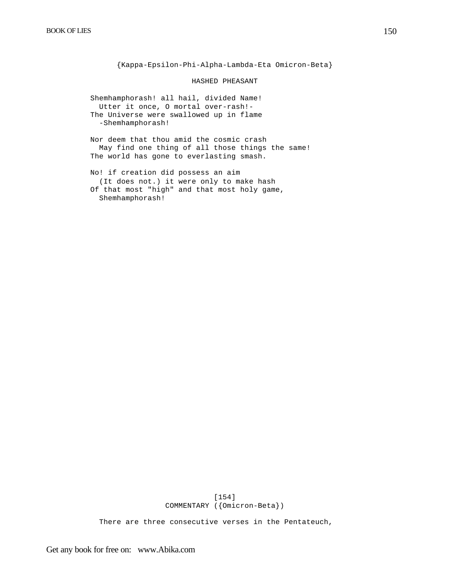{Kappa-Epsilon-Phi-Alpha-Lambda-Eta Omicron-Beta}

#### HASHED PHEASANT

 Shemhamphorash! all hail, divided Name! Utter it once, O mortal over-rash!- The Universe were swallowed up in flame -Shemhamphorash!

 Nor deem that thou amid the cosmic crash May find one thing of all those things the same! The world has gone to everlasting smash.

 No! if creation did possess an aim (It does not.) it were only to make hash Of that most "high" and that most holy game, Shemhamphorash!

> [154] COMMENTARY ({Omicron-Beta})

There are three consecutive verses in the Pentateuch,

Get any book for free on: www.Abika.com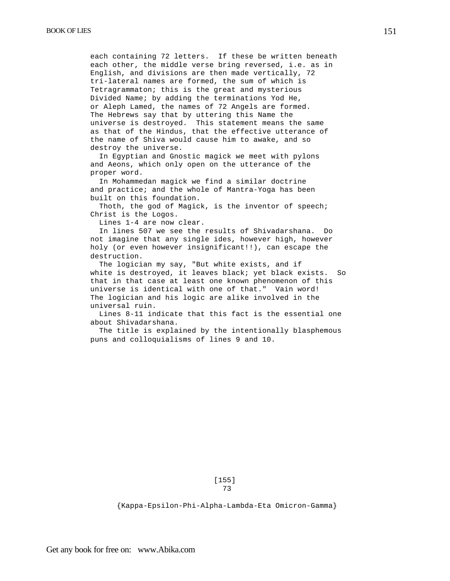each containing 72 letters. If these be written beneath each other, the middle verse bring reversed, i.e. as in English, and divisions are then made vertically, 72 tri-lateral names are formed, the sum of which is Tetragrammaton; this is the great and mysterious Divided Name; by adding the terminations Yod He, or Aleph Lamed, the names of 72 Angels are formed. The Hebrews say that by uttering this Name the universe is destroyed. This statement means the same as that of the Hindus, that the effective utterance of the name of Shiva would cause him to awake, and so destroy the universe.

 In Egyptian and Gnostic magick we meet with pylons and Aeons, which only open on the utterance of the proper word.

 In Mohammedan magick we find a similar doctrine and practice; and the whole of Mantra-Yoga has been built on this foundation.

Thoth, the god of Magick, is the inventor of speech; Christ is the Logos.

Lines 1-4 are now clear.

 In lines 507 we see the results of Shivadarshana. Do not imagine that any single ides, however high, however holy (or even however insignificant!!), can escape the destruction.

 The logician my say, "But white exists, and if white is destroyed, it leaves black; yet black exists. So that in that case at least one known phenomenon of this universe is identical with one of that." Vain word! The logician and his logic are alike involved in the universal ruin.

 Lines 8-11 indicate that this fact is the essential one about Shivadarshana.

 The title is explained by the intentionally blasphemous puns and colloquialisms of lines 9 and 10.

 [155] 73

{Kappa-Epsilon-Phi-Alpha-Lambda-Eta Omicron-Gamma}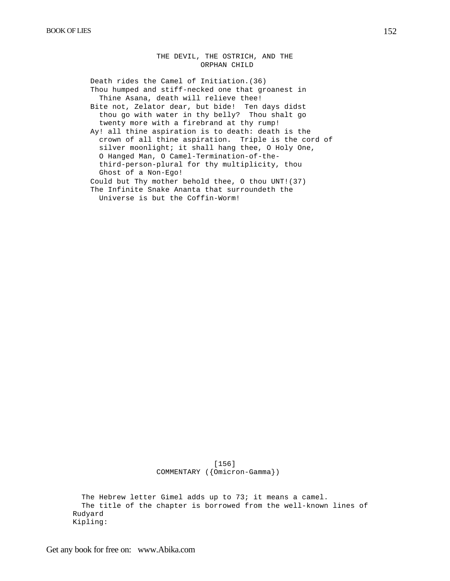# THE DEVIL, THE OSTRICH, AND THE ORPHAN CHILD

 Death rides the Camel of Initiation.(36) Thou humped and stiff-necked one that groanest in Thine Asana, death will relieve thee! Bite not, Zelator dear, but bide! Ten days didst thou go with water in thy belly? Thou shalt go twenty more with a firebrand at thy rump! Ay! all thine aspiration is to death: death is the crown of all thine aspiration. Triple is the cord of silver moonlight; it shall hang thee, O Holy One, O Hanged Man, O Camel-Termination-of-the third-person-plural for thy multiplicity, thou Ghost of a Non-Ego! Could but Thy mother behold thee, O thou UNT!(37) The Infinite Snake Ananta that surroundeth the Universe is but the Coffin-Worm!

> [156] COMMENTARY ({Omicron-Gamma})

 The Hebrew letter Gimel adds up to 73; it means a camel. The title of the chapter is borrowed from the well-known lines of Rudyard Kipling:

Get any book for free on: www.Abika.com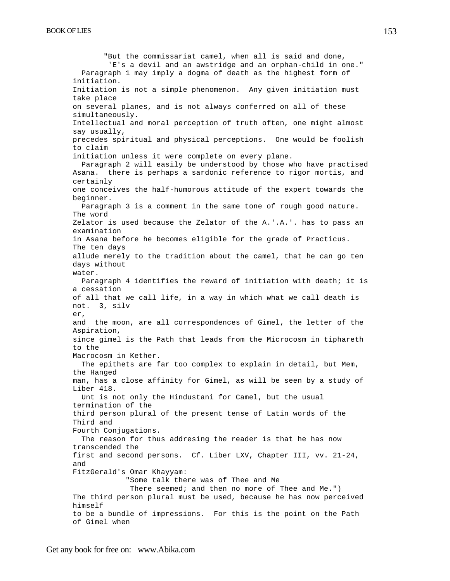"But the commissariat camel, when all is said and done, 'E's a devil and an awstridge and an orphan-child in one." Paragraph 1 may imply a dogma of death as the highest form of initiation. Initiation is not a simple phenomenon. Any given initiation must take place on several planes, and is not always conferred on all of these simultaneously. Intellectual and moral perception of truth often, one might almost say usually, precedes spiritual and physical perceptions. One would be foolish to claim initiation unless it were complete on every plane. Paragraph 2 will easily be understood by those who have practised Asana. there is perhaps a sardonic reference to rigor mortis, and certainly one conceives the half-humorous attitude of the expert towards the beginner. Paragraph 3 is a comment in the same tone of rough good nature. The word Zelator is used because the Zelator of the A.'.A.'. has to pass an examination in Asana before he becomes eligible for the grade of Practicus. The ten days allude merely to the tradition about the camel, that he can go ten days without water. Paragraph 4 identifies the reward of initiation with death; it is a cessation of all that we call life, in a way in which what we call death is not. 3, silv er, and the moon, are all correspondences of Gimel, the letter of the Aspiration, since gimel is the Path that leads from the Microcosm in tiphareth to the Macrocosm in Kether. The epithets are far too complex to explain in detail, but Mem, the Hanged man, has a close affinity for Gimel, as will be seen by a study of Liber 418. Unt is not only the Hindustani for Camel, but the usual termination of the third person plural of the present tense of Latin words of the Third and Fourth Conjugations. The reason for thus addresing the reader is that he has now transcended the first and second persons. Cf. Liber LXV, Chapter III, vv. 21-24, and FitzGerald's Omar Khayyam: "Some talk there was of Thee and Me There seemed; and then no more of Thee and Me.") The third person plural must be used, because he has now perceived himself to be a bundle of impressions. For this is the point on the Path of Gimel when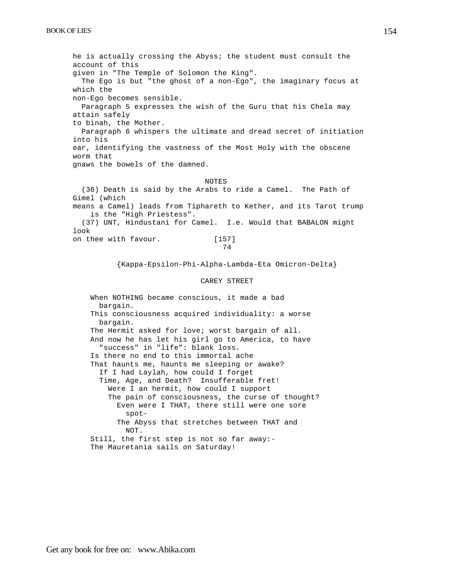he is actually crossing the Abyss; the student must consult the account of this given in "The Temple of Solomon the King". The Ego is but "the ghost of a non-Ego", the imaginary focus at which the non-Ego becomes sensible. Paragraph 5 expresses the wish of the Guru that his Chela may attain safely to binah, the Mother. Paragraph 6 whispers the ultimate and dread secret of initiation into his ear, identifying the vastness of the Most Holy with the obscene worm that gnaws the bowels of the damned. NOTES (36) Death is said by the Arabs to ride a Camel. The Path of Gimel (which means a Camel) leads from Tiphareth to Kether, and its Tarot trump is the "High Priestess". (37) UNT, Hindustani for Camel. I.e. Would that BABALON might look on thee with favour. [157] 74 {Kappa-Epsilon-Phi-Alpha-Lambda-Eta Omicron-Delta} CAREY STREET When NOTHING became conscious, it made a bad bargain. This consciousness acquired individuality: a worse bargain. The Hermit asked for love; worst bargain of all. And now he has let his girl go to America, to have "success" in "life": blank loss. Is there no end to this immortal ache That haunts me, haunts me sleeping or awake? If I had Laylah, how could I forget Time, Age, and Death? Insufferable fret! Were I an hermit, how could I support The pain of consciousness, the curse of thought? Even were I THAT, there still were one sore spot- The Abyss that stretches between THAT and NOT. Still, the first step is not so far away:- The Mauretania sails on Saturday!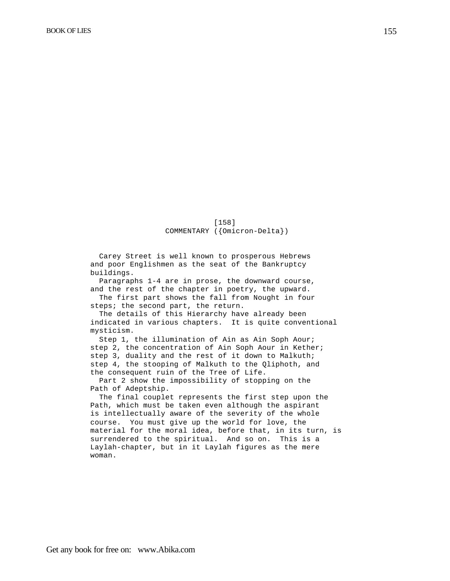[158] COMMENTARY ({Omicron-Delta})

 Carey Street is well known to prosperous Hebrews and poor Englishmen as the seat of the Bankruptcy buildings.

 Paragraphs 1-4 are in prose, the downward course, and the rest of the chapter in poetry, the upward.

 The first part shows the fall from Nought in four steps; the second part, the return.

 The details of this Hierarchy have already been indicated in various chapters. It is quite conventional mysticism.

 Step 1, the illumination of Ain as Ain Soph Aour; step 2, the concentration of Ain Soph Aour in Kether; step 3, duality and the rest of it down to Malkuth; step 4, the stooping of Malkuth to the Qliphoth, and the consequent ruin of the Tree of Life.

 Part 2 show the impossibility of stopping on the Path of Adeptship.

 The final couplet represents the first step upon the Path, which must be taken even although the aspirant is intellectually aware of the severity of the whole course. You must give up the world for love, the material for the moral idea, before that, in its turn, is surrendered to the spiritual. And so on. This is a Laylah-chapter, but in it Laylah figures as the mere woman.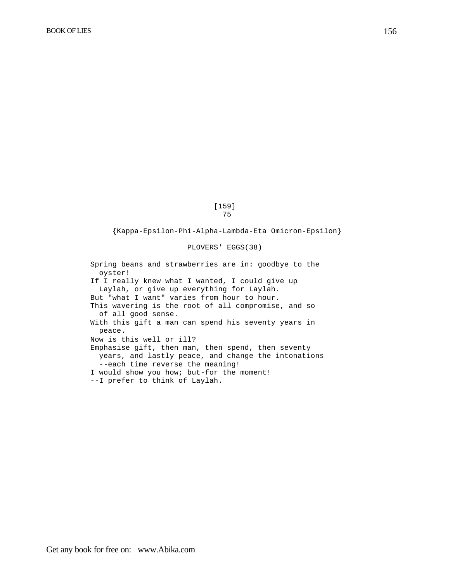75 {Kappa-Epsilon-Phi-Alpha-Lambda-Eta Omicron-Epsilon} PLOVERS' EGGS(38) Spring beans and strawberries are in: goodbye to the oyster! If I really knew what I wanted, I could give up Laylah, or give up everything for Laylah. But "what I want" varies from hour to hour. This wavering is the root of all compromise, and so of all good sense. With this gift a man can spend his seventy years in

[159]

 peace. Now is this well or ill? Emphasise gift, then man, then spend, then seventy years, and lastly peace, and change the intonations --each time reverse the meaning! I would show you how; but-for the moment! --I prefer to think of Laylah.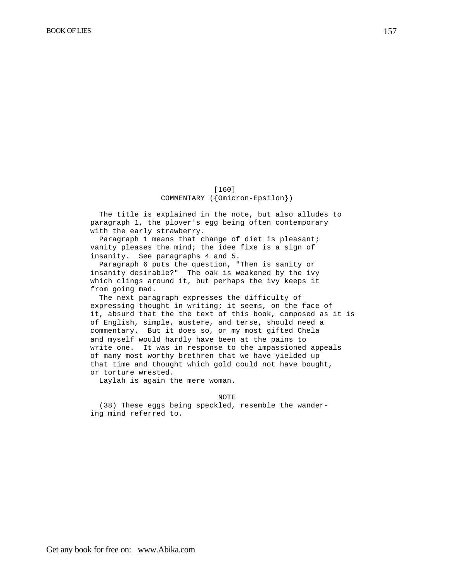## [160] COMMENTARY ({Omicron-Epsilon})

 The title is explained in the note, but also alludes to paragraph 1, the plover's egg being often contemporary with the early strawberry.

Paragraph 1 means that change of diet is pleasant; vanity pleases the mind; the idee fixe is a sign of insanity. See paragraphs 4 and 5.

 Paragraph 6 puts the question, "Then is sanity or insanity desirable?" The oak is weakened by the ivy which clings around it, but perhaps the ivy keeps it from going mad.

 The next paragraph expresses the difficulty of expressing thought in writing; it seems, on the face of it, absurd that the the text of this book, composed as it is of English, simple, austere, and terse, should need a commentary. But it does so, or my most gifted Chela and myself would hardly have been at the pains to write one. It was in response to the impassioned appeals of many most worthy brethren that we have yielded up that time and thought which gold could not have bought, or torture wrested.

Laylah is again the mere woman.

NOTE

 (38) These eggs being speckled, resemble the wander ing mind referred to.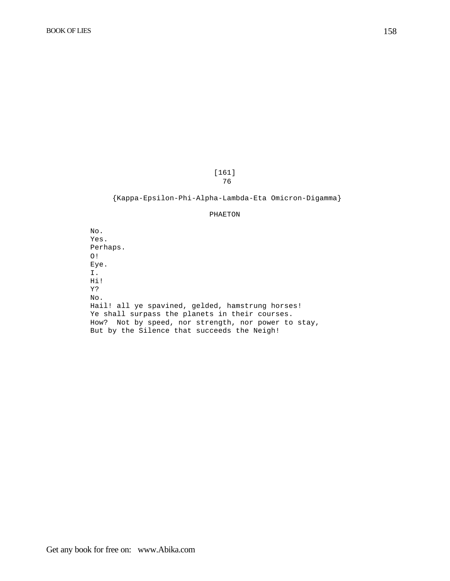# [161]<br>76 76

{Kappa-Epsilon-Phi-Alpha-Lambda-Eta Omicron-Digamma}

## PHAETON

 No. Yes. Perhaps. O! Eye. I. Hi! Y? No. Hail! all ye spavined, gelded, hamstrung horses! Ye shall surpass the planets in their courses. How? Not by speed, nor strength, nor power to stay, But by the Silence that succeeds the Neigh!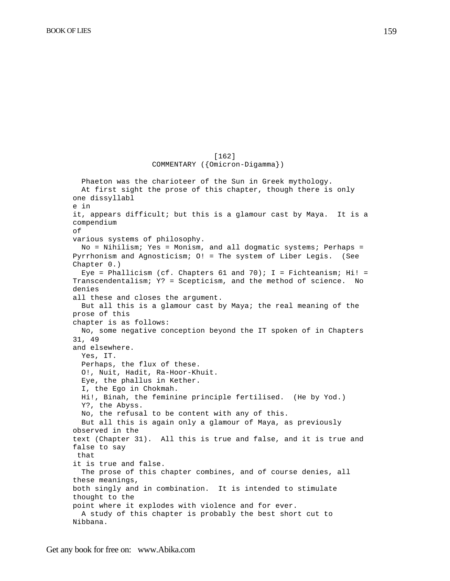Phaeton was the charioteer of the Sun in Greek mythology. At first sight the prose of this chapter, though there is only one dissyllabl e in it, appears difficult; but this is a glamour cast by Maya. It is a compendium of various systems of philosophy. No = Nihilism; Yes = Monism, and all dogmatic systems; Perhaps = Pyrrhonism and Agnosticism; O! = The system of Liber Legis. (See Chapter 0.) Eye = Phallicism (cf. Chapters 61 and 70); I = Fichteanism; Hi! = Transcendentalism; Y? = Scepticism, and the method of science. No denies all these and closes the argument. But all this is a glamour cast by Maya; the real meaning of the prose of this chapter is as follows: No, some negative conception beyond the IT spoken of in Chapters 31, 49 and elsewhere. Yes, IT. Perhaps, the flux of these. O!, Nuit, Hadit, Ra-Hoor-Khuit. Eye, the phallus in Kether. I, the Ego in Chokmah. Hi!, Binah, the feminine principle fertilised. (He by Yod.) Y?, the Abyss. No, the refusal to be content with any of this. But all this is again only a glamour of Maya, as previously observed in the text (Chapter 31). All this is true and false, and it is true and false to say that it is true and false. The prose of this chapter combines, and of course denies, all these meanings, both singly and in combination. It is intended to stimulate thought to the point where it explodes with violence and for ever. A study of this chapter is probably the best short cut to Nibbana.

 [162] COMMENTARY ({Omicron-Digamma})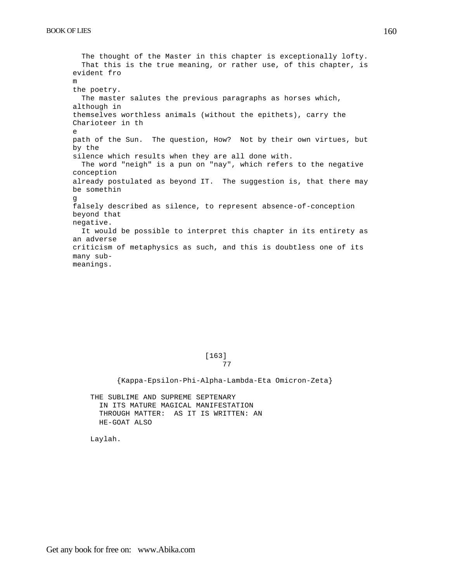The thought of the Master in this chapter is exceptionally lofty. That this is the true meaning, or rather use, of this chapter, is evident fro m the poetry. The master salutes the previous paragraphs as horses which, although in themselves worthless animals (without the epithets), carry the Charioteer in th e path of the Sun. The question, How? Not by their own virtues, but by the silence which results when they are all done with. The word "neigh" is a pun on "nay", which refers to the negative conception already postulated as beyond IT. The suggestion is, that there may be somethin g falsely described as silence, to represent absence-of-conception beyond that negative. It would be possible to interpret this chapter in its entirety as an adverse criticism of metaphysics as such, and this is doubtless one of its many submeanings.

 [163] 77

{Kappa-Epsilon-Phi-Alpha-Lambda-Eta Omicron-Zeta}

 THE SUBLIME AND SUPREME SEPTENARY IN ITS MATURE MAGICAL MANIFESTATION THROUGH MATTER: AS IT IS WRITTEN: AN HE-GOAT ALSO

Laylah.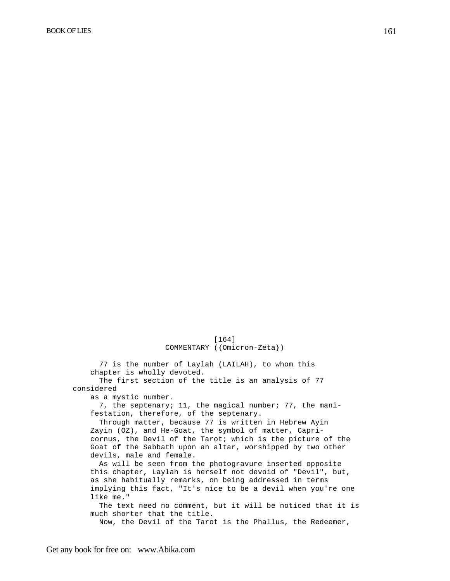# [164] COMMENTARY ({Omicron-Zeta})

 77 is the number of Laylah (LAILAH), to whom this chapter is wholly devoted. The first section of the title is an analysis of 77 considered as a mystic number. 7, the septenary; 11, the magical number; 77, the mani festation, therefore, of the septenary. Through matter, because 77 is written in Hebrew Ayin Zayin (OZ), and He-Goat, the symbol of matter, Capri cornus, the Devil of the Tarot; which is the picture of the Goat of the Sabbath upon an altar, worshipped by two other devils, male and female. As will be seen from the photogravure inserted opposite this chapter, Laylah is herself not devoid of "Devil", but, as she habitually remarks, on being addressed in terms implying this fact, "It's nice to be a devil when you're one like me." The text need no comment, but it will be noticed that it is much shorter that the title.

Now, the Devil of the Tarot is the Phallus, the Redeemer,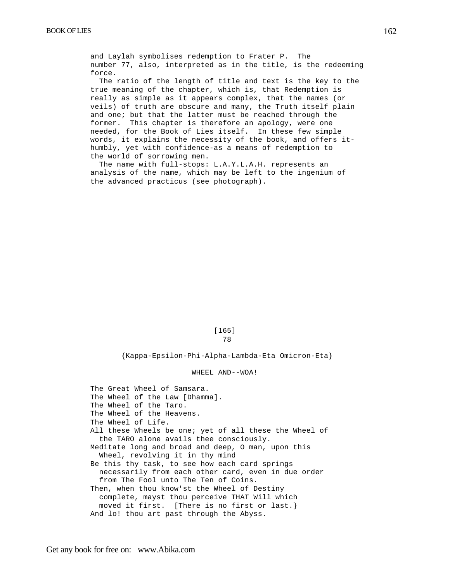and Laylah symbolises redemption to Frater P. The number 77, also, interpreted as in the title, is the redeeming force.

 The ratio of the length of title and text is the key to the true meaning of the chapter, which is, that Redemption is really as simple as it appears complex, that the names (or veils) of truth are obscure and many, the Truth itself plain and one; but that the latter must be reached through the former. This chapter is therefore an apology, were one needed, for the Book of Lies itself. In these few simple words, it explains the necessity of the book, and offers it humbly, yet with confidence-as a means of redemption to the world of sorrowing men.

 The name with full-stops: L.A.Y.L.A.H. represents an analysis of the name, which may be left to the ingenium of the advanced practicus (see photograph).

[165]

### 78

{Kappa-Epsilon-Phi-Alpha-Lambda-Eta Omicron-Eta}

#### WHEEL AND--WOA!

 The Great Wheel of Samsara. The Wheel of the Law [Dhamma]. The Wheel of the Taro. The Wheel of the Heavens. The Wheel of Life. All these Wheels be one; yet of all these the Wheel of the TARO alone avails thee consciously. Meditate long and broad and deep, O man, upon this Wheel, revolving it in thy mind Be this thy task, to see how each card springs necessarily from each other card, even in due order from The Fool unto The Ten of Coins. Then, when thou know'st the Wheel of Destiny complete, mayst thou perceive THAT Will which moved it first. [There is no first or last.} And lo! thou art past through the Abyss.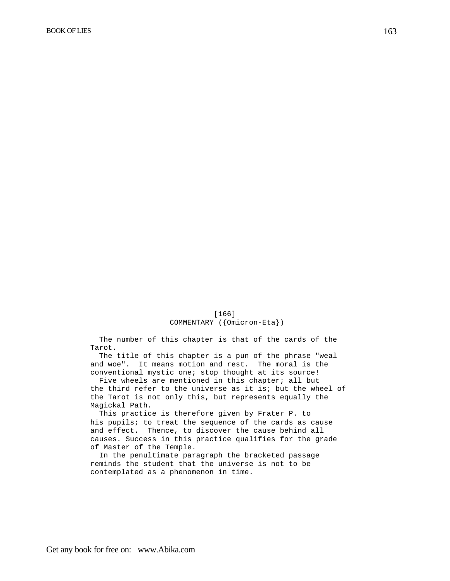# [166] COMMENTARY ({Omicron-Eta})

 The number of this chapter is that of the cards of the Tarot.

 The title of this chapter is a pun of the phrase "weal and woe". It means motion and rest. The moral is the conventional mystic one; stop thought at its source!

Five wheels are mentioned in this chapter; all but the third refer to the universe as it is; but the wheel of the Tarot is not only this, but represents equally the Magickal Path.

 This practice is therefore given by Frater P. to his pupils; to treat the sequence of the cards as cause and effect. Thence, to discover the cause behind all causes. Success in this practice qualifies for the grade of Master of the Temple.

 In the penultimate paragraph the bracketed passage reminds the student that the universe is not to be contemplated as a phenomenon in time.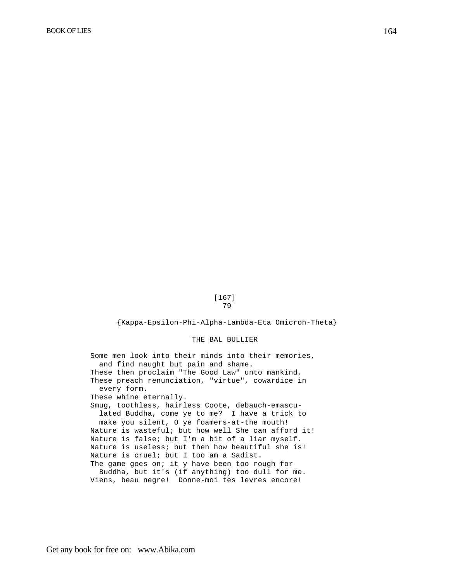[167] 79

{Kappa-Epsilon-Phi-Alpha-Lambda-Eta Omicron-Theta}

THE BAL BULLIER

 Some men look into their minds into their memories, and find naught but pain and shame. These then proclaim "The Good Law" unto mankind. These preach renunciation, "virtue", cowardice in every form. These whine eternally. Smug, toothless, hairless Coote, debauch-emascu lated Buddha, come ye to me? I have a trick to make you silent, O ye foamers-at-the mouth! Nature is wasteful; but how well She can afford it! Nature is false; but I'm a bit of a liar myself. Nature is useless; but then how beautiful she is! Nature is cruel; but I too am a Sadist. The game goes on; it y have been too rough for Buddha, but it's (if anything) too dull for me. Viens, beau negre! Donne-moi tes levres encore!

Get any book for free on: www.Abika.com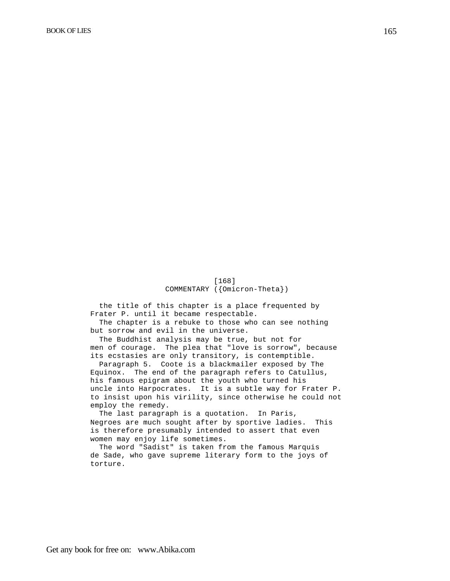[168] COMMENTARY ({Omicron-Theta})

 the title of this chapter is a place frequented by Frater P. until it became respectable.

 The chapter is a rebuke to those who can see nothing but sorrow and evil in the universe.

 The Buddhist analysis may be true, but not for men of courage. The plea that "love is sorrow", because its ecstasies are only transitory, is contemptible.

 Paragraph 5. Coote is a blackmailer exposed by The Equinox. The end of the paragraph refers to Catullus, his famous epigram about the youth who turned his uncle into Harpocrates. It is a subtle way for Frater P. to insist upon his virility, since otherwise he could not employ the remedy.

 The last paragraph is a quotation. In Paris, Negroes are much sought after by sportive ladies. This is therefore presumably intended to assert that even women may enjoy life sometimes.

 The word "Sadist" is taken from the famous Marquis de Sade, who gave supreme literary form to the joys of torture.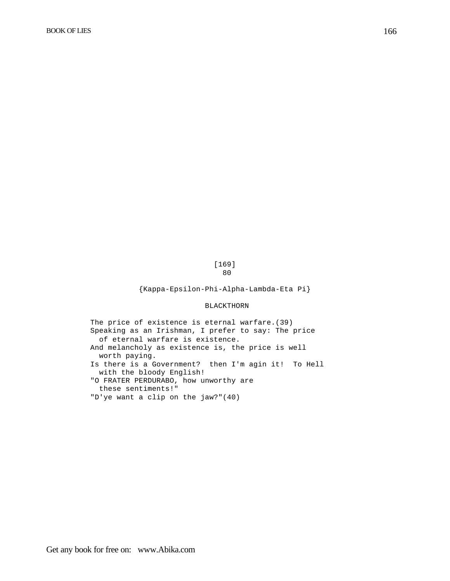[169] <u>80</u>

{Kappa-Epsilon-Phi-Alpha-Lambda-Eta Pi}

#### BLACKTHORN

 The price of existence is eternal warfare.(39) Speaking as an Irishman, I prefer to say: The price of eternal warfare is existence. And melancholy as existence is, the price is well worth paying. Is there is a Government? then I'm agin it! To Hell with the bloody English! "O FRATER PERDURABO, how unworthy are these sentiments!" "D'ye want a clip on the jaw?"(40)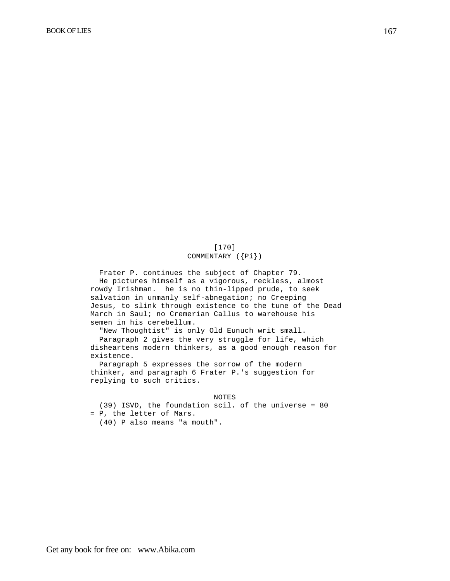# [170] COMMENTARY ({Pi})

 Frater P. continues the subject of Chapter 79. He pictures himself as a vigorous, reckless, almost rowdy Irishman. he is no thin-lipped prude, to seek salvation in unmanly self-abnegation; no Creeping Jesus, to slink through existence to the tune of the Dead March in Saul; no Cremerian Callus to warehouse his semen in his cerebellum.

"New Thoughtist" is only Old Eunuch writ small.

 Paragraph 2 gives the very struggle for life, which disheartens modern thinkers, as a good enough reason for existence.

 Paragraph 5 expresses the sorrow of the modern thinker, and paragraph 6 Frater P.'s suggestion for replying to such critics.

#### NOTES

 (39) ISVD, the foundation scil. of the universe = 80 = P, the letter of Mars.

(40) P also means "a mouth".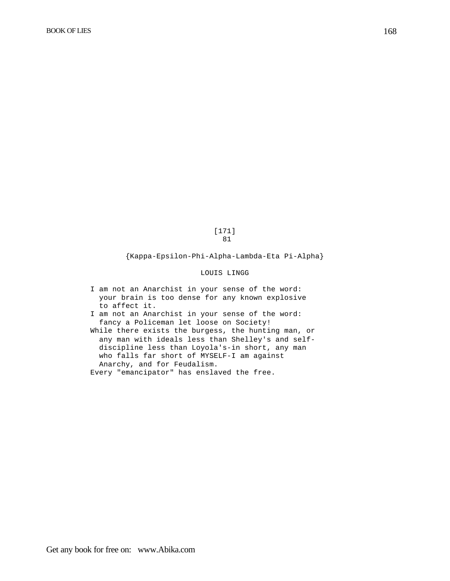[171] 81

{Kappa-Epsilon-Phi-Alpha-Lambda-Eta Pi-Alpha}

#### LOUIS LINGG

- I am not an Anarchist in your sense of the word: your brain is too dense for any known explosive to affect it.
- I am not an Anarchist in your sense of the word: fancy a Policeman let loose on Society!
- While there exists the burgess, the hunting man, or any man with ideals less than Shelley's and self discipline less than Loyola's-in short, any man who falls far short of MYSELF-I am against Anarchy, and for Feudalism.

Every "emancipator" has enslaved the free.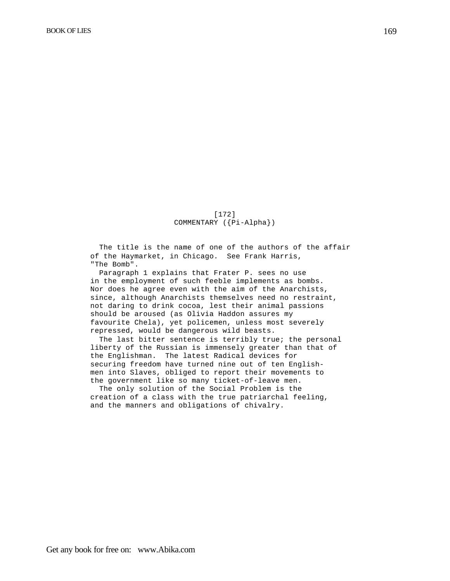[172] COMMENTARY ({Pi-Alpha})

 The title is the name of one of the authors of the affair of the Haymarket, in Chicago. See Frank Harris, "The Bomb".

 Paragraph 1 explains that Frater P. sees no use in the employment of such feeble implements as bombs. Nor does he agree even with the aim of the Anarchists, since, although Anarchists themselves need no restraint, not daring to drink cocoa, lest their animal passions should be aroused (as Olivia Haddon assures my favourite Chela), yet policemen, unless most severely repressed, would be dangerous wild beasts.

The last bitter sentence is terribly true; the personal liberty of the Russian is immensely greater than that of the Englishman. The latest Radical devices for securing freedom have turned nine out of ten English men into Slaves, obliged to report their movements to the government like so many ticket-of-leave men.

 The only solution of the Social Problem is the creation of a class with the true patriarchal feeling, and the manners and obligations of chivalry.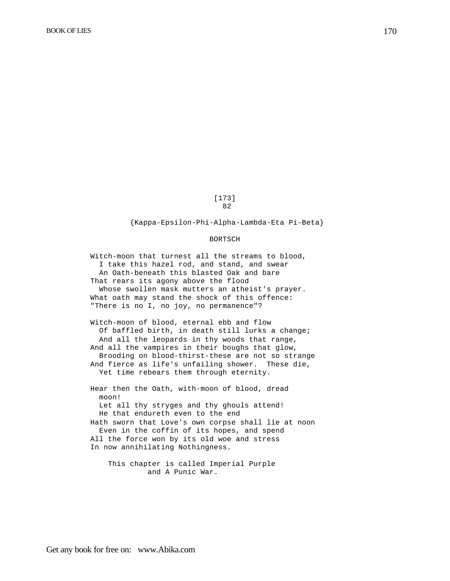[173] <u>82</u>

## {Kappa-Epsilon-Phi-Alpha-Lambda-Eta Pi-Beta}

### BORTSCH

 Witch-moon that turnest all the streams to blood, I take this hazel rod, and stand, and swear An Oath-beneath this blasted Oak and bare That rears its agony above the flood Whose swollen mask mutters an atheist's prayer. What oath may stand the shock of this offence: "There is no I, no joy, no permanence"?

 Witch-moon of blood, eternal ebb and flow Of baffled birth, in death still lurks a change; And all the leopards in thy woods that range, And all the vampires in their boughs that glow, Brooding on blood-thirst-these are not so strange And fierce as life's unfailing shower. These die, Yet time rebears them through eternity.

 Hear then the Oath, with-moon of blood, dread moon! Let all thy stryges and thy ghouls attend! He that endureth even to the end Hath sworn that Love's own corpse shall lie at noon Even in the coffin of its hopes, and spend All the force won by its old woe and stress In now annihilating Nothingness.

 This chapter is called Imperial Purple and A Punic War.

170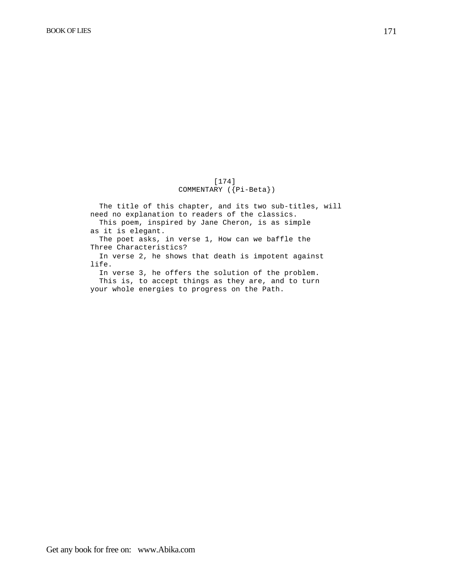## [174] COMMENTARY ({Pi-Beta})

 The title of this chapter, and its two sub-titles, will need no explanation to readers of the classics. This poem, inspired by Jane Cheron, is as simple as it is elegant. The poet asks, in verse 1, How can we baffle the Three Characteristics? In verse 2, he shows that death is impotent against life. In verse 3, he offers the solution of the problem. This is, to accept things as they are, and to turn your whole energies to progress on the Path.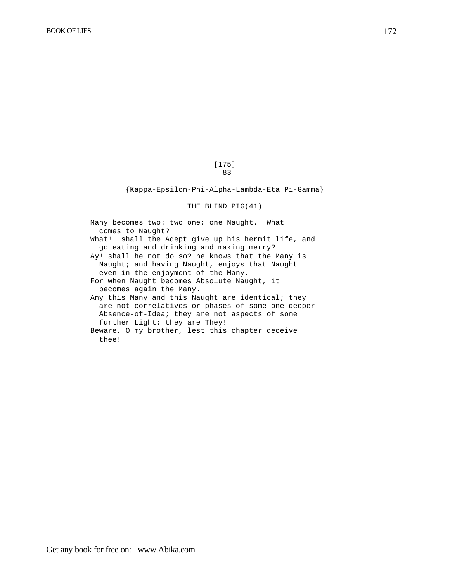## [175] en and the state of the state of the state of the state of the state of the state of the state of the state of

#### {Kappa-Epsilon-Phi-Alpha-Lambda-Eta Pi-Gamma}

THE BLIND PIG(41)

 Many becomes two: two one: one Naught. What comes to Naught? What! shall the Adept give up his hermit life, and go eating and drinking and making merry? Ay! shall he not do so? he knows that the Many is Naught; and having Naught, enjoys that Naught even in the enjoyment of the Many. For when Naught becomes Absolute Naught, it becomes again the Many. Any this Many and this Naught are identical; they are not correlatives or phases of some one deeper Absence-of-Idea; they are not aspects of some further Light: they are They! Beware, O my brother, lest this chapter deceive thee!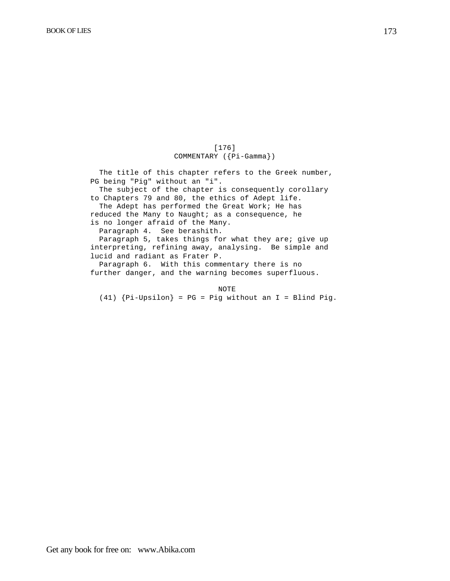[176] COMMENTARY ({Pi-Gamma})

 The title of this chapter refers to the Greek number, PG being "Pig" without an "i".

 The subject of the chapter is consequently corollary to Chapters 79 and 80, the ethics of Adept life.

 The Adept has performed the Great Work; He has reduced the Many to Naught; as a consequence, he is no longer afraid of the Many.

Paragraph 4. See berashith.

 Paragraph 5, takes things for what they are; give up interpreting, refining away, analysing. Be simple and lucid and radiant as Frater P.

 Paragraph 6. With this commentary there is no further danger, and the warning becomes superfluous.

NOTE (41)  ${Pi-Upsilon} = PG = Pig without an I = Blind Pig.$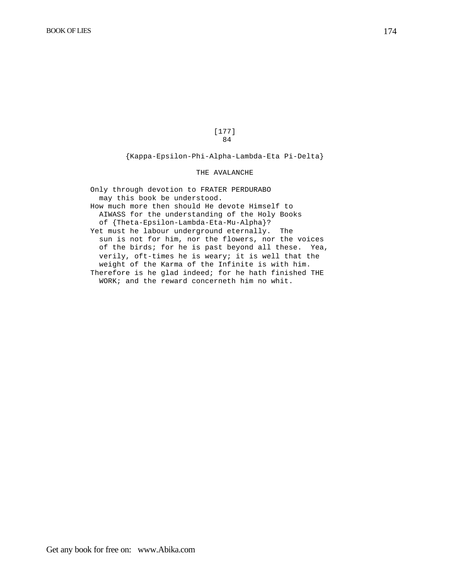## [177] <u>84</u>

{Kappa-Epsilon-Phi-Alpha-Lambda-Eta Pi-Delta}

### THE AVALANCHE

 Only through devotion to FRATER PERDURABO may this book be understood. How much more then should He devote Himself to AIWASS for the understanding of the Holy Books of {Theta-Epsilon-Lambda-Eta-Mu-Alpha}? Yet must he labour underground eternally. The sun is not for him, nor the flowers, nor the voices of the birds; for he is past beyond all these. Yea, verily, oft-times he is weary; it is well that the weight of the Karma of the Infinite is with him. Therefore is he glad indeed; for he hath finished THE WORK; and the reward concerneth him no whit.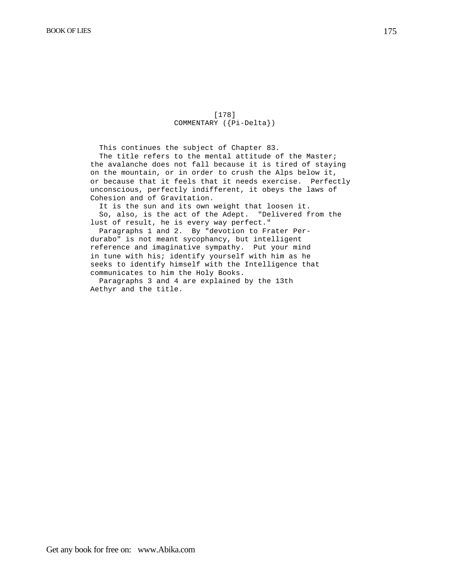[178] COMMENTARY ({Pi-Delta})

 This continues the subject of Chapter 83. The title refers to the mental attitude of the Master; the avalanche does not fall because it is tired of staying on the mountain, or in order to crush the Alps below it, or because that it feels that it needs exercise. Perfectly unconscious, perfectly indifferent, it obeys the laws of Cohesion and of Gravitation.

 It is the sun and its own weight that loosen it. So, also, is the act of the Adept. "Delivered from the lust of result, he is every way perfect."

 Paragraphs 1 and 2. By "devotion to Frater Per durabo" is not meant sycophancy, but intelligent reference and imaginative sympathy. Put your mind in tune with his; identify yourself with him as he seeks to identify himself with the Intelligence that communicates to him the Holy Books.

 Paragraphs 3 and 4 are explained by the 13th Aethyr and the title.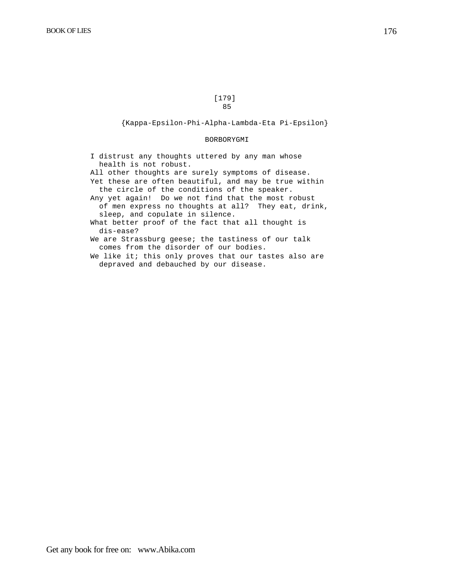## [179] <u>85 and 2001 and 2001 and 2001 and 2001 and 2001 and 2001 and 2001 and 2001 and 2001 and 2001 and 2001 and 200</u>

### {Kappa-Epsilon-Phi-Alpha-Lambda-Eta Pi-Epsilon}

### BORBORYGMI

 I distrust any thoughts uttered by any man whose health is not robust. All other thoughts are surely symptoms of disease. Yet these are often beautiful, and may be true within the circle of the conditions of the speaker. Any yet again! Do we not find that the most robust of men express no thoughts at all? They eat, drink, sleep, and copulate in silence. What better proof of the fact that all thought is dis-ease? We are Strassburg geese; the tastiness of our talk comes from the disorder of our bodies. We like it; this only proves that our tastes also are depraved and debauched by our disease.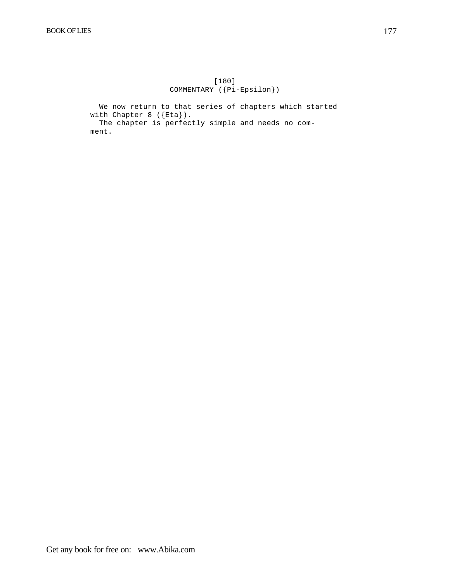We now return to that series of chapters which started with Chapter 8 ({Eta}). The chapter is perfectly simple and needs no com ment.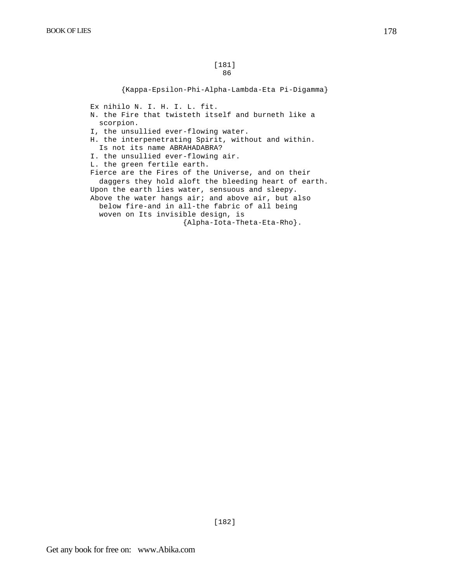```
 [181]
<u>86 and 2001 and 2002 and 2003 and 2003 and 2004 and 2004 and 2005 and 2006 and 2006 and 2006 and 2006 and 200</u>
```
 {Kappa-Epsilon-Phi-Alpha-Lambda-Eta Pi-Digamma} Ex nihilo N. I. H. I. L. fit. N. the Fire that twisteth itself and burneth like a scorpion. I, the unsullied ever-flowing water. H. the interpenetrating Spirit, without and within. Is not its name ABRAHADABRA? I. the unsullied ever-flowing air. L. the green fertile earth. Fierce are the Fires of the Universe, and on their daggers they hold aloft the bleeding heart of earth. Upon the earth lies water, sensuous and sleepy. Above the water hangs air; and above air, but also below fire-and in all-the fabric of all being woven on Its invisible design, is {Alpha-Iota-Theta-Eta-Rho}.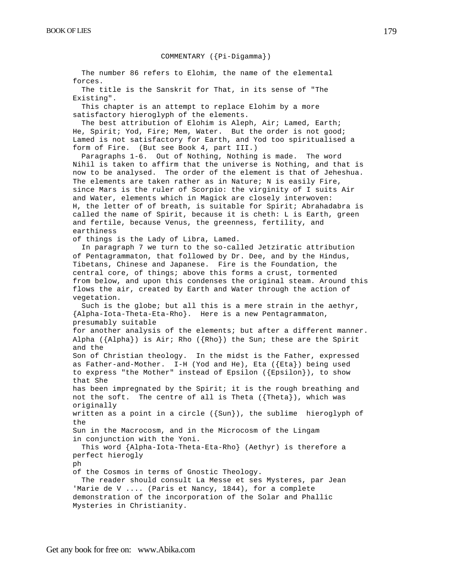COMMENTARY ({Pi-Digamma})

 The number 86 refers to Elohim, the name of the elemental forces.

 The title is the Sanskrit for That, in its sense of "The Existing".

 This chapter is an attempt to replace Elohim by a more satisfactory hieroglyph of the elements.

The best attribution of Elohim is Aleph, Air; Lamed, Earth; He, Spirit; Yod, Fire; Mem, Water. But the order is not good; Lamed is not satisfactory for Earth, and Yod too spiritualised a form of Fire. (But see Book 4, part III.)

 Paragraphs 1-6. Out of Nothing, Nothing is made. The word Nihil is taken to affirm that the universe is Nothing, and that is now to be analysed. The order of the element is that of Jeheshua. The elements are taken rather as in Nature; N is easily Fire, since Mars is the ruler of Scorpio: the virginity of I suits Air and Water, elements which in Magick are closely interwoven: H, the letter of of breath, is suitable for Spirit; Abrahadabra is called the name of Spirit, because it is cheth: L is Earth, green and fertile, because Venus, the greenness, fertility, and earthiness

of things is the Lady of Libra, Lamed.

 In paragraph 7 we turn to the so-called Jetziratic attribution of Pentagrammaton, that followed by Dr. Dee, and by the Hindus, Tibetans, Chinese and Japanese. Fire is the Foundation, the central core, of things; above this forms a crust, tormented from below, and upon this condenses the original steam. Around this flows the air, created by Earth and Water through the action of vegetation.

 Such is the globe; but all this is a mere strain in the aethyr, {Alpha-Iota-Theta-Eta-Rho}. Here is a new Pentagrammaton, presumably suitable for another analysis of the elements; but after a different manner. Alpha ( ${Alpha}$ ) is Air; Rho ( ${Rho}$ ) the Sun; these are the Spirit and the Son of Christian theology. In the midst is the Father, expressed as Father-and-Mother. I-H (Yod and He), Eta ({Eta}) being used to express "the Mother" instead of Epsilon ({Epsilon}), to show that She has been impregnated by the Spirit; it is the rough breathing and not the soft. The centre of all is Theta ({Theta}), which was originally written as a point in a circle ({Sun}), the sublime hieroglyph of the Sun in the Macrocosm, and in the Microcosm of the Lingam in conjunction with the Yoni. This word {Alpha-Iota-Theta-Eta-Rho} (Aethyr) is therefore a perfect hierogly ph of the Cosmos in terms of Gnostic Theology. The reader should consult La Messe et ses Mysteres, par Jean 'Marie de V .... (Paris et Nancy, 1844), for a complete demonstration of the incorporation of the Solar and Phallic

Mysteries in Christianity.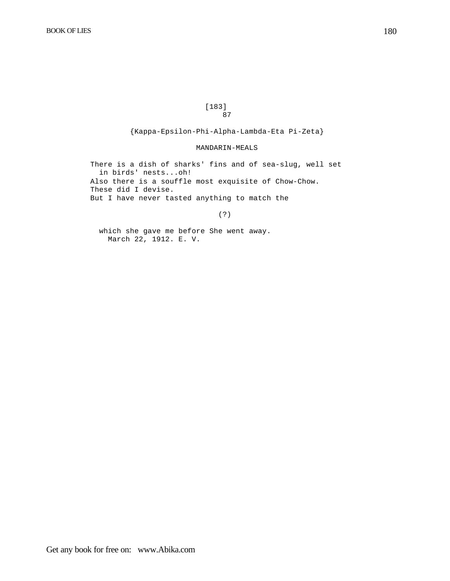# [183] <u>87 and 2012</u>

{Kappa-Epsilon-Phi-Alpha-Lambda-Eta Pi-Zeta}

MANDARIN-MEALS

 There is a dish of sharks' fins and of sea-slug, well set in birds' nests...oh! Also there is a souffle most exquisite of Chow-Chow. These did I devise. But I have never tasted anything to match the

(?)

 which she gave me before She went away. March 22, 1912. E. V.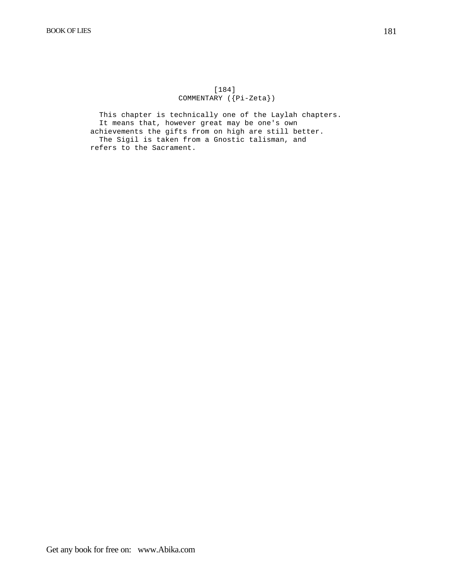# [184] COMMENTARY ({Pi-Zeta})

 This chapter is technically one of the Laylah chapters. It means that, however great may be one's own achievements the gifts from on high are still better. The Sigil is taken from a Gnostic talisman, and refers to the Sacrament.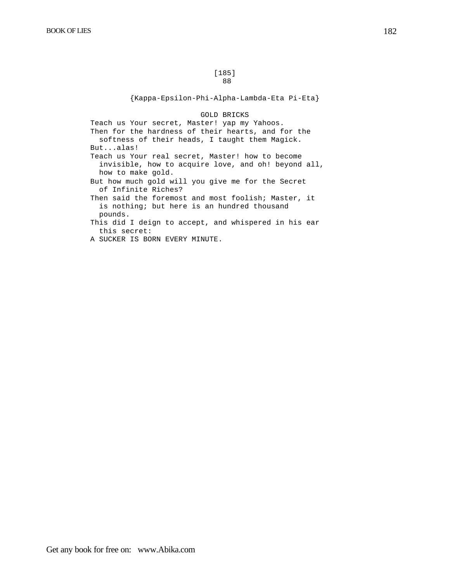#### {Kappa-Epsilon-Phi-Alpha-Lambda-Eta Pi-Eta}

 GOLD BRICKS Teach us Your secret, Master! yap my Yahoos. Then for the hardness of their hearts, and for the softness of their heads, I taught them Magick. But...alas! Teach us Your real secret, Master! how to become invisible, how to acquire love, and oh! beyond all, how to make gold. But how much gold will you give me for the Secret of Infinite Riches? Then said the foremost and most foolish; Master, it is nothing; but here is an hundred thousand pounds. This did I deign to accept, and whispered in his ear this secret: A SUCKER IS BORN EVERY MINUTE.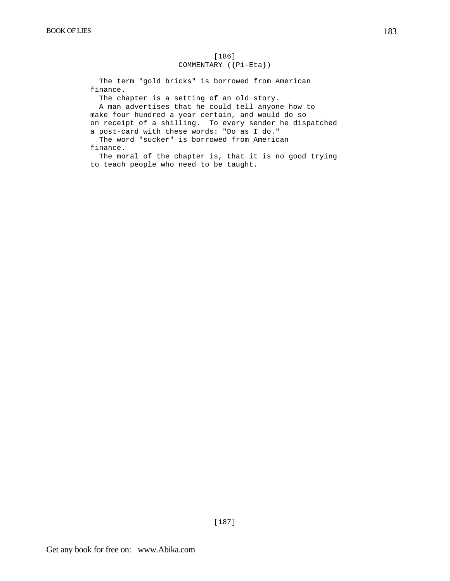## [186] COMMENTARY ({Pi-Eta})

 The term "gold bricks" is borrowed from American finance.

The chapter is a setting of an old story.

 A man advertises that he could tell anyone how to make four hundred a year certain, and would do so on receipt of a shilling. To every sender he dispatched a post-card with these words: "Do as I do."

 The word "sucker" is borrowed from American finance.

 The moral of the chapter is, that it is no good trying to teach people who need to be taught.

[187]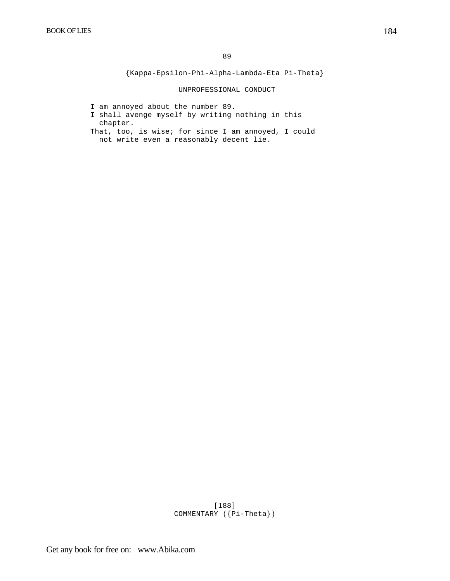{Kappa-Epsilon-Phi-Alpha-Lambda-Eta Pi-Theta}

### UNPROFESSIONAL CONDUCT

- I am annoyed about the number 89.
- I shall avenge myself by writing nothing in this chapter.
- That, too, is wise; for since I am annoyed, I could not write even a reasonably decent lie.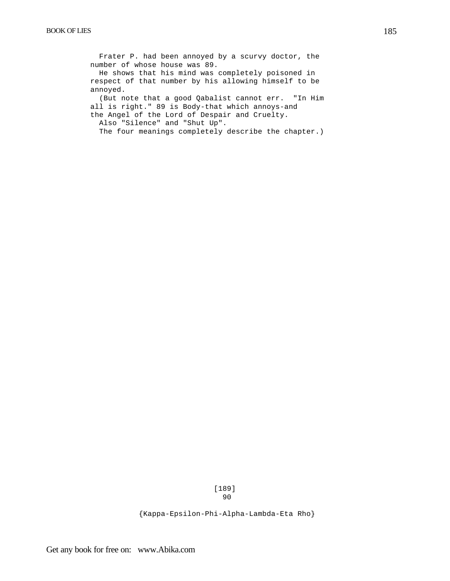Frater P. had been annoyed by a scurvy doctor, the number of whose house was 89. He shows that his mind was completely poisoned in

 respect of that number by his allowing himself to be annoyed.

 (But note that a good Qabalist cannot err. "In Him all is right." 89 is Body-that which annoys-and the Angel of the Lord of Despair and Cruelty.

Also "Silence" and "Shut Up".

The four meanings completely describe the chapter.)

 [189] <u>90</u>

{Kappa-Epsilon-Phi-Alpha-Lambda-Eta Rho}

185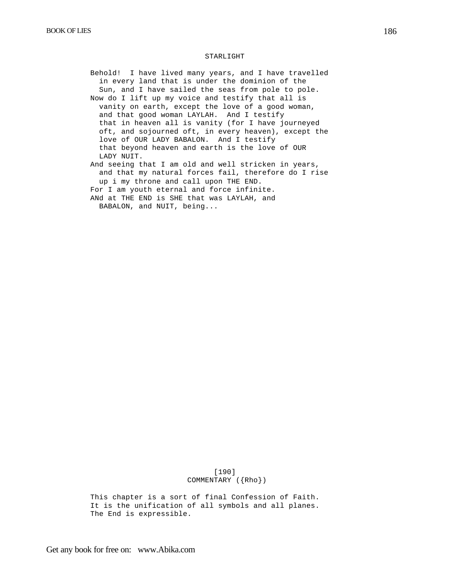## STARLIGHT

 Behold! I have lived many years, and I have travelled in every land that is under the dominion of the Sun, and I have sailed the seas from pole to pole. Now do I lift up my voice and testify that all is vanity on earth, except the love of a good woman, and that good woman LAYLAH. And I testify that in heaven all is vanity (for I have journeyed oft, and sojourned oft, in every heaven), except the love of OUR LADY BABALON. And I testify that beyond heaven and earth is the love of OUR LADY NUIT. And seeing that I am old and well stricken in years, and that my natural forces fail, therefore do I rise up i my throne and call upon THE END. For I am youth eternal and force infinite. ANd at THE END is SHE that was LAYLAH, and BABALON, and NUIT, being...

> [190] COMMENTARY ({Rho})

 This chapter is a sort of final Confession of Faith. It is the unification of all symbols and all planes. The End is expressible.

Get any book for free on: www.Abika.com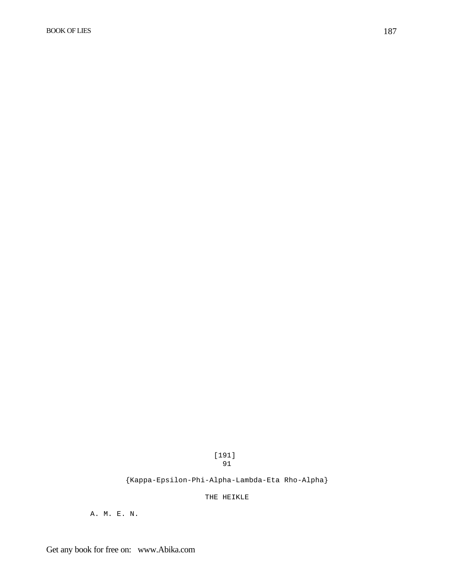[191] 91

{Kappa-Epsilon-Phi-Alpha-Lambda-Eta Rho-Alpha}

THE HEIKLE

A. M. E. N.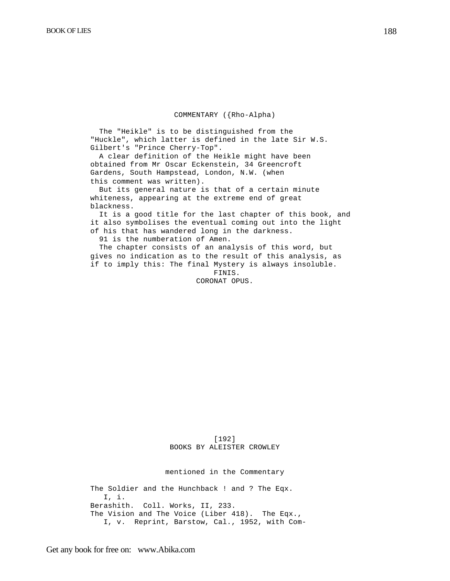COMMENTARY ({Rho-Alpha)

 The "Heikle" is to be distinguished from the "Huckle", which latter is defined in the late Sir W.S. Gilbert's "Prince Cherry-Top".

 A clear definition of the Heikle might have been obtained from Mr Oscar Eckenstein, 34 Greencroft Gardens, South Hampstead, London, N.W. (when this comment was written).

 But its general nature is that of a certain minute whiteness, appearing at the extreme end of great blackness.

 It is a good title for the last chapter of this book, and it also symbolises the eventual coming out into the light of his that has wandered long in the darkness.

91 is the numberation of Amen.

 The chapter consists of an analysis of this word, but gives no indication as to the result of this analysis, as if to imply this: The final Mystery is always insoluble.

FINIS.

CORONAT OPUS.

 [192] BOOKS BY ALEISTER CROWLEY

mentioned in the Commentary

 The Soldier and the Hunchback ! and ? The Eqx. I, i. Berashith. Coll. Works, II, 233. The Vision and The Voice (Liber 418). The Eqx., I, v. Reprint, Barstow, Cal., 1952, with Com-

Get any book for free on: www.Abika.com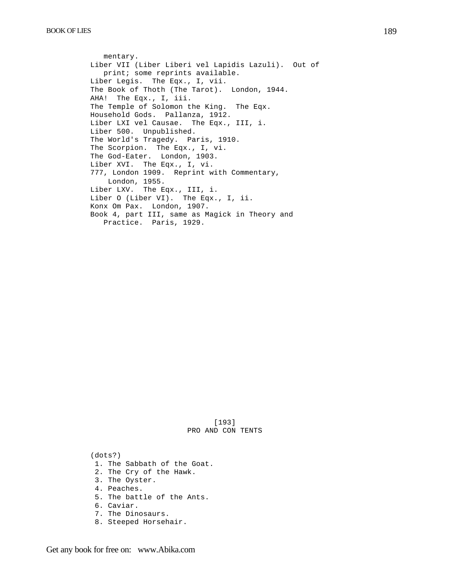mentary. Liber VII (Liber Liberi vel Lapidis Lazuli). Out of print; some reprints available. Liber Legis. The Eqx., I, vii. The Book of Thoth (The Tarot). London, 1944. AHA! The Eqx., I, iii. The Temple of Solomon the King. The Eqx. Household Gods. Pallanza, 1912. Liber LXI vel Causae. The Eqx., III, i. Liber 500. Unpublished. The World's Tragedy. Paris, 1910. The Scorpion. The Eqx., I, vi. The God-Eater. London, 1903. Liber XVI. The Eqx., I, vi. 777, London 1909. Reprint with Commentary, London, 1955. Liber LXV. The Eqx., III, i. Liber O (Liber VI). The Eqx., I, ii. Konx Om Pax. London, 1907. Book 4, part III, same as Magick in Theory and Practice. Paris, 1929.

> [193] PRO AND CON TENTS

 (dots?) 1. The Sabbath of the Goat. 2. The Cry of the Hawk. 3. The Oyster. 4. Peaches. 5. The battle of the Ants. 6. Caviar. 7. The Dinosaurs. 8. Steeped Horsehair.

Get any book for free on: www.Abika.com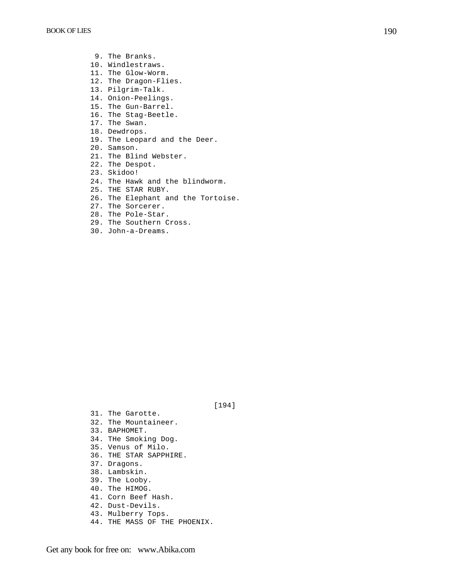- 9. The Branks.
- 10. Windlestraws.
- 11. The Glow-Worm.
- 12. The Dragon-Flies.
- 13. Pilgrim-Talk.
- 14. Onion-Peelings.
- 15. The Gun-Barrel.
- 16. The Stag-Beetle.
- 17. The Swan.
- 18. Dewdrops.
- 19. The Leopard and the Deer.
- 20. Samson.
- 21. The Blind Webster.
- 22. The Despot.
- 23. Skidoo!
- 24. The Hawk and the blindworm.
- 25. THE STAR RUBY.
- 26. The Elephant and the Tortoise.
- 27. The Sorcerer.
- 28. The Pole-Star.
- 29. The Southern Cross.
- 30. John-a-Dreams.

[194]

- 31. The Garotte.
- 32. The Mountaineer.
- 33. BAPHOMET.
- 34. THe Smoking Dog.
- 35. Venus of Milo.
- 36. THE STAR SAPPHIRE.
- 37. Dragons.
- 38. Lambskin.
- 39. The Looby.
- 40. The HIMOG.
- 41. Corn Beef Hash.
- 42. Dust-Devils.
- 43. Mulberry Tops.
- 44. THE MASS OF THE PHOENIX.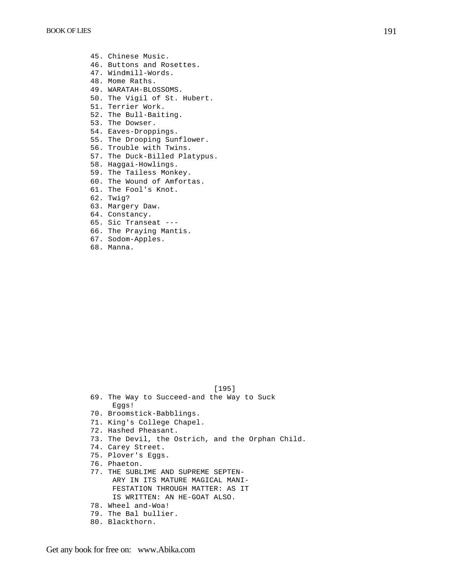- 45. Chinese Music.
- 46. Buttons and Rosettes.
- 47. Windmill-Words.
- 48. Mome Raths.
- 49. WARATAH-BLOSSOMS.
- 50. The Vigil of St. Hubert.
- 51. Terrier Work.
- 52. The Bull-Baiting.
- 53. The Dowser.
- 54. Eaves-Droppings.
- 55. The Drooping Sunflower.
- 56. Trouble with Twins.
- 57. The Duck-Billed Platypus.
- 58. Haggai-Howlings.
- 59. The Tailess Monkey.
- 60. The Wound of Amfortas.
- 61. The Fool's Knot.
- 62. Twig?
- 63. Margery Daw.
- 64. Constancy.
- 65. Sic Transeat ---
- 66. The Praying Mantis.
- 67. Sodom-Apples.
- 68. Manna.

#### [195]

- 69. The Way to Succeed-and the Way to Suck Eggs!
- 70. Broomstick-Babblings.
- 71. King's College Chapel.
- 72. Hashed Pheasant.
- 73. The Devil, the Ostrich, and the Orphan Child.
- 74. Carey Street.
- 75. Plover's Eggs.
- 76. Phaeton.
- 77. THE SUBLIME AND SUPREME SEPTEN- ARY IN ITS MATURE MAGICAL MANI- FESTATION THROUGH MATTER: AS IT IS WRITTEN: AN HE-GOAT ALSO.
- 78. Wheel and-Woa!
- 79. The Bal bullier.
- 80. Blackthorn.